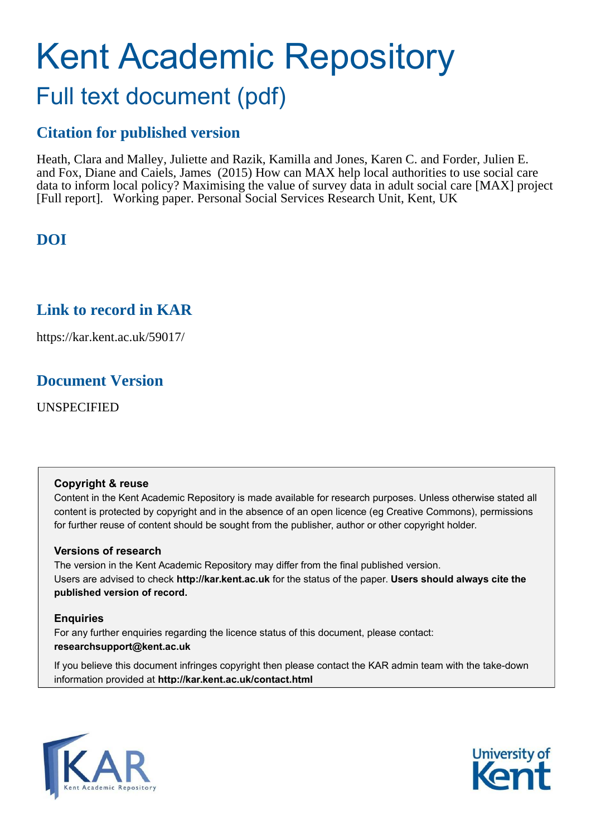# Kent Academic Repository Full text document (pdf)

# **Citation for published version**

Heath, Clara and Malley, Juliette and Razik, Kamilla and Jones, Karen C. and Forder, Julien E. and Fox, Diane and Caiels, James (2015) How can MAX help local authorities to use social care data to inform local policy? Maximising the value of survey data in adult social care [MAX] project [Full report]. Working paper. Personal Social Services Research Unit, Kent, UK

# **DOI**

# **Link to record in KAR**

https://kar.kent.ac.uk/59017/

# **Document Version**

UNSPECIFIED

### **Copyright & reuse**

Content in the Kent Academic Repository is made available for research purposes. Unless otherwise stated all content is protected by copyright and in the absence of an open licence (eg Creative Commons), permissions for further reuse of content should be sought from the publisher, author or other copyright holder.

### **Versions of research**

The version in the Kent Academic Repository may differ from the final published version. Users are advised to check **http://kar.kent.ac.uk** for the status of the paper. **Users should always cite the published version of record.**

### **Enquiries**

For any further enquiries regarding the licence status of this document, please contact: **researchsupport@kent.ac.uk**

If you believe this document infringes copyright then please contact the KAR admin team with the take-down information provided at **http://kar.kent.ac.uk/contact.html**



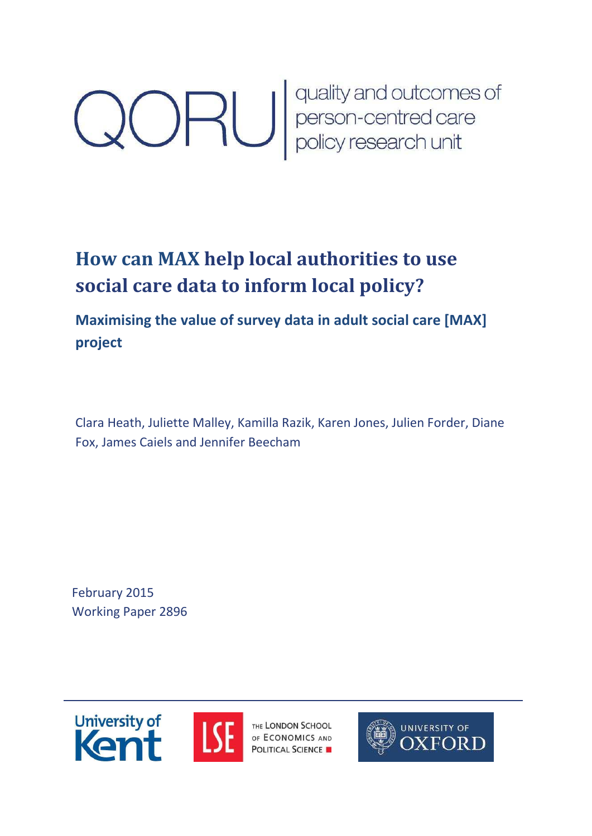# **CORU** quality and outcomes of<br>person-centred care<br>policy research unit

# **How can MAX help local authorities to use social care data to inform local policy?**

# **Maximising the value of survey data in adult social care [MAX] project**

Clara Heath, Juliette Malley, Kamilla Razik, Karen Jones, Julien Forder, Diane Fox, James Caiels and Jennifer Beecham

February 2015 Working Paper 2896





THE LONDON SCHOOL OF ECONOMICS AND **POLITICAL SCIENCE** 

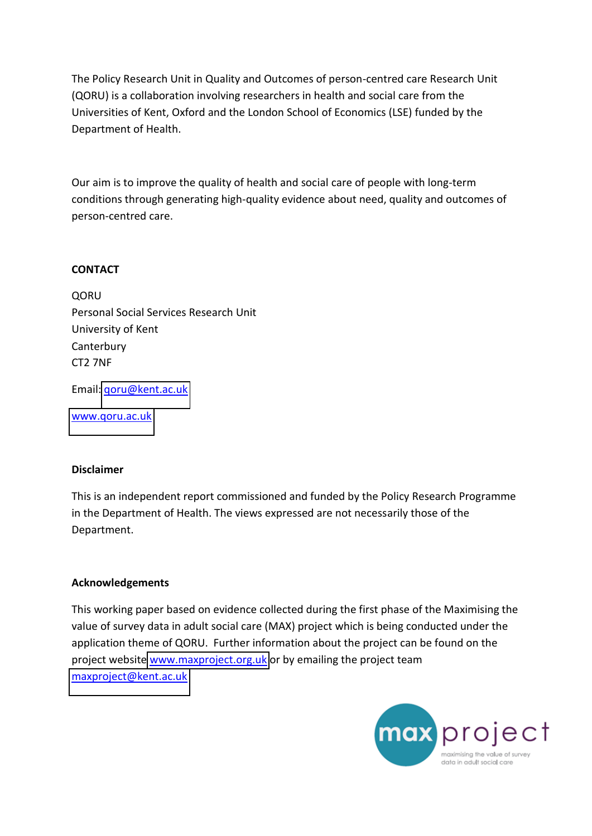The Policy Research Unit in Quality and Outcomes of person-centred care Research Unit (QORU) is a collaboration involving researchers in health and social care from the Universities of Kent, Oxford and the London School of Economics (LSE) funded by the Department of Health.

Our aim is to improve the quality of health and social care of people with long-term conditions through generating high-quality evidence about need, quality and outcomes of person-centred care.

### **CONTACT**

**QORU** Personal Social Services Research Unit University of Kent **Canterbury** CT2 7NF

Email: [qoru@kent.ac.uk](mailto:qoru@kent.ac.uk) 

[www.qoru.ac.uk](http://www.qoru.ac.uk/)

### **Disclaimer**

This is an independent report commissioned and funded by the Policy Research Programme in the Department of Health. The views expressed are not necessarily those of the Department.

### **Acknowledgements**

This working paper based on evidence collected during the first phase of the Maximising the value of survey data in adult social care (MAX) project which is being conducted under the application theme of QORU. Further information about the project can be found on the project website [www.maxproject.org.uk](http://www.maxproject.org.uk/) or by emailing the project team [maxproject@kent.ac.uk](mailto:maxproject@kent.ac.uk) 

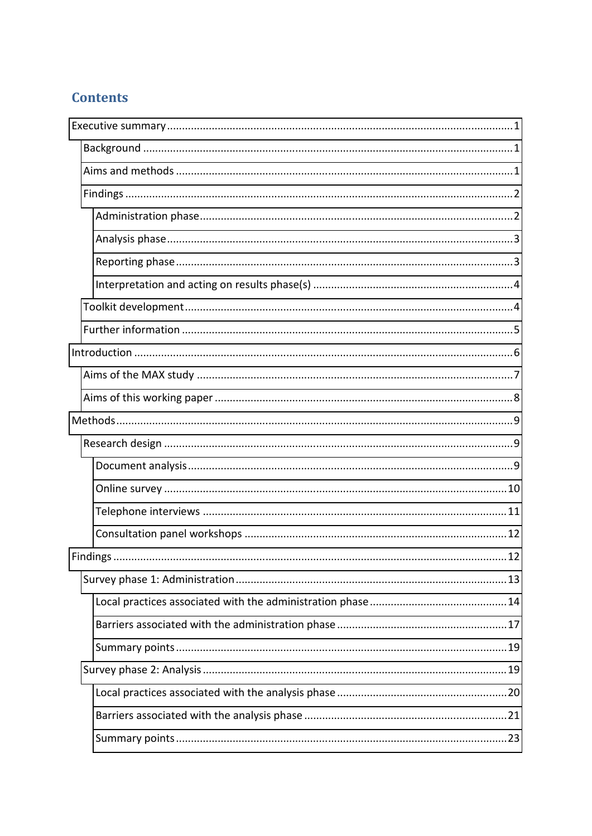# **Contents**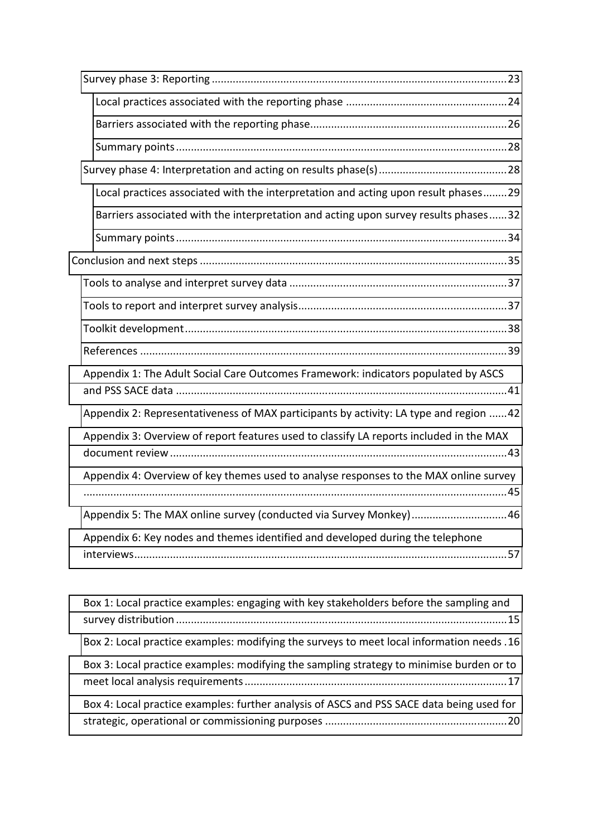| Local practices associated with the interpretation and acting upon result phases29      |
|-----------------------------------------------------------------------------------------|
| Barriers associated with the interpretation and acting upon survey results phases32     |
|                                                                                         |
|                                                                                         |
|                                                                                         |
|                                                                                         |
|                                                                                         |
|                                                                                         |
| Appendix 1: The Adult Social Care Outcomes Framework: indicators populated by ASCS      |
| Appendix 2: Representativeness of MAX participants by activity: LA type and region 42   |
| Appendix 3: Overview of report features used to classify LA reports included in the MAX |
| Appendix 4: Overview of key themes used to analyse responses to the MAX online survey   |
| Appendix 5: The MAX online survey (conducted via Survey Monkey)46                       |
| Appendix 6: Key nodes and themes identified and developed during the telephone          |
|                                                                                         |

| Box 1: Local practice examples: engaging with key stakeholders before the sampling and     |
|--------------------------------------------------------------------------------------------|
| Box 2: Local practice examples: modifying the surveys to meet local information needs . 16 |
| Box 3: Local practice examples: modifying the sampling strategy to minimise burden or to   |
| Box 4: Local practice examples: further analysis of ASCS and PSS SACE data being used for  |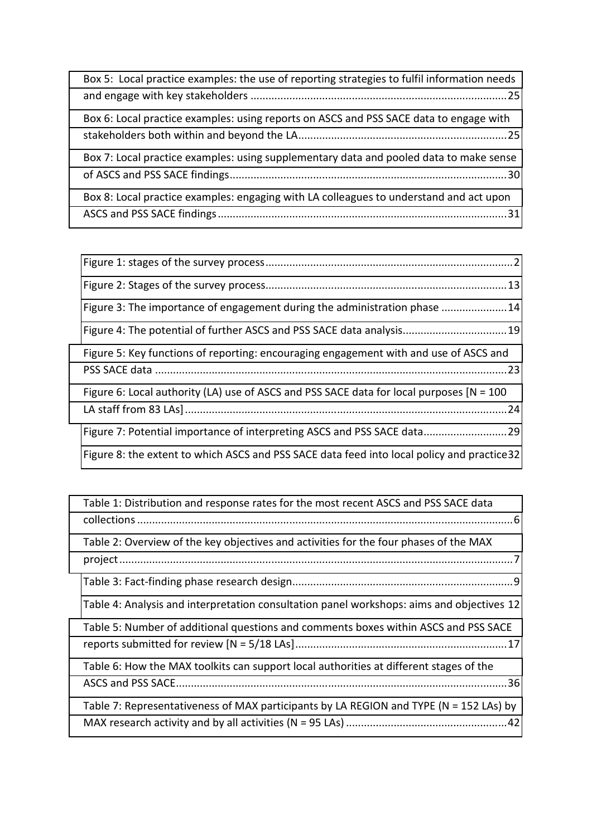| Box 5: Local practice examples: the use of reporting strategies to fulfil information needs |
|---------------------------------------------------------------------------------------------|
| Box 6: Local practice examples: using reports on ASCS and PSS SACE data to engage with      |
| Box 7: Local practice examples: using supplementary data and pooled data to make sense      |
| Box 8: Local practice examples: engaging with LA colleagues to understand and act upon      |

| Figure 3: The importance of engagement during the administration phase 14                   |
|---------------------------------------------------------------------------------------------|
| Figure 4: The potential of further ASCS and PSS SACE data analysis 19                       |
| Figure 5: Key functions of reporting: encouraging engagement with and use of ASCS and       |
| Figure 6: Local authority (LA) use of ASCS and PSS SACE data for local purposes $[N = 100$  |
| Figure 7: Potential importance of interpreting ASCS and PSS SACE data 29                    |
| Figure 8: the extent to which ASCS and PSS SACE data feed into local policy and practice 32 |

| Table 1: Distribution and response rates for the most recent ASCS and PSS SACE data       |
|-------------------------------------------------------------------------------------------|
| Table 2: Overview of the key objectives and activities for the four phases of the MAX     |
|                                                                                           |
| Table 4: Analysis and interpretation consultation panel workshops: aims and objectives 12 |
| Table 5: Number of additional questions and comments boxes within ASCS and PSS SACE       |
| Table 6: How the MAX toolkits can support local authorities at different stages of the    |
| Table 7: Representativeness of MAX participants by LA REGION and TYPE (N = 152 LAs) by    |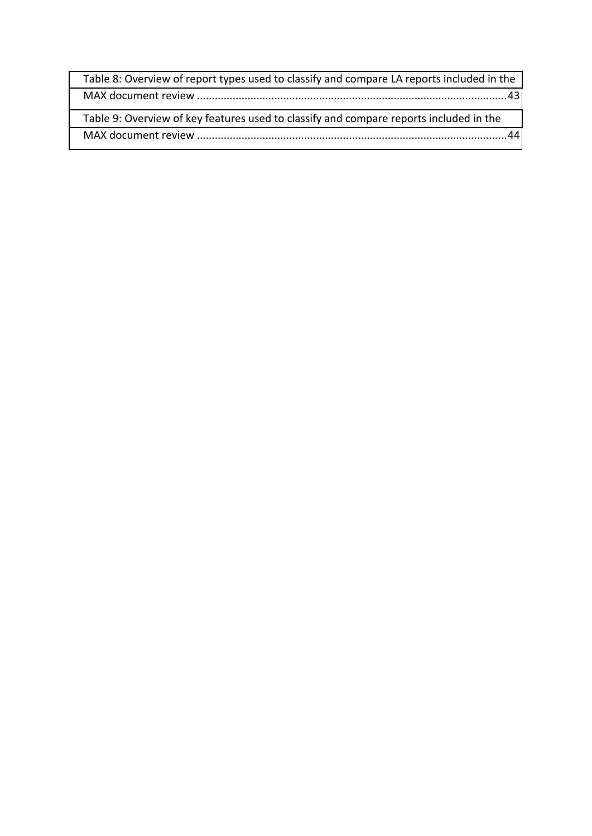<span id="page-6-2"></span><span id="page-6-1"></span><span id="page-6-0"></span>

| Table 8: Overview of report types used to classify and compare LA reports included in the |  |
|-------------------------------------------------------------------------------------------|--|
|                                                                                           |  |
| Table 9: Overview of key features used to classify and compare reports included in the    |  |
|                                                                                           |  |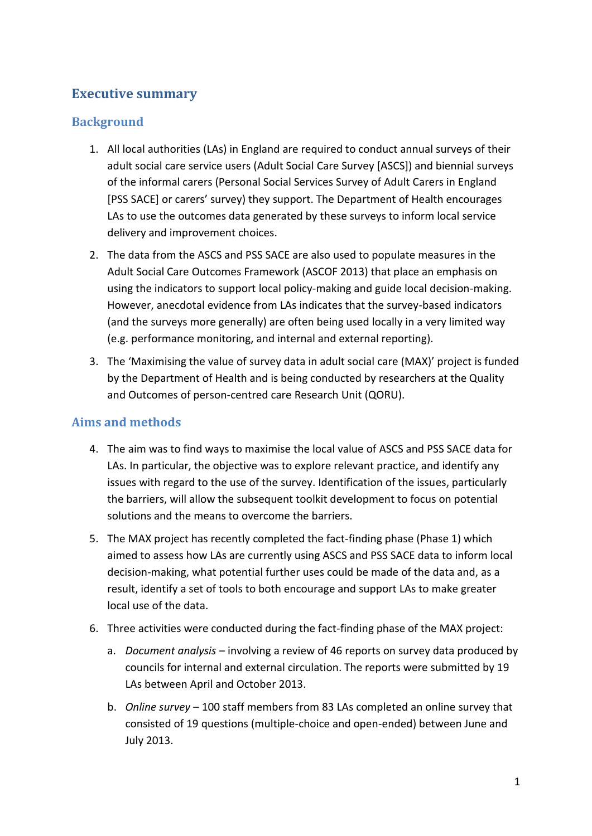# **Executive summary**

### **Background**

- 1. All local authorities (LAs) in England are required to conduct annual surveys of their adult social care service users (Adult Social Care Survey [ASCS]) and biennial surveys of the informal carers (Personal Social Services Survey of Adult Carers in England [PSS SACE] or carers' survey) they support. The Department of Health encourages LAs to use the outcomes data generated by these surveys to inform local service delivery and improvement choices.
- <span id="page-7-0"></span>2. The data from the ASCS and PSS SACE are also used to populate measures in the Adult Social Care Outcomes Framework (ASCOF 2013) that place an emphasis on using the indicators to support local policy-making and guide local decision-making. However, anecdotal evidence from LAs indicates that the survey-based indicators (and the surveys more generally) are often being used locally in a very limited way (e.g. performance monitoring, and internal and external reporting).
- 3. The 'Maximising the value of survey data in adult social care (MAX)' project is funded by the Department of Health and is being conducted by researchers at the Quality and Outcomes of person-centred care Research Unit (QORU).

### **Aims and methods**

- <span id="page-7-2"></span>4. The aim was to find ways to maximise the local value of ASCS and PSS SACE data for LAs. In particular, the objective was to explore relevant practice, and identify any issues with regard to the use of the survey. Identification of the issues, particularly the barriers, will allow the subsequent toolkit development to focus on potential solutions and the means to overcome the barriers.
- 5. The MAX project has recently completed the fact-finding phase (Phase 1) which aimed to assess how LAs are currently using ASCS and PSS SACE data to inform local decision-making, what potential further uses could be made of the data and, as a result, identify a set of tools to both encourage and support LAs to make greater local use of the data.
- <span id="page-7-1"></span>6. Three activities were conducted during the fact-finding phase of the MAX project:
	- a. *Document analysis* involving a review of 46 reports on survey data produced by councils for internal and external circulation. The reports were submitted by 19 LAs between April and October 2013.
	- b. *Online survey* 100 staff members from 83 LAs completed an online survey that consisted of 19 questions (multiple-choice and open-ended) between June and July 2013.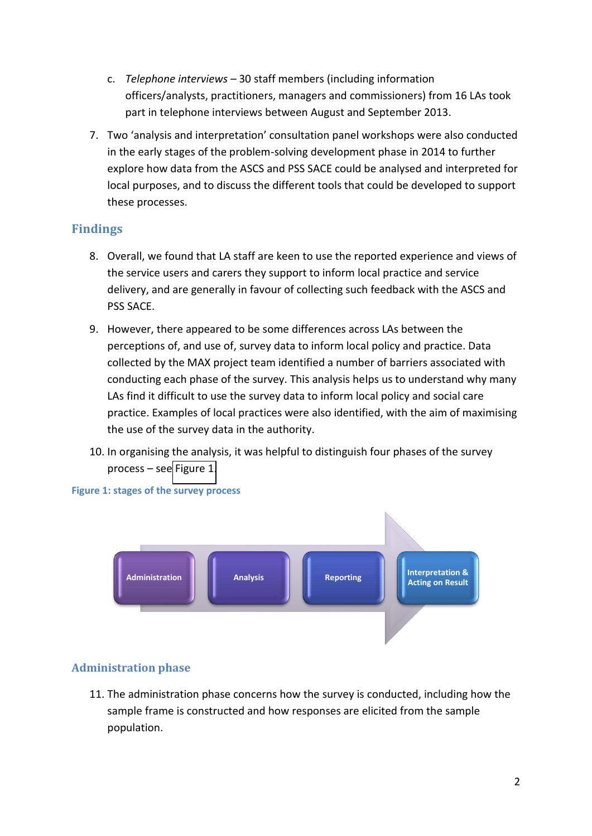- c. *Telephone interviews 30 staff members (including information* officers/analysts, practitioners, managers and commissioners) from 16 LAs took part in telephone interviews between August and September 2013.
- 7. Two 'analysis and interpretation' consultation panel workshops were also conducted in the early stages of the problem-solving development phase in 2014 to further explore how data from the ASCS and PSS SACE could be analysed and interpreted for local purposes, and to discuss the different tools that could be developed to support these processes.

### **Findings**

- <span id="page-8-0"></span>8. Overall, we found that LA staff are keen to use the reported experience and views of the service users and carers they support to inform local practice and service delivery, and are generally in favour of collecting such feedback with the ASCS and PSS SACE.
- 9. However, there appeared to be some differences across LAs between the perceptions of, and use of, survey data to inform local policy and practice. Data collected by the MAX project team identified a number of barriers associated with conducting each phase of the survey. This analysis helps us to understand why many LAs find it difficult to use the survey data to inform local policy and social care practice. Examples of local practices were also identified, with the aim of maximising the use of the survey data in the authority.
- 10. In organising the analysis, it was helpful to distinguish four phases of the survey  $process - see Figure 1.$  $process - see Figure 1.$



### **Figure 1: stages of the survey process**

### <span id="page-8-1"></span>**Administration phase**

11. The administration phase concerns how the survey is conducted, including how the sample frame is constructed and how responses are elicited from the sample population.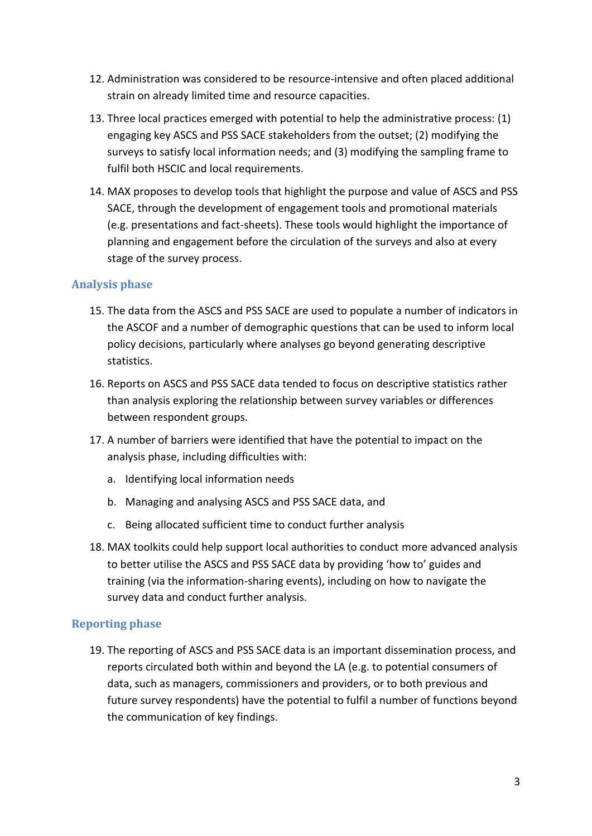- 12. Administration was considered to be resource-intensive and often placed additional strain on already limited time and resource capacities.
- 13. Three local practices emerged with potential to help the administrative process: (1) engaging key ASCS and PSS SACE stakeholders from the outset; (2) modifying the surveys to satisfy local information needs; and (3) modifying the sampling frame to fulfil both HSCIC and local requirements.
- 14. MAX proposes to develop tools that highlight the purpose and value of ASCS and PSS SACE, through the development of engagement tools and promotional materials (e.g. presentations and fact-sheets). These tools would highlight the importance of planning and engagement before the circulation of the surveys and also at every stage of the survey process.

### <span id="page-9-0"></span>**Analysis phase**

- 15. The data from the ASCS and PSS SACE are used to populate a number of indicators in the ASCOF and a number of demographic questions that can be used to inform local policy decisions, particularly where analyses go beyond generating descriptive statistics.
- 16. Reports on ASCS and PSS SACE data tended to focus on descriptive statistics rather than analysis exploring the relationship between survey variables or differences between respondent groups.
- 17. A number of barriers were identified that have the potential to impact on the analysis phase, including difficulties with:
	- a. Identifying local information needs
	- b. Managing and analysing ASCS and PSS SACE data, and
	- c. Being allocated sufficient time to conduct further analysis
- <span id="page-9-1"></span>18. MAX toolkits could help support local authorities to conduct more advanced analysis to better utilise the ASCS and PSS SACE data by providing 'how to' guides and training (via the information-sharing events), including on how to navigate the survey data and conduct further analysis.

### **Reporting phase**

19. The reporting of ASCS and PSS SACE data is an important dissemination process, and reports circulated both within and beyond the LA (e.g. to potential consumers of data, such as managers, commissioners and providers, or to both previous and future survey respondents) have the potential to fulfil a number of functions beyond the communication of key findings.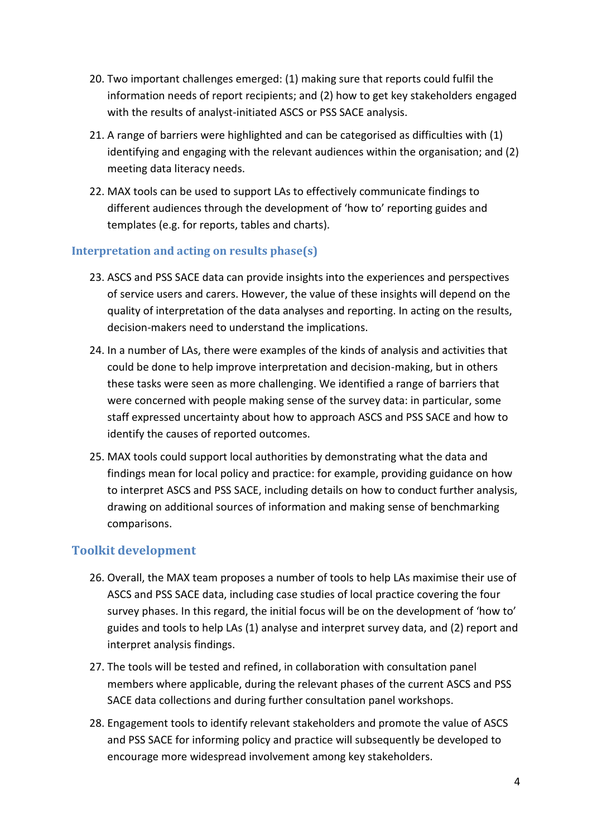- 20. Two important challenges emerged: (1) making sure that reports could fulfil the information needs of report recipients; and (2) how to get key stakeholders engaged with the results of analyst-initiated ASCS or PSS SACE analysis.
- <span id="page-10-0"></span>21. A range of barriers were highlighted and can be categorised as difficulties with (1) identifying and engaging with the relevant audiences within the organisation; and (2) meeting data literacy needs.
- 22. MAX tools can be used to support LAs to effectively communicate findings to different audiences through the development of 'how to' reporting guides and templates (e.g. for reports, tables and charts).

### **Interpretation and acting on results phase(s)**

- 23. ASCS and PSS SACE data can provide insights into the experiences and perspectives of service users and carers. However, the value of these insights will depend on the quality of interpretation of the data analyses and reporting. In acting on the results, decision-makers need to understand the implications.
- 24. In a number of LAs, there were examples of the kinds of analysis and activities that could be done to help improve interpretation and decision-making, but in others these tasks were seen as more challenging. We identified a range of barriers that were concerned with people making sense of the survey data: in particular, some staff expressed uncertainty about how to approach ASCS and PSS SACE and how to identify the causes of reported outcomes.
- 25. MAX tools could support local authorities by demonstrating what the data and findings mean for local policy and practice: for example, providing guidance on how to interpret ASCS and PSS SACE, including details on how to conduct further analysis, drawing on additional sources of information and making sense of benchmarking comparisons.

# **Toolkit development**

- 26. Overall, the MAX team proposes a number of tools to help LAs maximise their use of ASCS and PSS SACE data, including case studies of local practice covering the four survey phases. In this regard, the initial focus will be on the development of 'how to' guides and tools to help LAs (1) analyse and interpret survey data, and (2) report and interpret analysis findings.
- 27. The tools will be tested and refined, in collaboration with consultation panel members where applicable, during the relevant phases of the current ASCS and PSS SACE data collections and during further consultation panel workshops.
- 28. Engagement tools to identify relevant stakeholders and promote the value of ASCS and PSS SACE for informing policy and practice will subsequently be developed to encourage more widespread involvement among key stakeholders.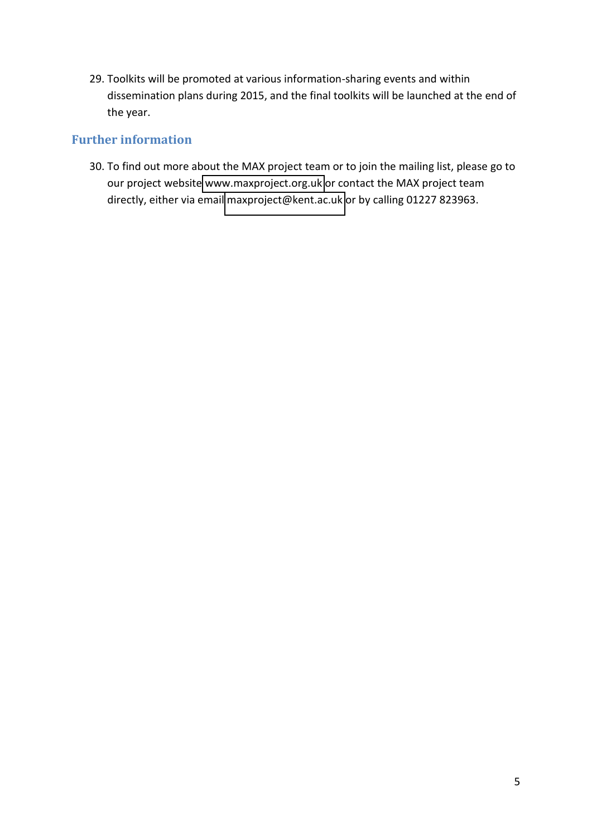<span id="page-11-0"></span>29. Toolkits will be promoted at various information-sharing events and within dissemination plans during 2015, and the final toolkits will be launched at the end of the year.

### **Further information**

<span id="page-11-1"></span>30. To find out more about the MAX project team or to join the mailing list, please go to our project website [www.maxproject.org.uk](http://www.maxproject.org.uk/) or contact the MAX project team directly, either via email [maxproject@kent.ac.uk](mailto:maxproject@kent.ac.uk) or by calling 01227 823963.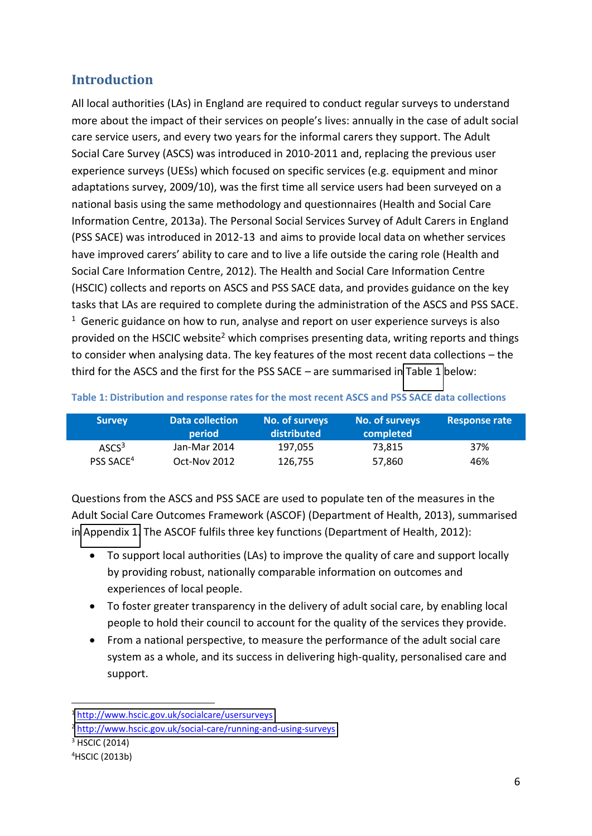# **Introduction**

All local authorities (LAs) in England are required to conduct regular surveys to understand more about the impact of their services on people's lives: annually in the case of adult social care service users, and every two years for the informal carers they support. The Adult Social Care Survey (ASCS) was introduced in 2010-2011 and, replacing the previous user experience surveys (UESs) which focused on specific services (e.g. equipment and minor adaptations survey, 2009/10), was the first time all service users had been surveyed on a national basis using the same methodology and questionnaires (Health and Social Care Information Centre, 2013a). The Personal Social Services Survey of Adult Carers in England (PSS SACE) was introduced in 2012-13 and aims to provide local data on whether services have improved carers' ability to care and to live a life outside the caring role (Health and Social Care Information Centre, 2012). The Health and Social Care Information Centre (HSCIC) collects and reports on ASCS and PSS SACE data, and provides guidance on the key tasks that LAs are required to complete during the administration of the ASCS and PSS SACE.  $1$  Generic guidance on how to run, analyse and report on user experience surveys is also provided on the HSCIC website<sup>2</sup> which comprises presenting data, writing reports and things to consider when analysing data. The key features of the most recent data collections – the third for the ASCS and the first for the PSS SACE  $-$  are summarised in [Table 1](#page-11-1) below:

<span id="page-12-1"></span>

| <b>Survey</b>         | <b>Data collection</b><br>period | No. of surveys<br>distributed | No. of surveys<br>completed | <b>Response rate</b> |
|-----------------------|----------------------------------|-------------------------------|-----------------------------|----------------------|
| ASCS <sup>3</sup>     | Jan-Mar 2014                     | 197.055                       | 73.815                      | 37%                  |
| PSS SACE <sup>4</sup> | Oct-Nov 2012                     | 126.755                       | 57.860                      | 46%                  |

### <span id="page-12-0"></span>**Table 1: Distribution and response rates for the most recent ASCS and PSS SACE data collections**

Questions from the ASCS and PSS SACE are used to populate ten of the measures in the Adult Social Care Outcomes Framework (ASCOF) (Department of Health, 2013), summarised in [Appendix 1.](#page-46-0) The ASCOF fulfils three key functions (Department of Health, 2012):

- To support local authorities (LAs) to improve the quality of care and support locally by providing robust, nationally comparable information on outcomes and experiences of local people.
- To foster greater transparency in the delivery of adult social care, by enabling local people to hold their council to account for the quality of the services they provide.
- From a national perspective, to measure the performance of the adult social care system as a whole, and its success in delivering high-quality, personalised care and support.

 $3$  HSCIC (2014)

1

<sup>1</sup> <http://www.hscic.gov.uk/socialcare/usersurveys>

<sup>2</sup> <http://www.hscic.gov.uk/social-care/running-and-using-surveys>

<sup>4</sup>HSCIC (2013b)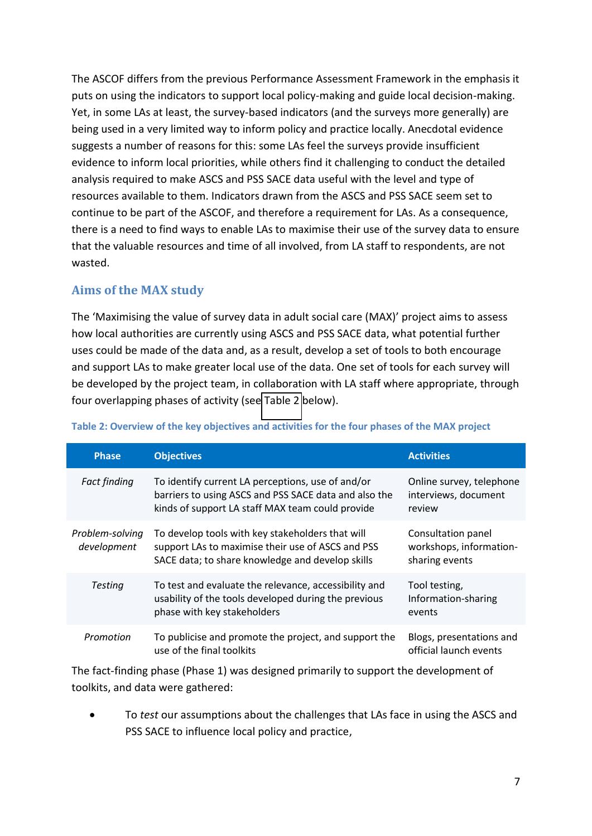The ASCOF differs from the previous Performance Assessment Framework in the emphasis it puts on using the indicators to support local policy-making and guide local decision-making. Yet, in some LAs at least, the survey-based indicators (and the surveys more generally) are being used in a very limited way to inform policy and practice locally. Anecdotal evidence suggests a number of reasons for this: some LAs feel the surveys provide insufficient evidence to inform local priorities, while others find it challenging to conduct the detailed analysis required to make ASCS and PSS SACE data useful with the level and type of resources available to them. Indicators drawn from the ASCS and PSS SACE seem set to continue to be part of the ASCOF, and therefore a requirement for LAs. As a consequence, there is a need to find ways to enable LAs to maximise their use of the survey data to ensure that the valuable resources and time of all involved, from LA staff to respondents, are not wasted.

# <span id="page-13-0"></span>**Aims of the MAX study**

The 'Maximising the value of survey data in adult social care (MAX)' project aims to assess how local authorities are currently using ASCS and PSS SACE data, what potential further uses could be made of the data and, as a result, develop a set of tools to both encourage and support LAs to make greater local use of the data. One set of tools for each survey will be developed by the project team, in collaboration with LA staff where appropriate, through four overlapping phases of activity (see [Table 2](#page-12-1) below).

| <b>Phase</b>                   | <b>Objectives</b>                                                                                                                                              | <b>Activities</b>                                               |
|--------------------------------|----------------------------------------------------------------------------------------------------------------------------------------------------------------|-----------------------------------------------------------------|
| <b>Fact finding</b>            | To identify current LA perceptions, use of and/or<br>barriers to using ASCS and PSS SACE data and also the<br>kinds of support LA staff MAX team could provide | Online survey, telephone<br>interviews, document<br>review      |
| Problem-solving<br>development | To develop tools with key stakeholders that will<br>support LAs to maximise their use of ASCS and PSS<br>SACE data; to share knowledge and develop skills      | Consultation panel<br>workshops, information-<br>sharing events |
| <b>Testing</b>                 | To test and evaluate the relevance, accessibility and<br>usability of the tools developed during the previous<br>phase with key stakeholders                   | Tool testing,<br>Information-sharing<br>events                  |
| Promotion                      | To publicise and promote the project, and support the<br>use of the final toolkits                                                                             | Blogs, presentations and<br>official launch events              |

### **Table 2: Overview of the key objectives and activities for the four phases of the MAX project**

The fact-finding phase (Phase 1) was designed primarily to support the development of toolkits, and data were gathered:

 To *test* our assumptions about the challenges that LAs face in using the ASCS and PSS SACE to influence local policy and practice,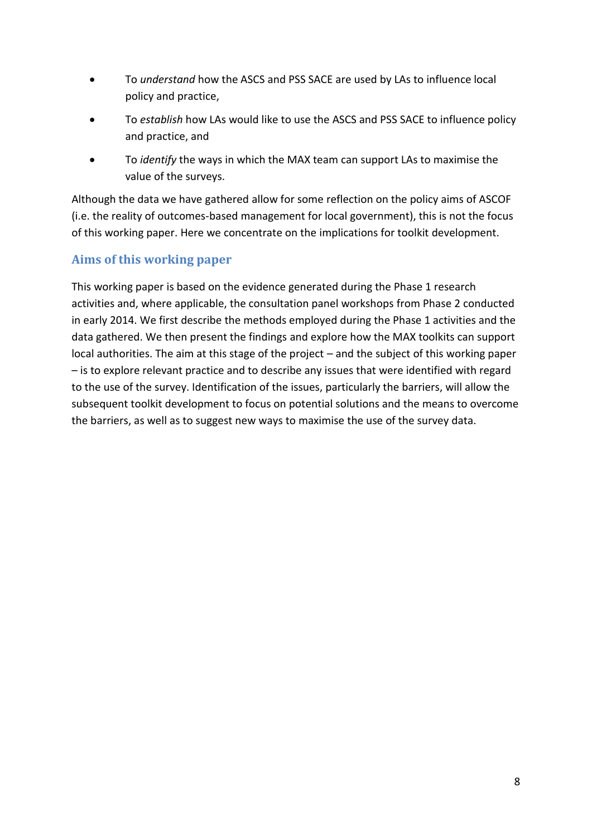- <span id="page-14-0"></span> To *understand* how the ASCS and PSS SACE are used by LAs to influence local policy and practice,
- <span id="page-14-1"></span> To *establish* how LAs would like to use the ASCS and PSS SACE to influence policy and practice, and
- To *identify* the ways in which the MAX team can support LAs to maximise the value of the surveys.

Although the data we have gathered allow for some reflection on the policy aims of ASCOF (i.e. the reality of outcomes-based management for local government), this is not the focus of this working paper. Here we concentrate on the implications for toolkit development.

# <span id="page-14-3"></span>**Aims of this working paper**

<span id="page-14-2"></span>This working paper is based on the evidence generated during the Phase 1 research activities and, where applicable, the consultation panel workshops from Phase 2 conducted in early 2014. We first describe the methods employed during the Phase 1 activities and the data gathered. We then present the findings and explore how the MAX toolkits can support local authorities. The aim at this stage of the project – and the subject of this working paper - is to explore relevant practice and to describe any issues that were identified with regard to the use of the survey. Identification of the issues, particularly the barriers, will allow the subsequent toolkit development to focus on potential solutions and the means to overcome the barriers, as well as to suggest new ways to maximise the use of the survey data.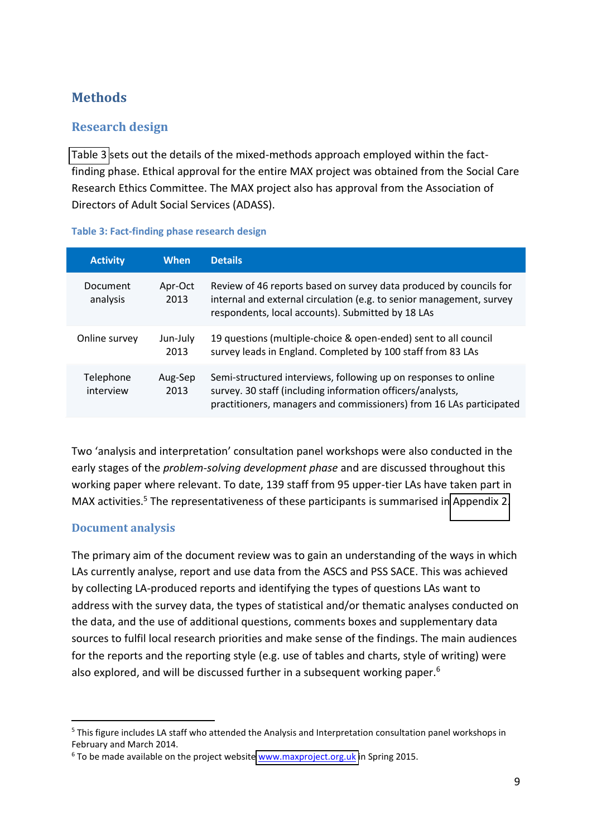# **Methods**

# **Research design**

[Table 3](#page-14-3) sets out the details of the mixed-methods approach employed within the factfinding phase. Ethical approval for the entire MAX project was obtained from the Social Care Research Ethics Committee. The MAX project also has approval from the Association of Directors of Adult Social Services (ADASS).

### **Table 3: Fact-finding phase research design**

<span id="page-15-0"></span>

| <b>Activity</b>        | When             | <b>Details</b>                                                                                                                                                                                       |
|------------------------|------------------|------------------------------------------------------------------------------------------------------------------------------------------------------------------------------------------------------|
| Document<br>analysis   | Apr-Oct<br>2013  | Review of 46 reports based on survey data produced by councils for<br>internal and external circulation (e.g. to senior management, survey<br>respondents, local accounts). Submitted by 18 LAs      |
| Online survey          | Jun-July<br>2013 | 19 questions (multiple-choice & open-ended) sent to all council<br>survey leads in England. Completed by 100 staff from 83 LAs                                                                       |
| Telephone<br>interview | Aug-Sep<br>2013  | Semi-structured interviews, following up on responses to online<br>survey. 30 staff (including information officers/analysts,<br>practitioners, managers and commissioners) from 16 LAs participated |

Two 'analysis and interpretation' consultation panel workshops were also conducted in the early stages of the *problem-solving development phase* and are discussed throughout this working paper where relevant. To date, 139 staff from 95 upper-tier LAs have taken part in MAX activities.<sup>5</sup> The representativeness of these participants is summarised in [Appendix 2.](#page-47-0)

### **Document analysis**

1

The primary aim of the document review was to gain an understanding of the ways in which LAs currently analyse, report and use data from the ASCS and PSS SACE. This was achieved by collecting LA-produced reports and identifying the types of questions LAs want to address with the survey data, the types of statistical and/or thematic analyses conducted on the data, and the use of additional questions, comments boxes and supplementary data sources to fulfil local research priorities and make sense of the findings. The main audiences for the reports and the reporting style (e.g. use of tables and charts, style of writing) were also explored, and will be discussed further in a subsequent working paper.<sup>6</sup>

<sup>&</sup>lt;sup>5</sup> This figure includes LA staff who attended the Analysis and Interpretation consultation panel workshops in February and March 2014.

<sup>&</sup>lt;sup>6</sup> To be made available on the project website **www.maxproject.org.uk** in Spring 2015.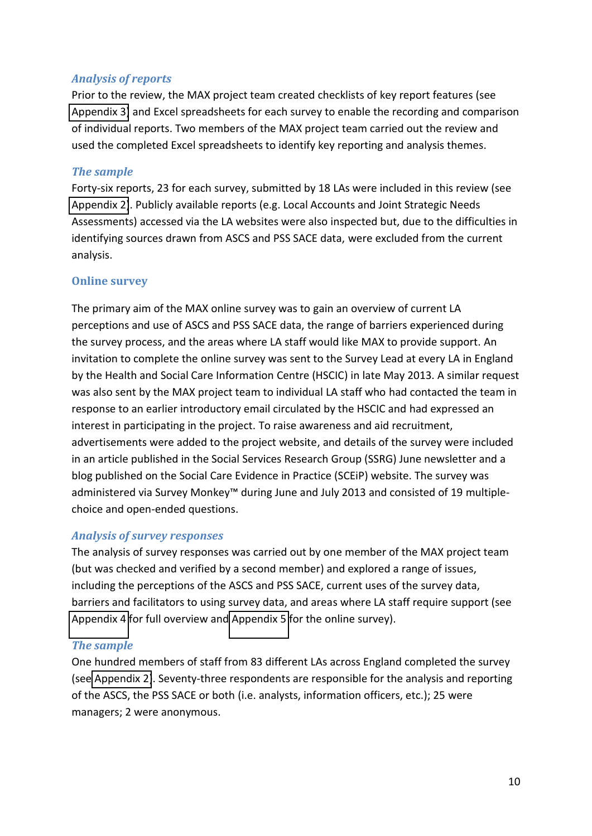### <span id="page-16-0"></span>*Analysis of reports*

Prior to the review, the MAX project team created checklists of key report features (see [Appendix 3\)](#page-48-0) and Excel spreadsheets for each survey to enable the recording and comparison of individual reports. Two members of the MAX project team carried out the review and used the completed Excel spreadsheets to identify key reporting and analysis themes.

### *The sample*

Forty-six reports, 23 for each survey, submitted by 18 LAs were included in this review (see [Appendix 2\)](#page-47-0). Publicly available reports (e.g. Local Accounts and Joint Strategic Needs Assessments) accessed via the LA websites were also inspected but, due to the difficulties in identifying sources drawn from ASCS and PSS SACE data, were excluded from the current analysis.

### **Online survey**

The primary aim of the MAX online survey was to gain an overview of current LA perceptions and use of ASCS and PSS SACE data, the range of barriers experienced during the survey process, and the areas where LA staff would like MAX to provide support. An invitation to complete the online survey was sent to the Survey Lead at every LA in England by the Health and Social Care Information Centre (HSCIC) in late May 2013. A similar request was also sent by the MAX project team to individual LA staff who had contacted the team in response to an earlier introductory email circulated by the HSCIC and had expressed an interest in participating in the project. To raise awareness and aid recruitment, advertisements were added to the project website, and details of the survey were included in an article published in the Social Services Research Group (SSRG) June newsletter and a blog published on the Social Care Evidence in Practice (SCEiP) website. The survey was administered via Survey Monkey<sup>™</sup> during June and July 2013 and consisted of 19 multiplechoice and open-ended questions.

### *Analysis of survey responses*

The analysis of survey responses was carried out by one member of the MAX project team (but was checked and verified by a second member) and explored a range of issues, including the perceptions of the ASCS and PSS SACE, current uses of the survey data, barriers and facilitators to using survey data, and areas where LA staff require support (see [Appendix 4](#page-50-0) for full overview and [Appendix 5](#page-51-0) for the online survey).

### *The sample*

One hundred members of staff from 83 different LAs across England completed the survey (see [Appendix 2\)](#page-47-0). Seventy-three respondents are responsible for the analysis and reporting of the ASCS, the PSS SACE or both (i.e. analysts, information officers, etc.); 25 were managers; 2 were anonymous.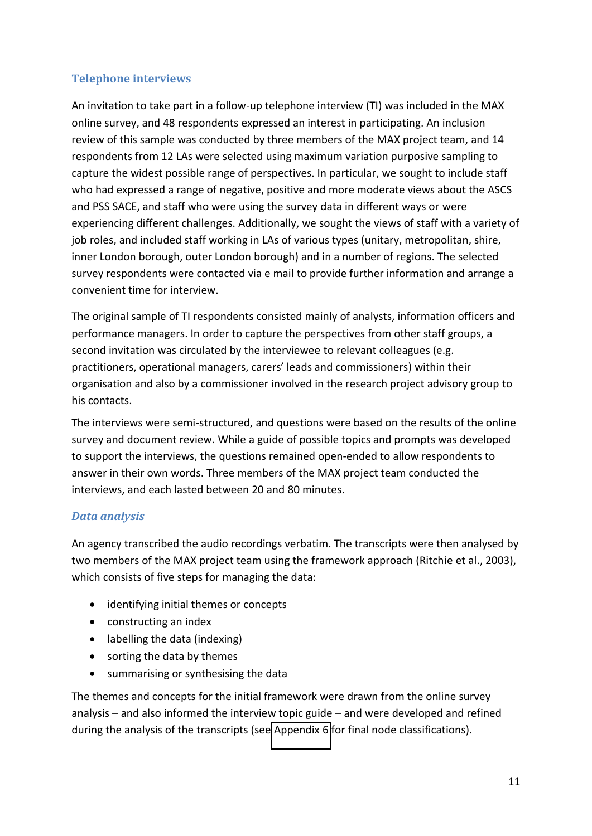### **Telephone interviews**

<span id="page-17-0"></span>An invitation to take part in a follow-up telephone interview (TI) was included in the MAX online survey, and 48 respondents expressed an interest in participating. An inclusion review of this sample was conducted by three members of the MAX project team, and 14 respondents from 12 LAs were selected using maximum variation purposive sampling to capture the widest possible range of perspectives. In particular, we sought to include staff who had expressed a range of negative, positive and more moderate views about the ASCS and PSS SACE, and staff who were using the survey data in different ways or were experiencing different challenges. Additionally, we sought the views of staff with a variety of job roles, and included staff working in LAs of various types (unitary, metropolitan, shire, inner London borough, outer London borough) and in a number of regions. The selected survey respondents were contacted via e mail to provide further information and arrange a convenient time for interview.

<span id="page-17-2"></span>The original sample of TI respondents consisted mainly of analysts, information officers and performance managers. In order to capture the perspectives from other staff groups, a second invitation was circulated by the interviewee to relevant colleagues (e.g. practitioners, operational managers, carers' leads and commissioners) within their organisation and also by a commissioner involved in the research project advisory group to his contacts.

The interviews were semi-structured, and questions were based on the results of the online survey and document review. While a guide of possible topics and prompts was developed to support the interviews, the questions remained open-ended to allow respondents to answer in their own words. Three members of the MAX project team conducted the interviews, and each lasted between 20 and 80 minutes.

### *Data analysis*

An agency transcribed the audio recordings verbatim. The transcripts were then analysed by two members of the MAX project team using the framework approach (Ritchie et al., 2003), which consists of five steps for managing the data:

- identifying initial themes or concepts
- <span id="page-17-1"></span>• constructing an index
- labelling the data (indexing)
- sorting the data by themes
- summarising or synthesising the data

The themes and concepts for the initial framework were drawn from the online survey analysis  $-$  and also informed the interview topic guide  $-$  and were developed and refined during the analysis of the transcripts (see [Appendix 6](#page-62-0) for final node classifications).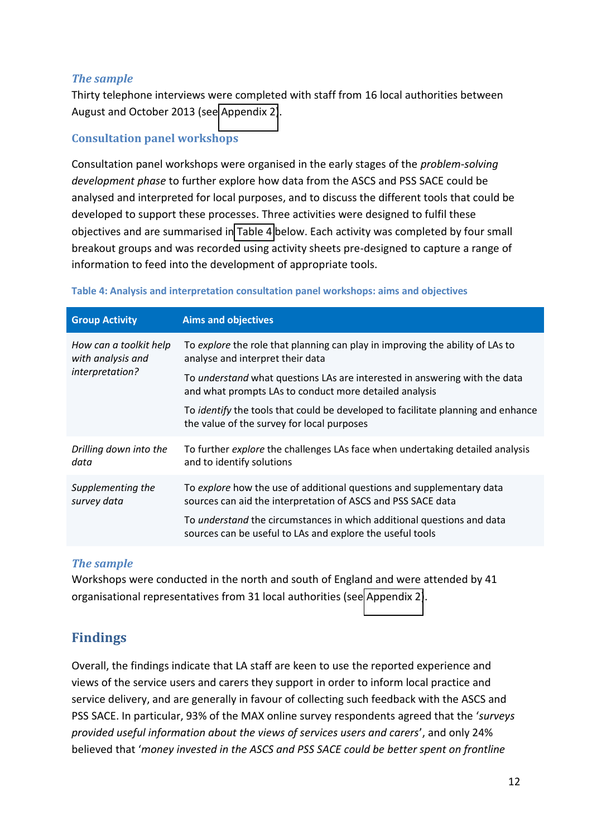### *The sample*

Thirty telephone interviews were completed with staff from 16 local authorities between August and October 2013 (see [Appendix 2\)](#page-47-0).

### **Consultation panel workshops**

Consultation panel workshops were organised in the early stages of the *problem-solving development phase* to further explore how data from the ASCS and PSS SACE could be analysed and interpreted for local purposes, and to discuss the different tools that could be developed to support these processes. Three activities were designed to fulfil these objectives and are summarised in [Table 4](#page-17-2) below. Each activity was completed by four small breakout groups and was recorded using activity sheets pre-designed to capture a range of information to feed into the development of appropriate tools.

<span id="page-18-1"></span>

| <b>Aims and objectives</b>                                                                                                                  |  |
|---------------------------------------------------------------------------------------------------------------------------------------------|--|
| To explore the role that planning can play in improving the ability of LAs to<br>analyse and interpret their data                           |  |
| To <i>understand</i> what questions LAs are interested in answering with the data<br>and what prompts LAs to conduct more detailed analysis |  |
| To <i>identify</i> the tools that could be developed to facilitate planning and enhance<br>the value of the survey for local purposes       |  |
| To further explore the challenges LAs face when undertaking detailed analysis<br>and to identify solutions                                  |  |
| To explore how the use of additional questions and supplementary data<br>sources can aid the interpretation of ASCS and PSS SACE data       |  |
| To <i>understand</i> the circumstances in which additional questions and data<br>sources can be useful to LAs and explore the useful tools  |  |
|                                                                                                                                             |  |

### **Table 4: Analysis and interpretation consultation panel workshops: aims and objectives**

### <span id="page-18-0"></span>*The sample*

Workshops were conducted in the north and south of England and were attended by 41 organisational representatives from 31 local authorities (see [Appendix 2\)](#page-47-0).

# **Findings**

Overall, the findings indicate that LA staff are keen to use the reported experience and views of the service users and carers they support in order to inform local practice and service delivery, and are generally in favour of collecting such feedback with the ASCS and PSS SACE. In particular, 93% of the MAX online survey respondents agreed that the 'surveys provided useful information about the views of services users and carers', and only 24% believed that 'money invested in the ASCS and PSS SACE could be better spent on frontline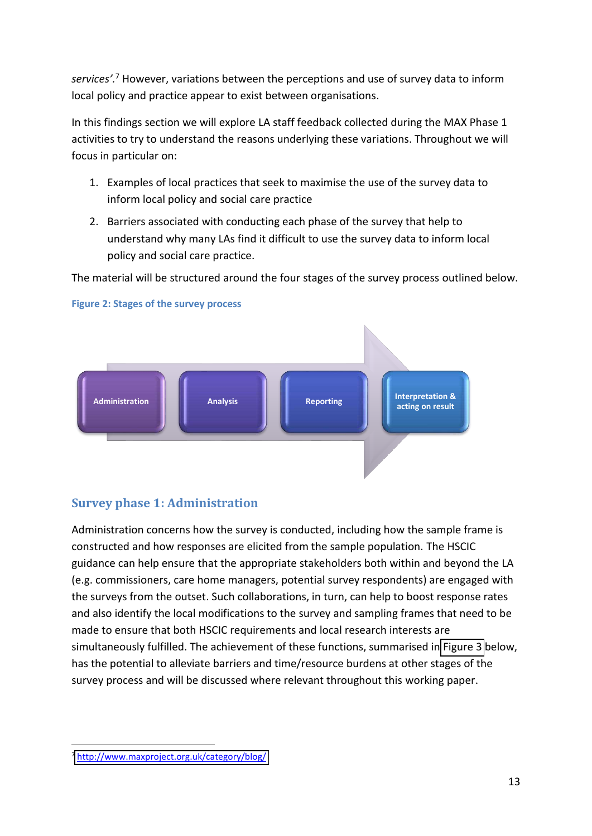<span id="page-19-1"></span>services<sup>'.7</sup> However, variations between the perceptions and use of survey data to inform local policy and practice appear to exist between organisations.

In this findings section we will explore LA staff feedback collected during the MAX Phase 1 activities to try to understand the reasons underlying these variations. Throughout we will focus in particular on:

- 1. Examples of local practices that seek to maximise the use of the survey data to inform local policy and social care practice
- 2. Barriers associated with conducting each phase of the survey that help to understand why many LAs find it difficult to use the survey data to inform local policy and social care practice.

The material will be structured around the four stages of the survey process outlined below.

<span id="page-19-0"></span>

### **Figure 2: Stages of the survey process**

# **Survey phase 1: Administration**

Administration concerns how the survey is conducted, including how the sample frame is constructed and how responses are elicited from the sample population. The HSCIC guidance can help ensure that the appropriate stakeholders both within and beyond the LA (e.g. commissioners, care home managers, potential survey respondents) are engaged with the surveys from the outset. Such collaborations, in turn, can help to boost response rates and also identify the local modifications to the survey and sampling frames that need to be made to ensure that both HSCIC requirements and local research interests are simultaneously fulfilled. The achievement of these functions, summarised in [Figure 3](#page-19-1) below, has the potential to alleviate barriers and time/resource burdens at other stages of the survey process and will be discussed where relevant throughout this working paper.

.

<sup>7</sup> <http://www.maxproject.org.uk/category/blog/>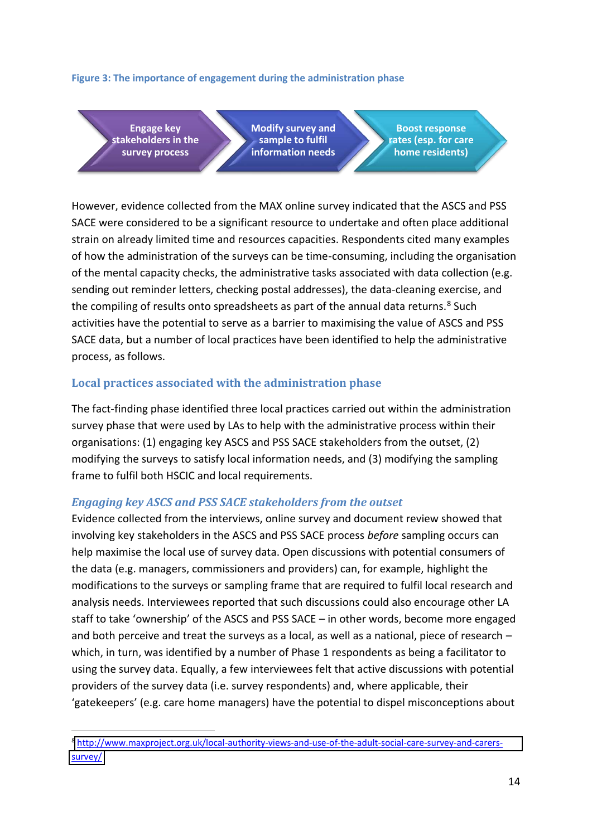### **Figure 3: The importance of engagement during the administration phase**

**Engage key stakeholders in the survey process**

1

**Modify survey and sample to fulfil information needs**

**Boost response rates (esp. for care home residents)**

<span id="page-20-0"></span>However, evidence collected from the MAX online survey indicated that the ASCS and PSS SACE were considered to be a significant resource to undertake and often place additional strain on already limited time and resources capacities. Respondents cited many examples of how the administration of the surveys can be time-consuming, including the organisation of the mental capacity checks, the administrative tasks associated with data collection (e.g. sending out reminder letters, checking postal addresses), the data-cleaning exercise, and the compiling of results onto spreadsheets as part of the annual data returns.<sup>8</sup> Such activities have the potential to serve as a barrier to maximising the value of ASCS and PSS SACE data, but a number of local practices have been identified to help the administrative process, as follows.

### **Local practices associated with the administration phase**

The fact-finding phase identified three local practices carried out within the administration survey phase that were used by LAs to help with the administrative process within their organisations: (1) engaging key ASCS and PSS SACE stakeholders from the outset, (2) modifying the surveys to satisfy local information needs, and (3) modifying the sampling frame to fulfil both HSCIC and local requirements.

### *Engaging key ASCS and PSS SACE stakeholders from the outset*

Evidence collected from the interviews, online survey and document review showed that involving key stakeholders in the ASCS and PSS SACE process *before* sampling occurs can help maximise the local use of survey data. Open discussions with potential consumers of the data (e.g. managers, commissioners and providers) can, for example, highlight the modifications to the surveys or sampling frame that are required to fulfil local research and analysis needs. Interviewees reported that such discussions could also encourage other LA staff to take 'ownership' of the ASCS and PSS SACE - in other words, become more engaged and both perceive and treat the surveys as a local, as well as a national, piece of research  $$ which, in turn, was identified by a number of Phase 1 respondents as being a facilitator to using the survey data. Equally, a few interviewees felt that active discussions with potential providers of the survey data (i.e. survey respondents) and, where applicable, their 'gatekeepers' (e.g. care home managers) have the potential to dispel misconceptions about

<sup>8</sup> [http://www.maxproject.org.uk/local-authority-views-and-use-of-the-adult-social-care-survey-and-carers](http://www.maxproject.org.uk/local-authority-views-and-use-of-the-adult-social-care-survey-and-carers-survey/)[survey/](http://www.maxproject.org.uk/local-authority-views-and-use-of-the-adult-social-care-survey-and-carers-survey/)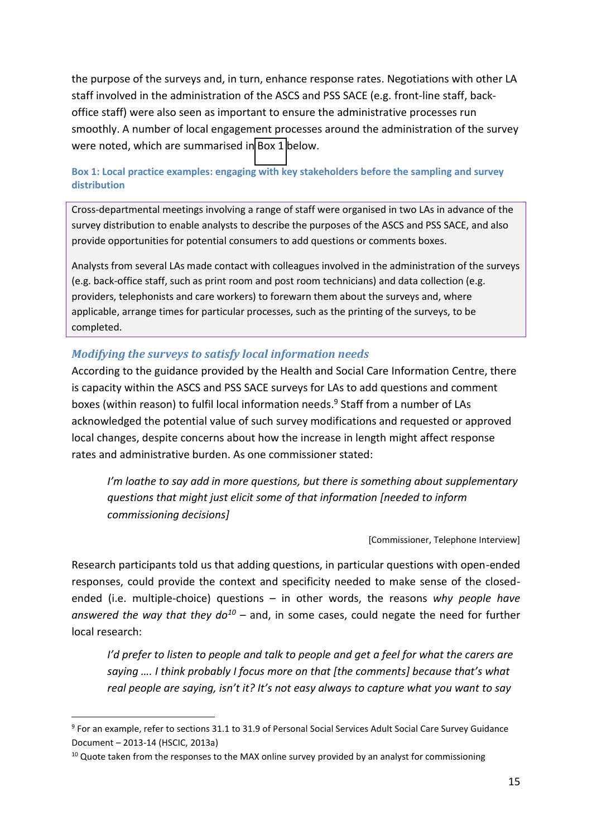the purpose of the surveys and, in turn, enhance response rates. Negotiations with other LA staff involved in the administration of the ASCS and PSS SACE (e.g. front-line staff, backoffice staff) were also seen as important to ensure the administrative processes run smoothly. A number of local engagement processes around the administration of the survey were noted, which are summarised i[n Box 1](#page-20-0) below.

### **Box 1: Local practice examples: engaging with key stakeholders before the sampling and survey distribution**

Cross-departmental meetings involving a range of staff were organised in two LAs in advance of the survey distribution to enable analysts to describe the purposes of the ASCS and PSS SACE, and also provide opportunities for potential consumers to add questions or comments boxes.

<span id="page-21-0"></span>Analysts from several LAs made contact with colleagues involved in the administration of the surveys (e.g. back-office staff, such as print room and post room technicians) and data collection (e.g. providers, telephonists and care workers) to forewarn them about the surveys and, where applicable, arrange times for particular processes, such as the printing of the surveys, to be completed.

### *Modifying the surveys to satisfy local information needs*

According to the guidance provided by the Health and Social Care Information Centre, there is capacity within the ASCS and PSS SACE surveys for LAs to add questions and comment boxes (within reason) to fulfil local information needs.<sup>9</sup> Staff from a number of LAs acknowledged the potential value of such survey modifications and requested or approved local changes, despite concerns about how the increase in length might affect response rates and administrative burden. As one commissioner stated:

*I'm loathe to say add in more questions, but there is something about supplementary questions that might just elicit some of that information [needed to inform commissioning decisions]* 

[Commissioner, Telephone Interview]

Research participants told us that adding questions, in particular questions with open-ended responses, could provide the context and specificity needed to make sense of the closedended (i.e. multiple-choice) questions - in other words, the reasons why people have answered the way that they  $d\sigma^{10}$  – and, in some cases, could negate the need for further local research:

*I'd prefer to listen to people and talk to people and get a feel for what the carers are Saying .... I think probably I focus more on that [the comments] because that's what real people are saying, isn't it? It's not easy always to capture what you want to say* 

.

<sup>&</sup>lt;sup>9</sup> For an example, refer to sections 31.1 to 31.9 of Personal Social Services Adult Social Care Survey Guidance Document に 2013-14 (HSCIC, 2013a)

<sup>&</sup>lt;sup>10</sup> Quote taken from the responses to the MAX online survey provided by an analyst for commissioning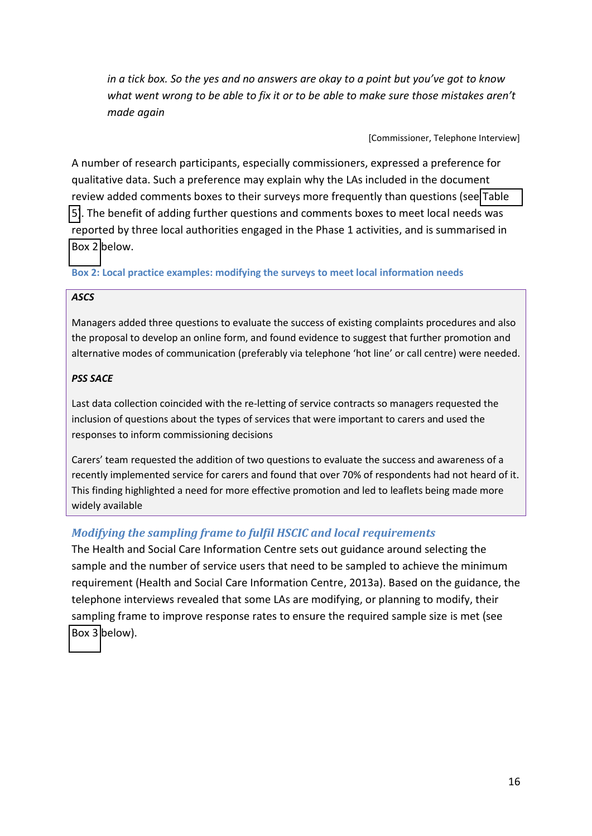<span id="page-22-1"></span>*in a tick box. So the yes and no answers are okay to a point but you've got to know what went wrong to be able to fix it or to be able to make sure those mistakes aren't made again* 

[Commissioner, Telephone Interview]

A number of research participants, especially commissioners, expressed a preference for qualitative data. Such a preference may explain why the LAs included in the document review added comments boxes to their surveys more frequently than questions (see [Table](#page-22-2)  [5\)](#page-22-2). The benefit of adding further questions and comments boxes to meet local needs was reported by three local authorities engaged in the Phase 1 activities, and is summarised in [Box 2](#page-21-0) below.

### **Box 2: Local practice examples: modifying the surveys to meet local information needs**

### <span id="page-22-0"></span>*ASCS*

Managers added three questions to evaluate the success of existing complaints procedures and also the proposal to develop an online form, and found evidence to suggest that further promotion and alternative modes of communication (preferably via telephone 'hot line' or call centre) were needed.

### *PSS SACE*

Last data collection coincided with the re-letting of service contracts so managers requested the inclusion of questions about the types of services that were important to carers and used the responses to inform commissioning decisions

<span id="page-22-2"></span>Carers' team requested the addition of two questions to evaluate the success and awareness of a recently implemented service for carers and found that over 70% of respondents had not heard of it. This finding highlighted a need for more effective promotion and led to leaflets being made more widely available

### *Modifying the sampling frame to fulfil HSCIC and local requirements*

The Health and Social Care Information Centre sets out guidance around selecting the sample and the number of service users that need to be sampled to achieve the minimum requirement (Health and Social Care Information Centre, 2013a). Based on the guidance, the telephone interviews revealed that some LAs are modifying, or planning to modify, their sampling frame to improve response rates to ensure the required sample size is met (see [Box 3](#page-22-1) below).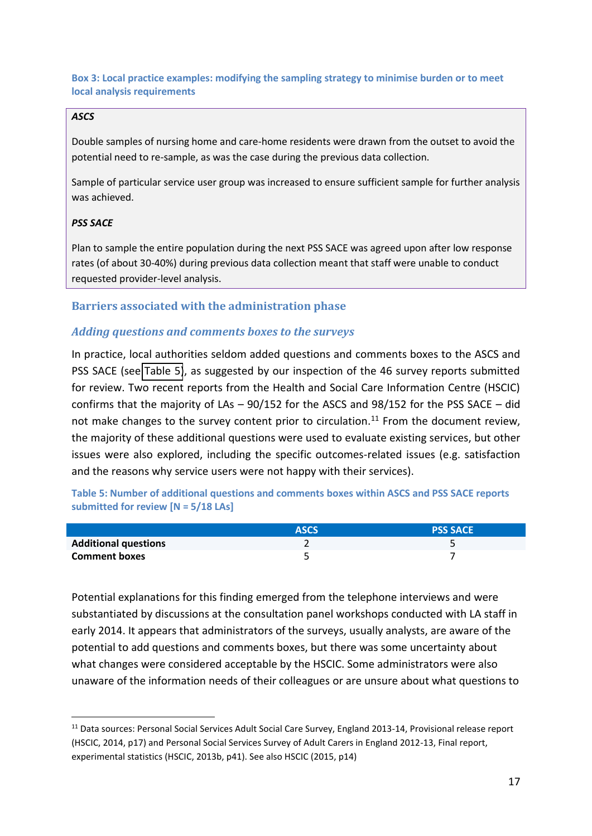**Box 3: Local practice examples: modifying the sampling strategy to minimise burden or to meet local analysis requirements** 

### *ASCS*

Double samples of nursing home and care-home residents were drawn from the outset to avoid the potential need to re-sample, as was the case during the previous data collection.

Sample of particular service user group was increased to ensure sufficient sample for further analysis was achieved.

### *PSS SACE*

.

Plan to sample the entire population during the next PSS SACE was agreed upon after low response rates (of about 30-40%) during previous data collection meant that staff were unable to conduct requested provider-level analysis.

### **Barriers associated with the administration phase**

### *Adding questions and comments boxes to the surveys*

In practice, local authorities seldom added questions and comments boxes to the ASCS and PSS SACE (see [Table 5\)](#page-22-2), as suggested by our inspection of the 46 survey reports submitted for review. Two recent reports from the Health and Social Care Information Centre (HSCIC) confirms that the majority of LAs  $-$  90/152 for the ASCS and 98/152 for the PSS SACE  $-$  did not make changes to the survey content prior to circulation.<sup>11</sup> From the document review, the majority of these additional questions were used to evaluate existing services, but other issues were also explored, including the specific outcomes-related issues (e.g. satisfaction and the reasons why service users were not happy with their services).

**Table 5: Number of additional questions and comments boxes within ASCS and PSS SACE reports submitted for review [N = 5/18 LAs]**

|                             | <b>ASCS</b> | <b>PSS SACE</b> |
|-----------------------------|-------------|-----------------|
| <b>Additional questions</b> |             |                 |
| <b>Comment boxes</b>        |             |                 |

Potential explanations for this finding emerged from the telephone interviews and were substantiated by discussions at the consultation panel workshops conducted with LA staff in early 2014. It appears that administrators of the surveys, usually analysts, are aware of the potential to add questions and comments boxes, but there was some uncertainty about what changes were considered acceptable by the HSCIC. Some administrators were also unaware of the information needs of their colleagues or are unsure about what questions to

<sup>&</sup>lt;sup>11</sup> Data sources: Personal Social Services Adult Social Care Survey, England 2013-14, Provisional release report (HSCIC, 2014, p17) and Personal Social Services Survey of Adult Carers in England 2012-13, Final report, experimental statistics (HSCIC, 2013b, p41). See also HSCIC (2015, p14)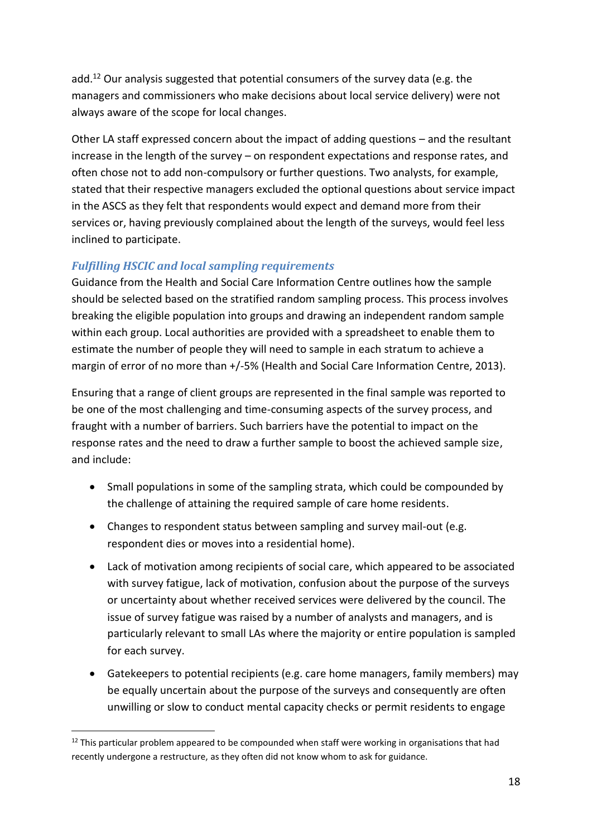add.<sup>12</sup> Our analysis suggested that potential consumers of the survey data (e.g. the managers and commissioners who make decisions about local service delivery) were not always aware of the scope for local changes.

<span id="page-24-0"></span>Other LA staff expressed concern about the impact of adding questions – and the resultant  $increases$  in the length of the survey  $-$  on respondent expectations and response rates, and often chose not to add non-compulsory or further questions. Two analysts, for example, stated that their respective managers excluded the optional questions about service impact in the ASCS as they felt that respondents would expect and demand more from their services or, having previously complained about the length of the surveys, would feel less inclined to participate.

### *Fulfilling HSCIC and local sampling requirements*

<span id="page-24-1"></span>Guidance from the Health and Social Care Information Centre outlines how the sample should be selected based on the stratified random sampling process. This process involves breaking the eligible population into groups and drawing an independent random sample within each group. Local authorities are provided with a spreadsheet to enable them to estimate the number of people they will need to sample in each stratum to achieve a margin of error of no more than +/-5% (Health and Social Care Information Centre, 2013).

Ensuring that a range of client groups are represented in the final sample was reported to be one of the most challenging and time-consuming aspects of the survey process, and fraught with a number of barriers. Such barriers have the potential to impact on the response rates and the need to draw a further sample to boost the achieved sample size, and include:

- Small populations in some of the sampling strata, which could be compounded by the challenge of attaining the required sample of care home residents.
- Changes to respondent status between sampling and survey mail-out (e.g. respondent dies or moves into a residential home).
- Lack of motivation among recipients of social care, which appeared to be associated with survey fatigue, lack of motivation, confusion about the purpose of the surveys or uncertainty about whether received services were delivered by the council. The issue of survey fatigue was raised by a number of analysts and managers, and is particularly relevant to small LAs where the majority or entire population is sampled for each survey.
- <span id="page-24-2"></span> Gatekeepers to potential recipients (e.g. care home managers, family members) may be equally uncertain about the purpose of the surveys and consequently are often unwilling or slow to conduct mental capacity checks or permit residents to engage

1

 $12$  This particular problem appeared to be compounded when staff were working in organisations that had recently undergone a restructure, as they often did not know whom to ask for guidance.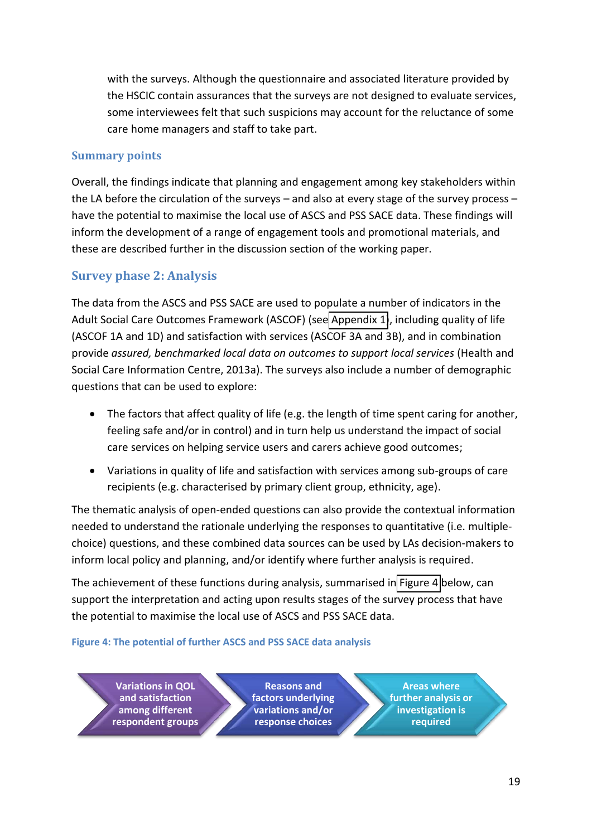<span id="page-25-0"></span>with the surveys. Although the questionnaire and associated literature provided by the HSCIC contain assurances that the surveys are not designed to evaluate services, some interviewees felt that such suspicions may account for the reluctance of some care home managers and staff to take part.

### <span id="page-25-1"></span>**Summary points**

Overall, the findings indicate that planning and engagement among key stakeholders within the LA before the circulation of the surveys  $-$  and also at every stage of the survey process  $$ have the potential to maximise the local use of ASCS and PSS SACE data. These findings will inform the development of a range of engagement tools and promotional materials, and these are described further in the discussion section of the working paper.

# **Survey phase 2: Analysis**

The data from the ASCS and PSS SACE are used to populate a number of indicators in the Adult Social Care Outcomes Framework (ASCOF) (see [Appendix 1\)](#page-46-0), including quality of life (ASCOF 1A and 1D) and satisfaction with services (ASCOF 3A and 3B), and in combination provide *assured, benchmarked local data on outcomes to support local services* (Health and Social Care Information Centre, 2013a). The surveys also include a number of demographic questions that can be used to explore:

- The factors that affect quality of life (e.g. the length of time spent caring for another, feeling safe and/or in control) and in turn help us understand the impact of social care services on helping service users and carers achieve good outcomes;
- Variations in quality of life and satisfaction with services among sub-groups of care recipients (e.g. characterised by primary client group, ethnicity, age).

The thematic analysis of open-ended questions can also provide the contextual information needed to understand the rationale underlying the responses to quantitative (i.e. multiplechoice) questions, and these combined data sources can be used by LAs decision-makers to inform local policy and planning, and/or identify where further analysis is required.

The achievement of these functions during analysis, summarised in [Figure 4](#page-24-2) below, can support the interpretation and acting upon results stages of the survey process that have the potential to maximise the local use of ASCS and PSS SACE data.

### **Figure 4: The potential of further ASCS and PSS SACE data analysis**

**Variations in QOL and satisfaction among different respondent groups**

**Reasons and factors underlying variations and/or response choices**

**Areas where further analysis or investigation is required**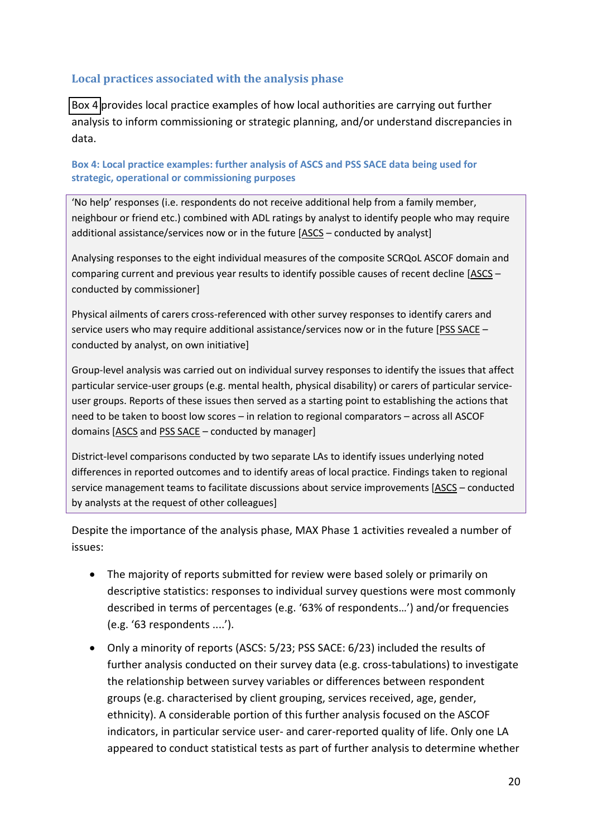### **Local practices associated with the analysis phase**

[Box 4](#page-25-1) provides local practice examples of how local authorities are carrying out further analysis to inform commissioning or strategic planning, and/or understand discrepancies in data.

**Box 4: Local practice examples: further analysis of ASCS and PSS SACE data being used for strategic, operational or commissioning purposes** 

'No help' responses (i.e. respondents do not receive additional help from a family member, neighbour or friend etc.) combined with ADL ratings by analyst to identify people who may require additional assistance/services now or in the future [ASCS - conducted by analyst]

<span id="page-26-0"></span>Analysing responses to the eight individual measures of the composite SCRQoL ASCOF domain and comparing current and previous year results to identify possible causes of recent decline [ASCS – conducted by commissioner]

Physical ailments of carers cross-referenced with other survey responses to identify carers and service users who may require additional assistance/services now or in the future [PSS SACE conducted by analyst, on own initiative]

Group-level analysis was carried out on individual survey responses to identify the issues that affect particular service-user groups (e.g. mental health, physical disability) or carers of particular serviceuser groups. Reports of these issues then served as a starting point to establishing the actions that need to be taken to boost low scores - in relation to regional comparators - across all ASCOF domains  $[ASCS]$  and  $PSS$  SACE – conducted by manager]

District-level comparisons conducted by two separate LAs to identify issues underlying noted differences in reported outcomes and to identify areas of local practice. Findings taken to regional service management teams to facilitate discussions about service improvements [ASCS - conducted by analysts at the request of other colleagues]

Despite the importance of the analysis phase, MAX Phase 1 activities revealed a number of issues:

- The majority of reports submitted for review were based solely or primarily on descriptive statistics: responses to individual survey questions were most commonly described in terms of percentages (e.g. '63% of respondents...') and/or frequencies  $(e.g. '63$  respondents  $....')$ .
- Only a minority of reports (ASCS: 5/23; PSS SACE: 6/23) included the results of further analysis conducted on their survey data (e.g. cross-tabulations) to investigate the relationship between survey variables or differences between respondent groups (e.g. characterised by client grouping, services received, age, gender, ethnicity). A considerable portion of this further analysis focused on the ASCOF indicators, in particular service user- and carer-reported quality of life. Only one LA appeared to conduct statistical tests as part of further analysis to determine whether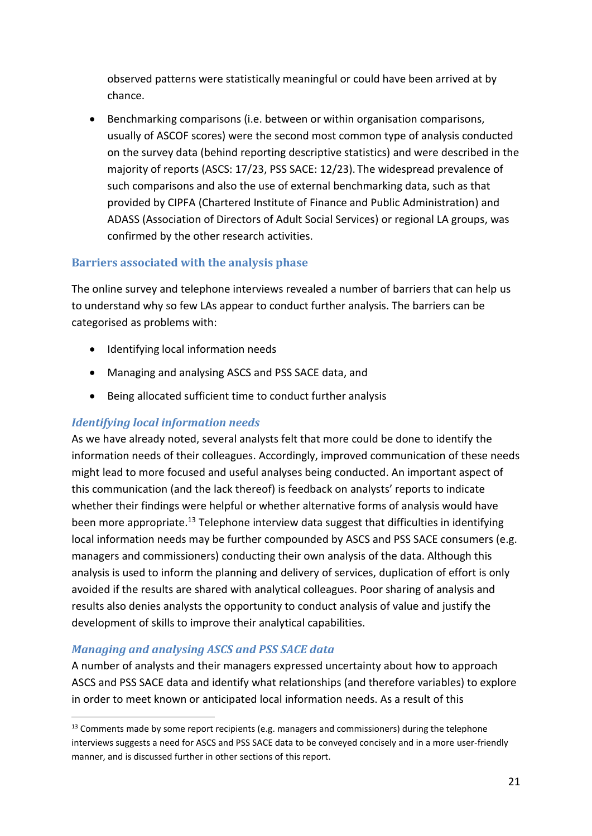observed patterns were statistically meaningful or could have been arrived at by chance.

 Benchmarking comparisons (i.e. between or within organisation comparisons, usually of ASCOF scores) were the second most common type of analysis conducted on the survey data (behind reporting descriptive statistics) and were described in the majority of reports (ASCS: 17/23, PSS SACE: 12/23). The widespread prevalence of such comparisons and also the use of external benchmarking data, such as that provided by CIPFA (Chartered Institute of Finance and Public Administration) and ADASS (Association of Directors of Adult Social Services) or regional LA groups, was confirmed by the other research activities.

### **Barriers associated with the analysis phase**

The online survey and telephone interviews revealed a number of barriers that can help us to understand why so few LAs appear to conduct further analysis. The barriers can be categorised as problems with:

- Identifying local information needs
- Managing and analysing ASCS and PSS SACE data, and
- Being allocated sufficient time to conduct further analysis

### *Identifying local information needs*

As we have already noted, several analysts felt that more could be done to identify the information needs of their colleagues. Accordingly, improved communication of these needs might lead to more focused and useful analyses being conducted. An important aspect of this communication (and the lack thereof) is feedback on analysts' reports to indicate whether their findings were helpful or whether alternative forms of analysis would have been more appropriate.<sup>13</sup> Telephone interview data suggest that difficulties in identifying local information needs may be further compounded by ASCS and PSS SACE consumers (e.g. managers and commissioners) conducting their own analysis of the data. Although this analysis is used to inform the planning and delivery of services, duplication of effort is only avoided if the results are shared with analytical colleagues. Poor sharing of analysis and results also denies analysts the opportunity to conduct analysis of value and justify the development of skills to improve their analytical capabilities.

### *Managing and analysing ASCS and PSS SACE data*

.

A number of analysts and their managers expressed uncertainty about how to approach ASCS and PSS SACE data and identify what relationships (and therefore variables) to explore in order to meet known or anticipated local information needs. As a result of this

<sup>&</sup>lt;sup>13</sup> Comments made by some report recipients (e.g. managers and commissioners) during the telephone interviews suggests a need for ASCS and PSS SACE data to be conveyed concisely and in a more user-friendly manner, and is discussed further in other sections of this report.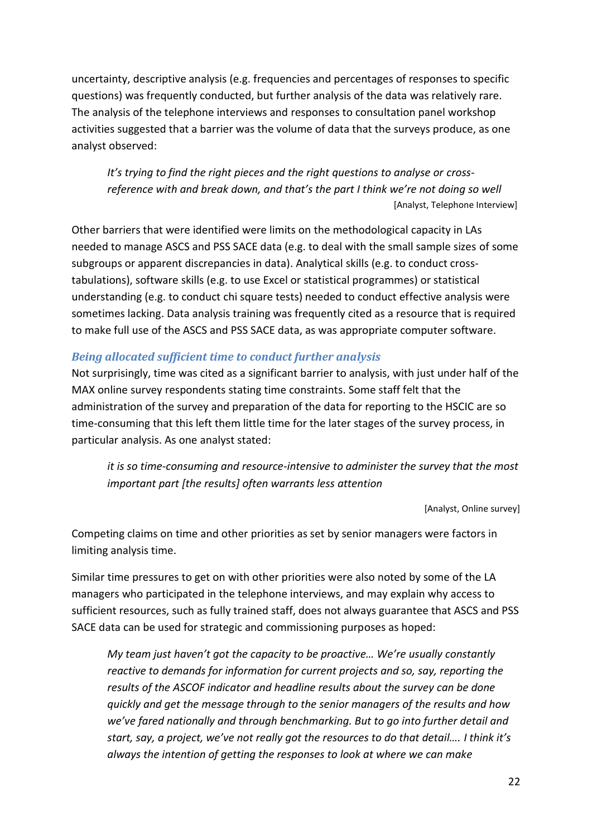uncertainty, descriptive analysis (e.g. frequencies and percentages of responses to specific questions) was frequently conducted, but further analysis of the data was relatively rare. The analysis of the telephone interviews and responses to consultation panel workshop activities suggested that a barrier was the volume of data that the surveys produce, as one analyst observed:

*It's trying to find the right pieces and the right questions to analyse or crossreference with and break down, and that's the part I think we're not doing so well* [Analyst, Telephone Interview]

<span id="page-28-0"></span>Other barriers that were identified were limits on the methodological capacity in LAs needed to manage ASCS and PSS SACE data (e.g. to deal with the small sample sizes of some subgroups or apparent discrepancies in data). Analytical skills (e.g. to conduct crosstabulations), software skills (e.g. to use Excel or statistical programmes) or statistical understanding (e.g. to conduct chi square tests) needed to conduct effective analysis were sometimes lacking. Data analysis training was frequently cited as a resource that is required to make full use of the ASCS and PSS SACE data, as was appropriate computer software.

### <span id="page-28-1"></span>*Being allocated sufficient time to conduct further analysis*

Not surprisingly, time was cited as a significant barrier to analysis, with just under half of the MAX online survey respondents stating time constraints. Some staff felt that the administration of the survey and preparation of the data for reporting to the HSCIC are so time-consuming that this left them little time for the later stages of the survey process, in particular analysis. As one analyst stated:

*it is so time-consuming and resource-intensive to administer the survey that the most important part [the results] often warrants less attention*

[Analyst, Online survey]

Competing claims on time and other priorities as set by senior managers were factors in limiting analysis time.

Similar time pressures to get on with other priorities were also noted by some of the LA managers who participated in the telephone interviews, and may explain why access to sufficient resources, such as fully trained staff, does not always guarantee that ASCS and PSS SACE data can be used for strategic and commissioning purposes as hoped:

<span id="page-28-2"></span>*My team just haven't got the capacity to be proactive... We're usually constantly reactive to demands for information for current projects and so, say, reporting the results of the ASCOF indicator and headline results about the survey can be done quickly and get the message through to the senior managers of the results and how*  we've fared nationally and through benchmarking. But to go into further detail and *start, say, a project, we've not really got the resources to do that detail.... I think it's always the intention of getting the responses to look at where we can make*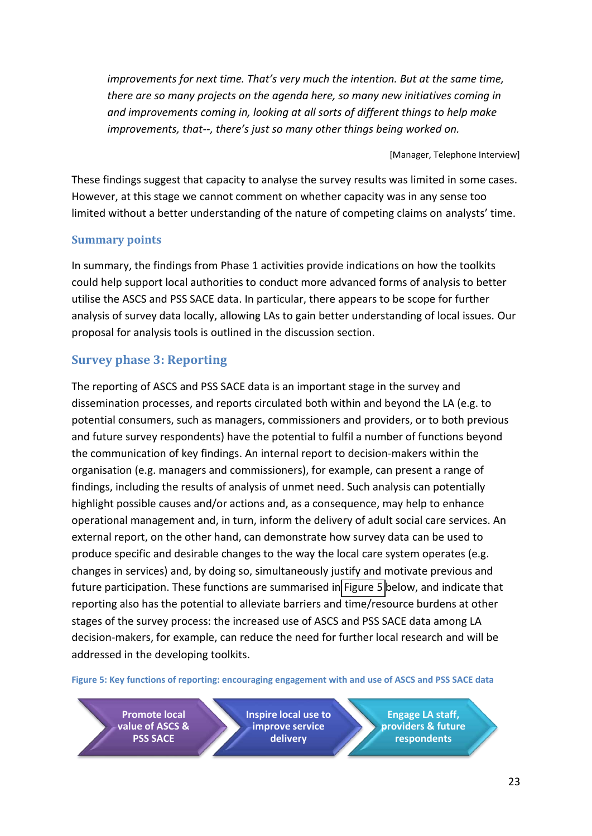*improvements for next time. That's very much the intention. But at the same time, there are so many projects on the agenda here, so many new initiatives coming in and improvements coming in, looking at all sorts of different things to help make improvements, that--, there's just so many other things being worked on.* 

[Manager, Telephone Interview]

These findings suggest that capacity to analyse the survey results was limited in some cases. However, at this stage we cannot comment on whether capacity was in any sense too limited without a better understanding of the nature of competing claims on analysts' time.

### <span id="page-29-1"></span>**Summary points**

In summary, the findings from Phase 1 activities provide indications on how the toolkits could help support local authorities to conduct more advanced forms of analysis to better utilise the ASCS and PSS SACE data. In particular, there appears to be scope for further analysis of survey data locally, allowing LAs to gain better understanding of local issues. Our proposal for analysis tools is outlined in the discussion section.

# **Survey phase 3: Reporting**

<span id="page-29-0"></span>The reporting of ASCS and PSS SACE data is an important stage in the survey and dissemination processes, and reports circulated both within and beyond the LA (e.g. to potential consumers, such as managers, commissioners and providers, or to both previous and future survey respondents) have the potential to fulfil a number of functions beyond the communication of key findings. An internal report to decision-makers within the organisation (e.g. managers and commissioners), for example, can present a range of findings, including the results of analysis of unmet need. Such analysis can potentially highlight possible causes and/or actions and, as a consequence, may help to enhance operational management and, in turn, inform the delivery of adult social care services. An external report, on the other hand, can demonstrate how survey data can be used to produce specific and desirable changes to the way the local care system operates (e.g. changes in services) and, by doing so, simultaneously justify and motivate previous and future participation. These functions are summarised in [Figure 5](#page-28-2) below, and indicate that reporting also has the potential to alleviate barriers and time/resource burdens at other stages of the survey process: the increased use of ASCS and PSS SACE data among LA decision-makers, for example, can reduce the need for further local research and will be addressed in the developing toolkits.

**Figure 5: Key functions of reporting: encouraging engagement with and use of ASCS and PSS SACE data** 

**Promote local value of ASCS & PSS SACE**

**Inspire local use to improve service delivery**

**Engage LA staff, providers & future respondents**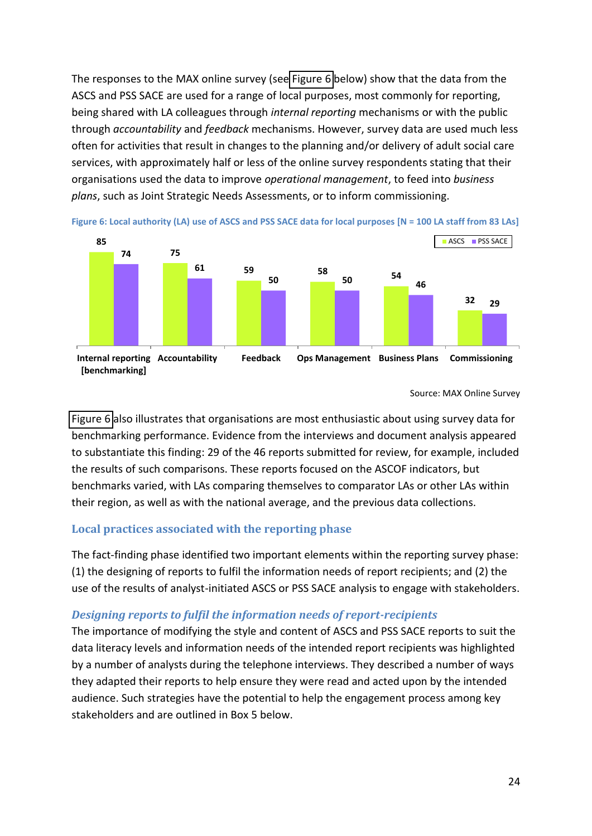<span id="page-30-0"></span>The responses to the MAX online survey (see [Figure 6](#page-29-1) below) show that the data from the ASCS and PSS SACE are used for a range of local purposes, most commonly for reporting, being shared with LA colleagues through *internal reporting* mechanisms or with the public through *accountability* and *feedback* mechanisms. However, survey data are used much less often for activities that result in changes to the planning and/or delivery of adult social care services, with approximately half or less of the online survey respondents stating that their organisations used the data to improve *operational management*, to feed into *business plans*, such as Joint Strategic Needs Assessments, or to inform commissioning.



**Figure 6: Local authority (LA) use of ASCS and PSS SACE data for local purposes [N = 100 LA staff from 83 LAs]** 

### Source: MAX Online Survey

[Figure 6](#page-29-1) also illustrates that organisations are most enthusiastic about using survey data for benchmarking performance. Evidence from the interviews and document analysis appeared to substantiate this finding: 29 of the 46 reports submitted for review, for example, included the results of such comparisons. These reports focused on the ASCOF indicators, but benchmarks varied, with LAs comparing themselves to comparator LAs or other LAs within their region, as well as with the national average, and the previous data collections.

### <span id="page-30-1"></span>**Local practices associated with the reporting phase**

The fact-finding phase identified two important elements within the reporting survey phase: (1) the designing of reports to fulfil the information needs of report recipients; and (2) the use of the results of analyst-initiated ASCS or PSS SACE analysis to engage with stakeholders.

### *Designing reports to fulfil the information needs of report-recipients*

The importance of modifying the style and content of ASCS and PSS SACE reports to suit the data literacy levels and information needs of the intended report recipients was highlighted by a number of analysts during the telephone interviews. They described a number of ways they adapted their reports to help ensure they were read and acted upon by the intended audience. Such strategies have the potential to help the engagement process among key stakeholders and are outlined in Box 5 below.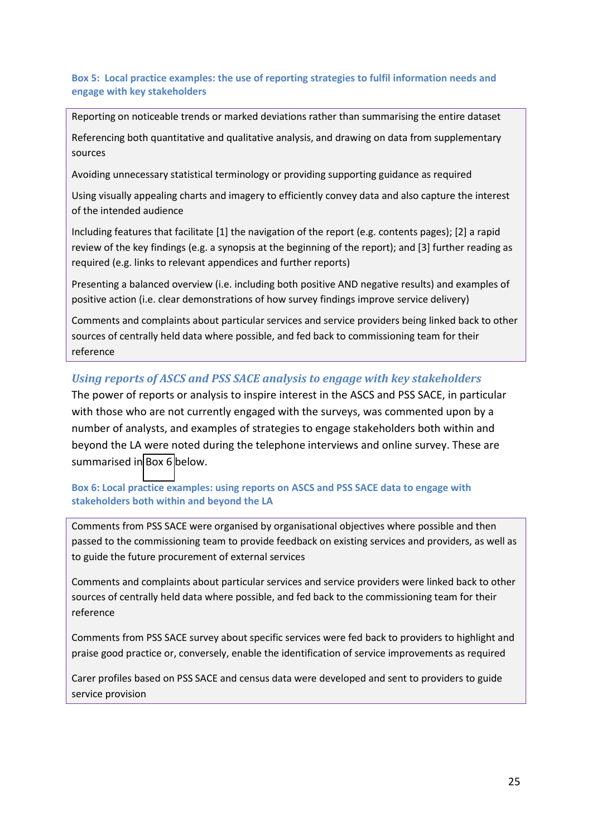### <span id="page-31-0"></span>**Box 5: Local practice examples: the use of reporting strategies to fulfil information needs and engage with key stakeholders**

Reporting on noticeable trends or marked deviations rather than summarising the entire dataset

Referencing both quantitative and qualitative analysis, and drawing on data from supplementary sources

Avoiding unnecessary statistical terminology or providing supporting guidance as required

Using visually appealing charts and imagery to efficiently convey data and also capture the interest of the intended audience

Including features that facilitate [1] the navigation of the report (e.g. contents pages); [2] a rapid review of the key findings (e.g. a synopsis at the beginning of the report); and [3] further reading as required (e.g. links to relevant appendices and further reports)

Presenting a balanced overview (i.e. including both positive AND negative results) and examples of positive action (i.e. clear demonstrations of how survey findings improve service delivery)

Comments and complaints about particular services and service providers being linked back to other sources of centrally held data where possible, and fed back to commissioning team for their reference

### *Using reports of ASCS and PSS SACE analysis to engage with key stakeholders*

The power of reports or analysis to inspire interest in the ASCS and PSS SACE, in particular with those who are not currently engaged with the surveys, was commented upon by a number of analysts, and examples of strategies to engage stakeholders both within and beyond the LA were noted during the telephone interviews and online survey. These are summarised in [Box 6](#page-30-1) below.

### **Box 6: Local practice examples: using reports on ASCS and PSS SACE data to engage with stakeholders both within and beyond the LA**

Comments from PSS SACE were organised by organisational objectives where possible and then passed to the commissioning team to provide feedback on existing services and providers, as well as to guide the future procurement of external services

Comments and complaints about particular services and service providers were linked back to other sources of centrally held data where possible, and fed back to the commissioning team for their reference

Comments from PSS SACE survey about specific services were fed back to providers to highlight and praise good practice or, conversely, enable the identification of service improvements as required

Carer profiles based on PSS SACE and census data were developed and sent to providers to guide service provision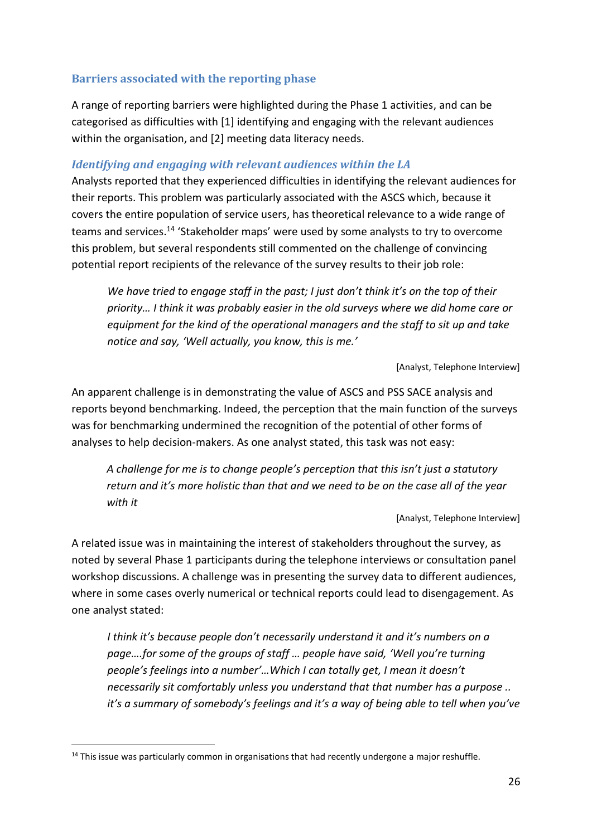### **Barriers associated with the reporting phase**

A range of reporting barriers were highlighted during the Phase 1 activities, and can be categorised as difficulties with [1] identifying and engaging with the relevant audiences within the organisation, and [2] meeting data literacy needs.

### *Identifying and engaging with relevant audiences within the LA*

Analysts reported that they experienced difficulties in identifying the relevant audiences for their reports. This problem was particularly associated with the ASCS which, because it covers the entire population of service users, has theoretical relevance to a wide range of teams and services.<sup>14</sup> 'Stakeholder maps' were used by some analysts to try to overcome this problem, but several respondents still commented on the challenge of convincing potential report recipients of the relevance of the survey results to their job role:

*We have tried to engage staff in the past; I just don't think it's on the top of their* priority... I think it was probably easier in the old surveys where we did home care or *equipment for the kind of the operational managers and the staff to sit up and take notice and say, 'Well actually, you know, this is me.'* 

[Analyst, Telephone Interview]

An apparent challenge is in demonstrating the value of ASCS and PSS SACE analysis and reports beyond benchmarking. Indeed, the perception that the main function of the surveys was for benchmarking undermined the recognition of the potential of other forms of analyses to help decision-makers. As one analyst stated, this task was not easy:

*A challenge for me is to change people's perception that this isn't just a statutory return and it's more holistic than that and we need to be on the case all of the year with it* 

[Analyst, Telephone Interview]

A related issue was in maintaining the interest of stakeholders throughout the survey, as noted by several Phase 1 participants during the telephone interviews or consultation panel workshop discussions. A challenge was in presenting the survey data to different audiences, where in some cases overly numerical or technical reports could lead to disengagement. As one analyst stated:

*I think it's because people don't necessarily understand it and it's numbers on a* page....for some of the groups of staff ... people have said, 'Well you're turning people's feelings into a number'...Which I can totally get, I mean it doesn't *necessarily sit comfortably unless you understand that that number has a purpose .. it's a summary of somebody's feelings and it's a way of being able to tell when you've* 

.

<sup>&</sup>lt;sup>14</sup> This issue was particularly common in organisations that had recently undergone a major reshuffle.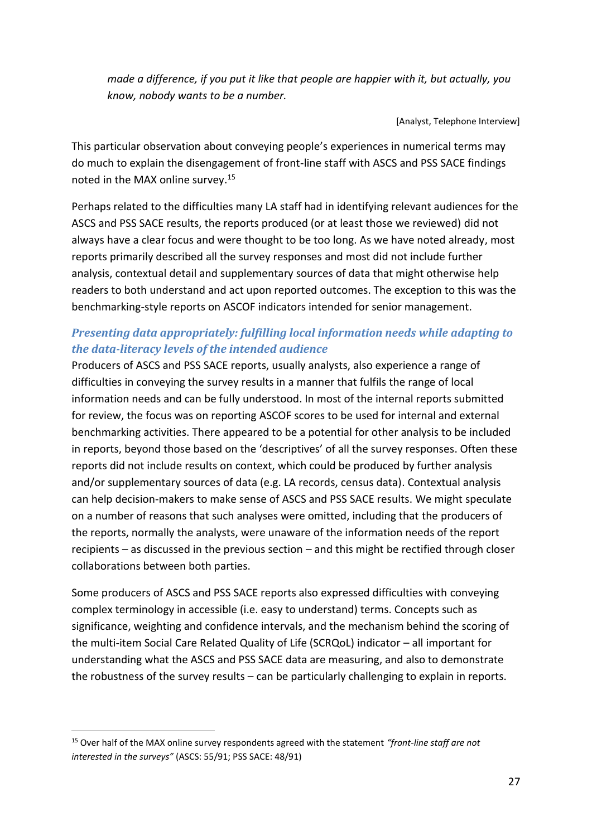*made a difference, if you put it like that people are happier with it, but actually, you know, nobody wants to be a number.* 

[Analyst, Telephone Interview]

This particular observation about conveying people's experiences in numerical terms may do much to explain the disengagement of front-line staff with ASCS and PSS SACE findings noted in the MAX online survey.<sup>15</sup>

Perhaps related to the difficulties many LA staff had in identifying relevant audiences for the ASCS and PSS SACE results, the reports produced (or at least those we reviewed) did not always have a clear focus and were thought to be too long. As we have noted already, most reports primarily described all the survey responses and most did not include further analysis, contextual detail and supplementary sources of data that might otherwise help readers to both understand and act upon reported outcomes. The exception to this was the benchmarking-style reports on ASCOF indicators intended for senior management.

# *Presenting data appropriately: fulfilling local information needs while adapting to the data-literacy levels of the intended audience*

<span id="page-33-0"></span>Producers of ASCS and PSS SACE reports, usually analysts, also experience a range of difficulties in conveying the survey results in a manner that fulfils the range of local information needs and can be fully understood. In most of the internal reports submitted for review, the focus was on reporting ASCOF scores to be used for internal and external benchmarking activities. There appeared to be a potential for other analysis to be included in reports, beyond those based on the 'descriptives' of all the survey responses. Often these reports did not include results on context, which could be produced by further analysis and/or supplementary sources of data (e.g. LA records, census data). Contextual analysis can help decision-makers to make sense of ASCS and PSS SACE results. We might speculate on a number of reasons that such analyses were omitted, including that the producers of the reports, normally the analysts, were unaware of the information needs of the report recipients – as discussed in the previous section – and this might be rectified through closer collaborations between both parties.

<span id="page-33-1"></span>Some producers of ASCS and PSS SACE reports also expressed difficulties with conveying complex terminology in accessible (i.e. easy to understand) terms. Concepts such as significance, weighting and confidence intervals, and the mechanism behind the scoring of the multi-item Social Care Related Quality of Life (SCRQoL) indicator - all important for understanding what the ASCS and PSS SACE data are measuring, and also to demonstrate the robustness of the survey results  $-$  can be particularly challenging to explain in reports.

1

<sup>&</sup>lt;sup>15</sup> Over half of the MAX online survey respondents agreed with the statement *"front-line staff are not interested in the surveys"* (ASCS: 55/91; PSS SACE: 48/91)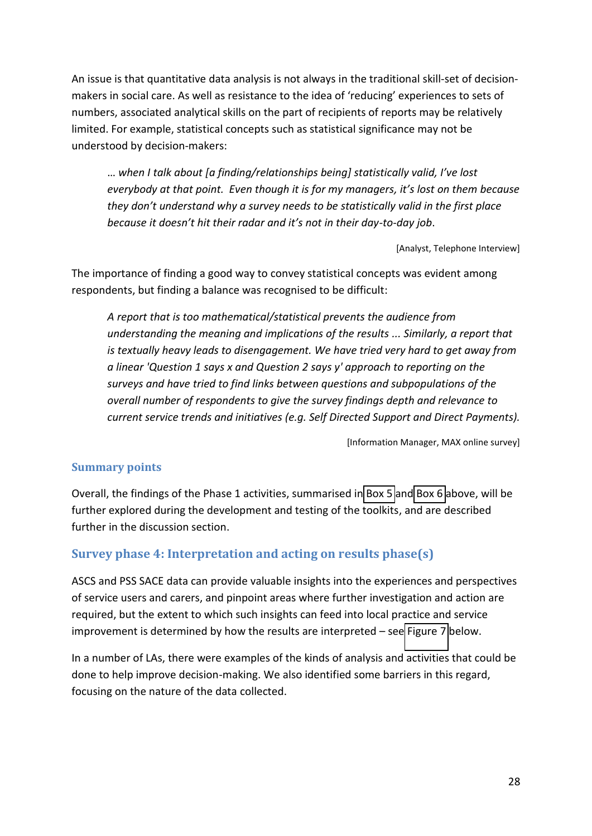<span id="page-34-1"></span>An issue is that quantitative data analysis is not always in the traditional skill-set of decisionmakers in social care. As well as resistance to the idea of 'reducing' experiences to sets of numbers, associated analytical skills on the part of recipients of reports may be relatively limited. For example, statistical concepts such as statistical significance may not be understood by decision-makers:

<span id="page-34-0"></span>when I talk about [a finding/relationships being] statistically valid, I've lost *everybody at that point. Even though it is for my managers, it's lost on them because they don't understand why a survey needs to be statistically valid in the first place hecause it doesn't hit their radar and it's not in their day-to-day job.* 

[Analyst, Telephone Interview]

The importance of finding a good way to convey statistical concepts was evident among respondents, but finding a balance was recognised to be difficult:

*A report that is too mathematical/statistical prevents the audience from understanding the meaning and implications of the results ... Similarly, a report that is textually heavy leads to disengagement. We have tried very hard to get away from a linear 'Question 1 says x and Question 2 says y' approach to reporting on the surveys and have tried to find links between questions and subpopulations of the overall number of respondents to give the survey findings depth and relevance to current service trends and initiatives (e.g. Self Directed Support and Direct Payments).* 

[Information Manager, MAX online survey]

### **Summary points**

Overall, the findings of the Phase 1 activities, summarised in [Box 5](#page-30-0) an[d Box 6](#page-30-1) above, will be further explored during the development and testing of the toolkits, and are described further in the discussion section.

### **Survey phase 4: Interpretation and acting on results phase(s)**

ASCS and PSS SACE data can provide valuable insights into the experiences and perspectives of service users and carers, and pinpoint areas where further investigation and action are required, but the extent to which such insights can feed into local practice and service improvement is determined by how the results are interpreted  $-$  see [Figure 7](#page-34-1) below.

In a number of LAs, there were examples of the kinds of analysis and activities that could be done to help improve decision-making. We also identified some barriers in this regard, focusing on the nature of the data collected.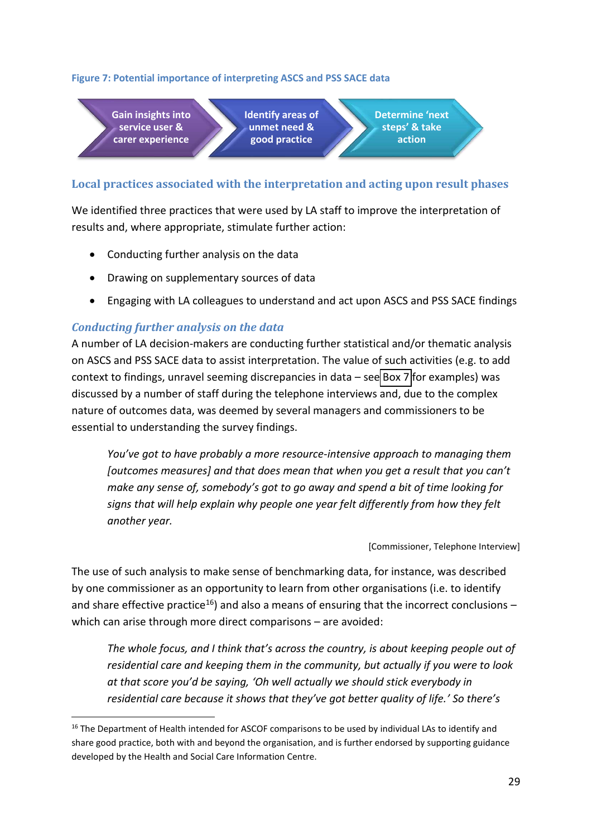### **Figure 7: Potential importance of interpreting ASCS and PSS SACE data**

**Gain insights into service user & carer experience Identify areas of unmet need & good practice Determine 'next** steps' & take **action**

### **Local practices associated with the interpretation and acting upon result phases**

We identified three practices that were used by LA staff to improve the interpretation of results and, where appropriate, stimulate further action:

- Conducting further analysis on the data
- Drawing on supplementary sources of data
- Engaging with LA colleagues to understand and act upon ASCS and PSS SACE findings

### *Conducting further analysis on the data*

.

A number of LA decision-makers are conducting further statistical and/or thematic analysis on ASCS and PSS SACE data to assist interpretation. The value of such activities (e.g. to add context to findings, unravel seeming discrepancies in data – se[e Box 7](#page-35-0) for examples) was discussed by a number of staff during the telephone interviews and, due to the complex nature of outcomes data, was deemed by several managers and commissioners to be essential to understanding the survey findings.

<span id="page-35-0"></span>*You've got to have probably a more resource-intensive approach to managing them [outcomes measures] and that does mean that when you get a result that you can't make any sense of, somebody's got to go away and spend a bit of time looking for signs that will help explain why people one year felt differently from how they felt another year.*

[Commissioner, Telephone Interview]

The use of such analysis to make sense of benchmarking data, for instance, was described by one commissioner as an opportunity to learn from other organisations (i.e. to identify and share effective practice<sup>16</sup>) and also a means of ensuring that the incorrect conclusions  $$ which can arise through more direct comparisons - are avoided:

The whole focus, and I think that's across the country, is about keeping people out of *residential care and keeping them in the community, but actually if you were to look at that score you'd be saying, 'Oh well actually we should stick everybody in residential care because it shows that they've got better quality of life.' So there's* 

<sup>&</sup>lt;sup>16</sup> The Department of Health intended for ASCOF comparisons to be used by individual LAs to identify and share good practice, both with and beyond the organisation, and is further endorsed by supporting guidance developed by the Health and Social Care Information Centre.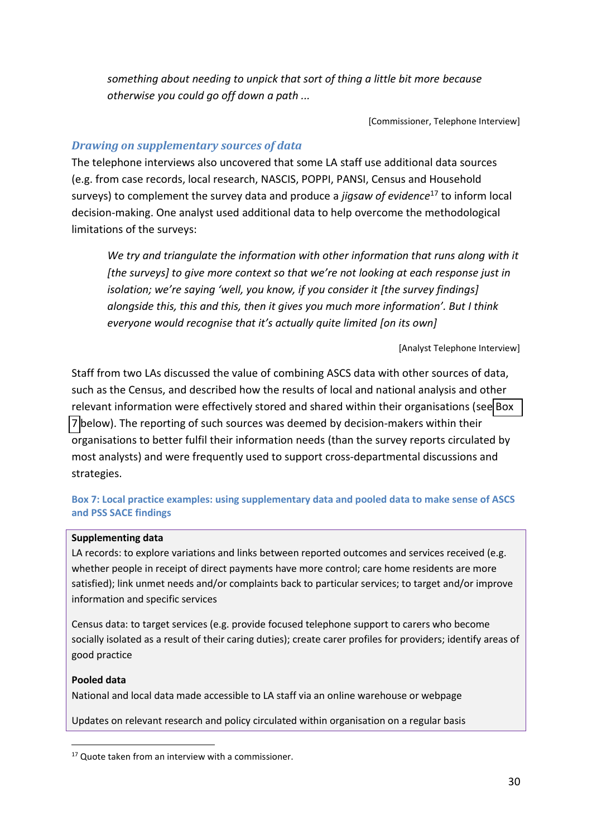*something about needing to unpick that sort of thing a little bit more because otherwise you could go off down a path ...* 

[Commissioner, Telephone Interview]

### *Drawing on supplementary sources of data*

The telephone interviews also uncovered that some LA staff use additional data sources (e.g. from case records, local research, NASCIS, POPPI, PANSI, Census and Household surveys) to complement the survey data and produce a *jigsaw of evidence*<sup>17</sup> to inform local decision-making. One analyst used additional data to help overcome the methodological limitations of the surveys:

<span id="page-36-0"></span>*We try and triangulate the information with other information that runs along with it [the surveys] to give more context so that we're not looking at each response just in isolation; we're saying 'well, you know, if you consider it [the survey findings] alongside this, this and this, then it gives you much more information'. But I think everyone would recognise that it's actually quite limited [on its own]* 

[Analyst Telephone Interview]

Staff from two LAs discussed the value of combining ASCS data with other sources of data, such as the Census, and described how the results of local and national analysis and other relevant information were effectively stored and shared within their organisations (see [Box](#page-35-0)  [7](#page-35-0) below). The reporting of such sources was deemed by decision-makers within their organisations to better fulfil their information needs (than the survey reports circulated by most analysts) and were frequently used to support cross-departmental discussions and strategies.

### **Box 7: Local practice examples: using supplementary data and pooled data to make sense of ASCS and PSS SACE findings**

### **Supplementing data**

LA records: to explore variations and links between reported outcomes and services received (e.g. whether people in receipt of direct payments have more control; care home residents are more satisfied); link unmet needs and/or complaints back to particular services; to target and/or improve information and specific services

Census data: to target services (e.g. provide focused telephone support to carers who become socially isolated as a result of their caring duties); create carer profiles for providers; identify areas of good practice

### **Pooled data**

.

National and local data made accessible to LA staff via an online warehouse or webpage

Updates on relevant research and policy circulated within organisation on a regular basis

<sup>&</sup>lt;sup>17</sup> Quote taken from an interview with a commissioner.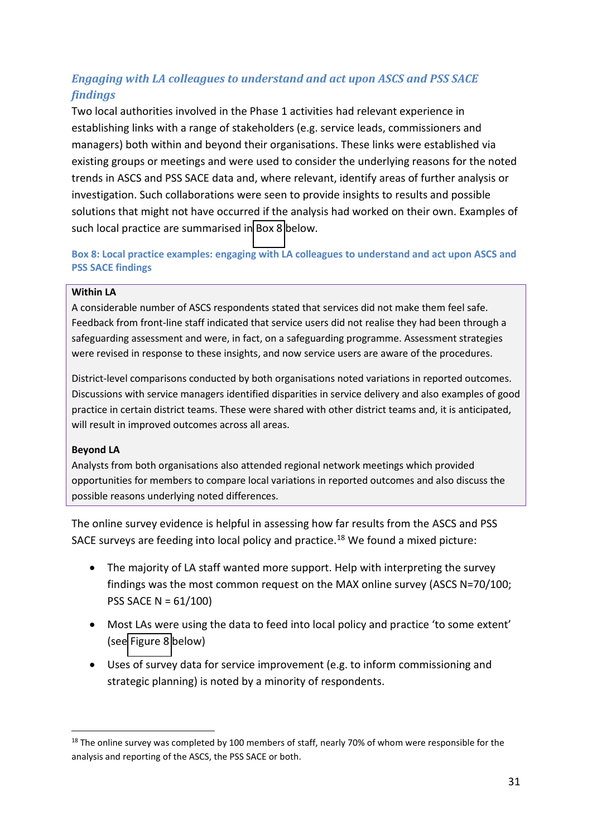# <span id="page-37-1"></span>*Engaging with LA colleagues to understand and act upon ASCS and PSS SACE findings*

Two local authorities involved in the Phase 1 activities had relevant experience in establishing links with a range of stakeholders (e.g. service leads, commissioners and managers) both within and beyond their organisations. These links were established via existing groups or meetings and were used to consider the underlying reasons for the noted trends in ASCS and PSS SACE data and, where relevant, identify areas of further analysis or investigation. Such collaborations were seen to provide insights to results and possible solutions that might not have occurred if the analysis had worked on their own. Examples of such local practice are summarised in [Box 8](#page-36-0) below.

**Box 8: Local practice examples: engaging with LA colleagues to understand and act upon ASCS and PSS SACE findings** 

### <span id="page-37-0"></span>**Within LA**

A considerable number of ASCS respondents stated that services did not make them feel safe. Feedback from front-line staff indicated that service users did not realise they had been through a safeguarding assessment and were, in fact, on a safeguarding programme. Assessment strategies were revised in response to these insights, and now service users are aware of the procedures.

District-level comparisons conducted by both organisations noted variations in reported outcomes. Discussions with service managers identified disparities in service delivery and also examples of good practice in certain district teams. These were shared with other district teams and, it is anticipated, will result in improved outcomes across all areas.

### **Beyond LA**

1

Analysts from both organisations also attended regional network meetings which provided opportunities for members to compare local variations in reported outcomes and also discuss the possible reasons underlying noted differences.

The online survey evidence is helpful in assessing how far results from the ASCS and PSS SACE surveys are feeding into local policy and practice.<sup>18</sup> We found a mixed picture:

- The majority of LA staff wanted more support. Help with interpreting the survey findings was the most common request on the MAX online survey (ASCS N=70/100; PSS SACE N = 61/100)
- Most LAs were using the data to feed into local policy and practice 'to some extent' (see [Figure 8](#page-37-1) below)
- Uses of survey data for service improvement (e.g. to inform commissioning and strategic planning) is noted by a minority of respondents.

<sup>&</sup>lt;sup>18</sup> The online survey was completed by 100 members of staff, nearly 70% of whom were responsible for the analysis and reporting of the ASCS, the PSS SACE or both.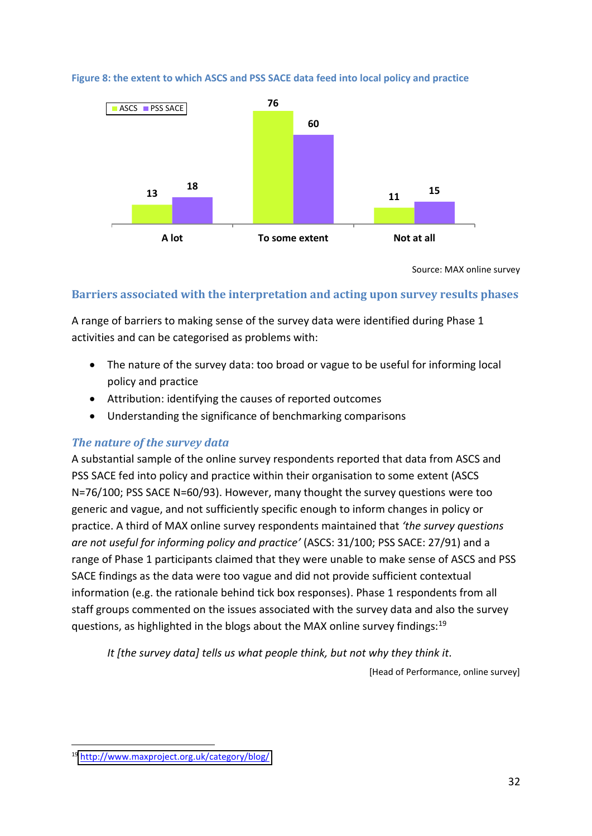**Figure 8: the extent to which ASCS and PSS SACE data feed into local policy and practice** 



Source: MAX online survey

### **Barriers associated with the interpretation and acting upon survey results phases**

A range of barriers to making sense of the survey data were identified during Phase 1 activities and can be categorised as problems with:

- The nature of the survey data: too broad or vague to be useful for informing local policy and practice
- Attribution: identifying the causes of reported outcomes
- Understanding the significance of benchmarking comparisons

### *The nature of the survey data*

A substantial sample of the online survey respondents reported that data from ASCS and PSS SACE fed into policy and practice within their organisation to some extent (ASCS N=76/100; PSS SACE N=60/93). However, many thought the survey questions were too generic and vague, and not sufficiently specific enough to inform changes in policy or practice. A third of MAX online survey respondents maintained that *けthe survey questions are not useful for informing policy and practiceげ* (ASCS: 31/100; PSS SACE: 27/91) and a range of Phase 1 participants claimed that they were unable to make sense of ASCS and PSS SACE findings as the data were too vague and did not provide sufficient contextual information (e.g. the rationale behind tick box responses). Phase 1 respondents from all staff groups commented on the issues associated with the survey data and also the survey questions, as highlighted in the blogs about the MAX online survey findings:<sup>19</sup>

*It [the survey data] tells us what people think, but not why they think it.*

[Head of Performance, online survey]

.

<sup>19</sup> <http://www.maxproject.org.uk/category/blog/>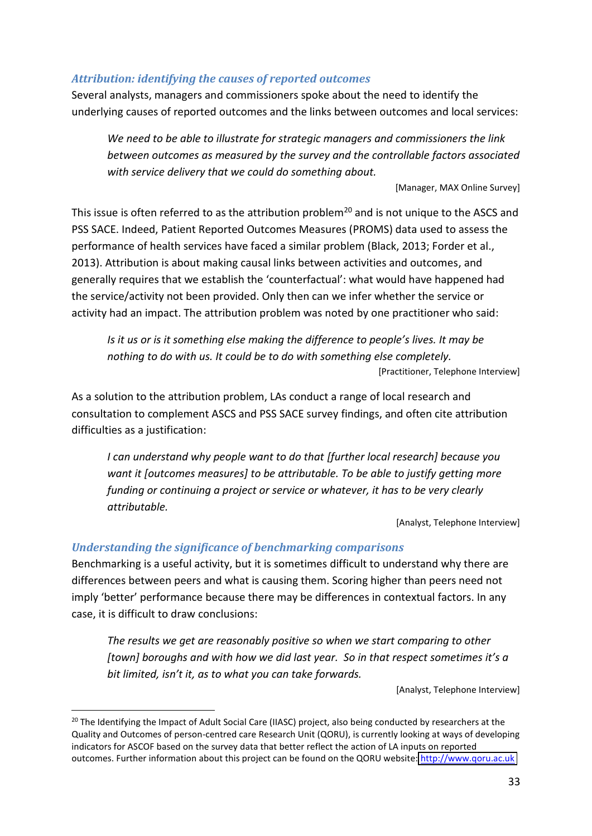### *Attribution: identifying the causes of reported outcomes*

Several analysts, managers and commissioners spoke about the need to identify the underlying causes of reported outcomes and the links between outcomes and local services:

*We need to be able to illustrate for strategic managers and commissioners the link between outcomes as measured by the survey and the controllable factors associated with service delivery that we could do something about.* 

[Manager, MAX Online Survey]

This issue is often referred to as the attribution problem<sup>20</sup> and is not unique to the ASCS and PSS SACE. Indeed, Patient Reported Outcomes Measures (PROMS) data used to assess the performance of health services have faced a similar problem (Black, 2013; Forder et al., 2013). Attribution is about making causal links between activities and outcomes, and generally requires that we establish the 'counterfactual': what would have happened had the service/activity not been provided. Only then can we infer whether the service or activity had an impact. The attribution problem was noted by one practitioner who said:

*Is it us or is it something else making the difference to people's lives. It may be nothing to do with us. It could be to do with something else completely.*  [Practitioner, Telephone Interview]

As a solution to the attribution problem, LAs conduct a range of local research and consultation to complement ASCS and PSS SACE survey findings, and often cite attribution difficulties as a justification:

<span id="page-39-0"></span>*I can understand why people want to do that [further local research] because you want it [outcomes measures] to be attributable. To be able to justify getting more funding or continuing a project or service or whatever, it has to be very clearly attributable.* 

[Analyst, Telephone Interview]

### *Understanding the significance of benchmarking comparisons*

.

Benchmarking is a useful activity, but it is sometimes difficult to understand why there are differences between peers and what is causing them. Scoring higher than peers need not imply 'better' performance because there may be differences in contextual factors. In any case, it is difficult to draw conclusions:

*The results we get are reasonably positive so when we start comparing to other [town] boroughs and with how we did last year.* So in that respect sometimes it's a *bit limited, isn't it, as to what you can take forwards.* 

[Analyst, Telephone Interview]

<sup>&</sup>lt;sup>20</sup> The Identifying the Impact of Adult Social Care (IIASC) project, also being conducted by researchers at the Quality and Outcomes of person-centred care Research Unit (QORU), is currently looking at ways of developing indicators for ASCOF based on the survey data that better reflect the action of LA inputs on reported outcomes. Further information about this project can be found on the QORU website: [http://www.qoru.ac.uk](http://www.qoru.ac.uk/)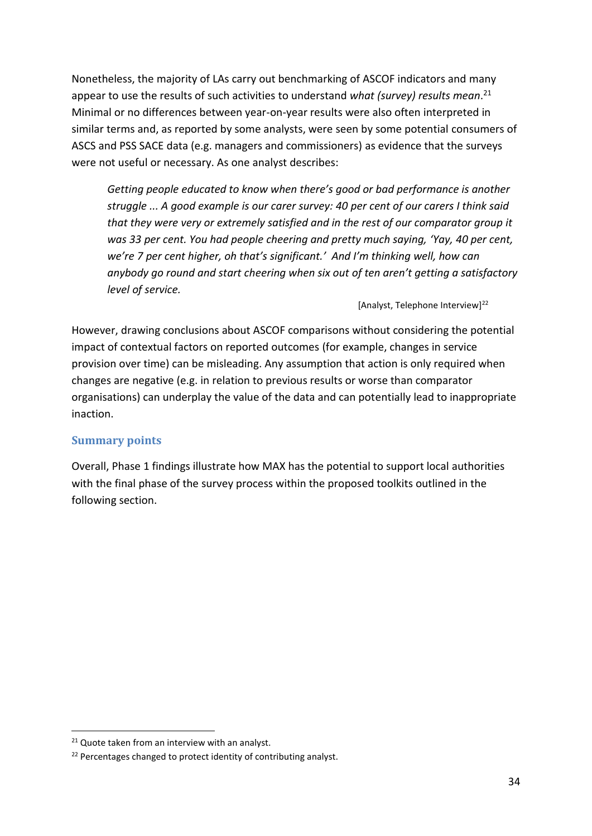<span id="page-40-0"></span>Nonetheless, the majority of LAs carry out benchmarking of ASCOF indicators and many appear to use the results of such activities to understand *what (survey) results mean*. 21 Minimal or no differences between year-on-year results were also often interpreted in similar terms and, as reported by some analysts, were seen by some potential consumers of ASCS and PSS SACE data (e.g. managers and commissioners) as evidence that the surveys were not useful or necessary. As one analyst describes:

*Getting people educated to know when there's good or bad performance is another struggle ... A good example is our carer survey: 40 per cent of our carers I think said that they were very or extremely satisfied and in the rest of our comparator group it was 33 per cent. You had people cheering and pretty much saying, 'Yay, 40 per cent, We're 7 per cent higher, oh that's significant.' And I'm thinking well, how can* anybody go round and start cheering when six out of ten aren't getting a satisfactory *level of service.* 

[Analyst, Telephone Interview]<sup>22</sup>

However, drawing conclusions about ASCOF comparisons without considering the potential impact of contextual factors on reported outcomes (for example, changes in service provision over time) can be misleading. Any assumption that action is only required when changes are negative (e.g. in relation to previous results or worse than comparator organisations) can underplay the value of the data and can potentially lead to inappropriate inaction.

### **Summary points**

Overall, Phase 1 findings illustrate how MAX has the potential to support local authorities with the final phase of the survey process within the proposed toolkits outlined in the following section.

1

<sup>&</sup>lt;sup>21</sup> Quote taken from an interview with an analyst.

 $22$  Percentages changed to protect identity of contributing analyst.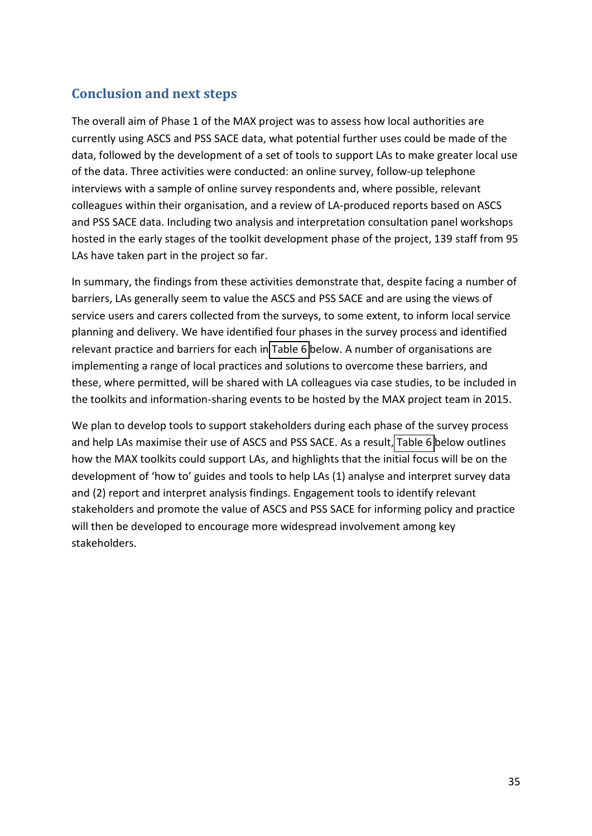# **Conclusion and next steps**

The overall aim of Phase 1 of the MAX project was to assess how local authorities are currently using ASCS and PSS SACE data, what potential further uses could be made of the data, followed by the development of a set of tools to support LAs to make greater local use of the data. Three activities were conducted: an online survey, follow-up telephone interviews with a sample of online survey respondents and, where possible, relevant colleagues within their organisation, and a review of LA-produced reports based on ASCS and PSS SACE data. Including two analysis and interpretation consultation panel workshops hosted in the early stages of the toolkit development phase of the project, 139 staff from 95 LAs have taken part in the project so far.

<span id="page-41-0"></span>In summary, the findings from these activities demonstrate that, despite facing a number of barriers, LAs generally seem to value the ASCS and PSS SACE and are using the views of service users and carers collected from the surveys, to some extent, to inform local service planning and delivery. We have identified four phases in the survey process and identified relevant practice and barriers for each in [Table 6](#page-41-0) below. A number of organisations are implementing a range of local practices and solutions to overcome these barriers, and these, where permitted, will be shared with LA colleagues via case studies, to be included in the toolkits and information-sharing events to be hosted by the MAX project team in 2015.

We plan to develop tools to support stakeholders during each phase of the survey process and help LAs maximise their use of ASCS and PSS SACE. As a result, [Table 6](#page-41-0) below outlines how the MAX toolkits could support LAs, and highlights that the initial focus will be on the development of 'how to' guides and tools to help LAs (1) analyse and interpret survey data and (2) report and interpret analysis findings. Engagement tools to identify relevant stakeholders and promote the value of ASCS and PSS SACE for informing policy and practice will then be developed to encourage more widespread involvement among key stakeholders.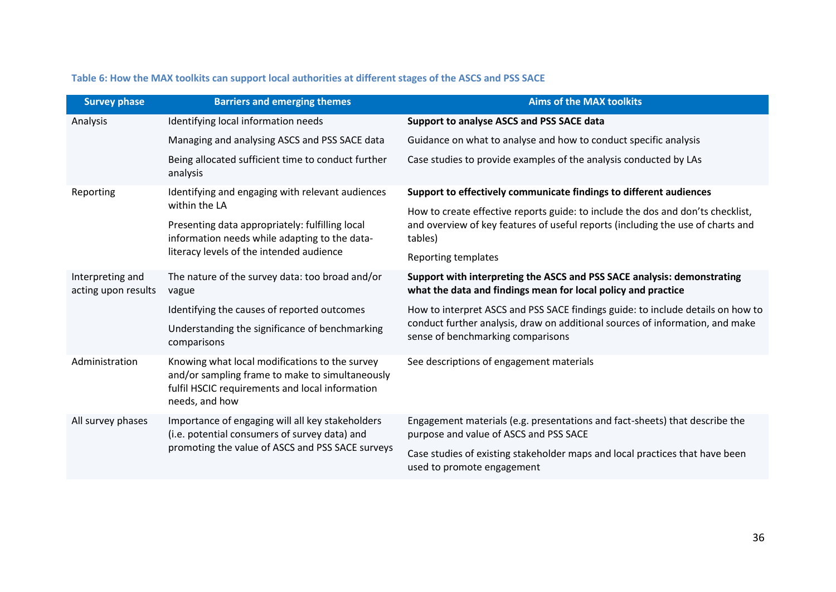<span id="page-42-1"></span>

| <b>Survey phase</b>                     | <b>Barriers and emerging themes</b>                                                                                                                                    | <b>Aims of the MAX toolkits</b>                                                                                                                                                                       |  |  |  |  |
|-----------------------------------------|------------------------------------------------------------------------------------------------------------------------------------------------------------------------|-------------------------------------------------------------------------------------------------------------------------------------------------------------------------------------------------------|--|--|--|--|
| Analysis                                | Identifying local information needs                                                                                                                                    | Support to analyse ASCS and PSS SACE data                                                                                                                                                             |  |  |  |  |
|                                         | Managing and analysing ASCS and PSS SACE data                                                                                                                          | Guidance on what to analyse and how to conduct specific analysis                                                                                                                                      |  |  |  |  |
|                                         | Being allocated sufficient time to conduct further<br>analysis                                                                                                         | Case studies to provide examples of the analysis conducted by LAs                                                                                                                                     |  |  |  |  |
| Reporting                               | Identifying and engaging with relevant audiences                                                                                                                       | Support to effectively communicate findings to different audiences                                                                                                                                    |  |  |  |  |
|                                         | within the LA                                                                                                                                                          | How to create effective reports guide: to include the dos and don'ts checklist,                                                                                                                       |  |  |  |  |
|                                         | Presenting data appropriately: fulfilling local<br>information needs while adapting to the data-                                                                       | and overview of key features of useful reports (including the use of charts and<br>tables)                                                                                                            |  |  |  |  |
|                                         | literacy levels of the intended audience                                                                                                                               | Reporting templates                                                                                                                                                                                   |  |  |  |  |
| Interpreting and<br>acting upon results | The nature of the survey data: too broad and/or<br>vague                                                                                                               | Support with interpreting the ASCS and PSS SACE analysis: demonstrating<br>what the data and findings mean for local policy and practice                                                              |  |  |  |  |
|                                         | Identifying the causes of reported outcomes                                                                                                                            | How to interpret ASCS and PSS SACE findings guide: to include details on how to<br>conduct further analysis, draw on additional sources of information, and make<br>sense of benchmarking comparisons |  |  |  |  |
|                                         | Understanding the significance of benchmarking<br>comparisons                                                                                                          |                                                                                                                                                                                                       |  |  |  |  |
| Administration                          | Knowing what local modifications to the survey<br>and/or sampling frame to make to simultaneously<br>fulfil HSCIC requirements and local information<br>needs, and how | See descriptions of engagement materials                                                                                                                                                              |  |  |  |  |
| All survey phases                       | Importance of engaging will all key stakeholders<br>(i.e. potential consumers of survey data) and                                                                      | Engagement materials (e.g. presentations and fact-sheets) that describe the<br>purpose and value of ASCS and PSS SACE                                                                                 |  |  |  |  |
|                                         | promoting the value of ASCS and PSS SACE surveys                                                                                                                       |                                                                                                                                                                                                       |  |  |  |  |
|                                         |                                                                                                                                                                        | Case studies of existing stakeholder maps and local practices that have been<br>used to promote engagement                                                                                            |  |  |  |  |

# <span id="page-42-0"></span>**Table 6: How the MAX toolkits can support local authorities at different stages of the ASCS and PSS SACE**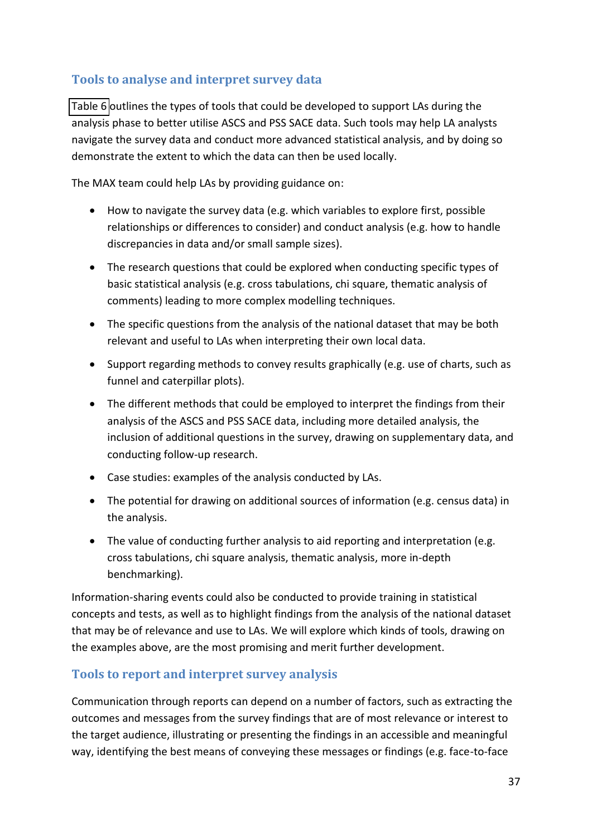# **Tools to analyse and interpret survey data**

[Table 6](#page-41-0) outlines the types of tools that could be developed to support LAs during the analysis phase to better utilise ASCS and PSS SACE data. Such tools may help LA analysts navigate the survey data and conduct more advanced statistical analysis, and by doing so demonstrate the extent to which the data can then be used locally.

The MAX team could help LAs by providing guidance on:

- How to navigate the survey data (e.g. which variables to explore first, possible relationships or differences to consider) and conduct analysis (e.g. how to handle discrepancies in data and/or small sample sizes).
- <span id="page-43-0"></span>• The research questions that could be explored when conducting specific types of basic statistical analysis (e.g. cross tabulations, chi square, thematic analysis of comments) leading to more complex modelling techniques.
- The specific questions from the analysis of the national dataset that may be both relevant and useful to LAs when interpreting their own local data.
- Support regarding methods to convey results graphically (e.g. use of charts, such as funnel and caterpillar plots).
- The different methods that could be employed to interpret the findings from their analysis of the ASCS and PSS SACE data, including more detailed analysis, the inclusion of additional questions in the survey, drawing on supplementary data, and conducting follow-up research.
- Case studies: examples of the analysis conducted by LAs.
- The potential for drawing on additional sources of information (e.g. census data) in the analysis.
- The value of conducting further analysis to aid reporting and interpretation (e.g. cross tabulations, chi square analysis, thematic analysis, more in-depth benchmarking).

Information-sharing events could also be conducted to provide training in statistical concepts and tests, as well as to highlight findings from the analysis of the national dataset that may be of relevance and use to LAs. We will explore which kinds of tools, drawing on the examples above, are the most promising and merit further development.

# **Tools to report and interpret survey analysis**

Communication through reports can depend on a number of factors, such as extracting the outcomes and messages from the survey findings that are of most relevance or interest to the target audience, illustrating or presenting the findings in an accessible and meaningful way, identifying the best means of conveying these messages or findings (e.g. face-to-face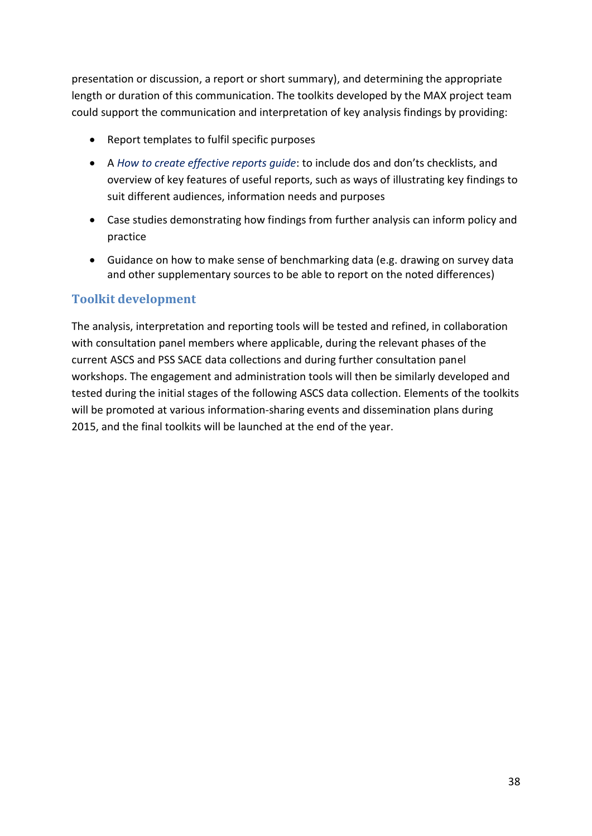<span id="page-44-0"></span>presentation or discussion, a report or short summary), and determining the appropriate length or duration of this communication. The toolkits developed by the MAX project team could support the communication and interpretation of key analysis findings by providing:

- Report templates to fulfil specific purposes
- A *How to create effective reports quide*: to include dos and don'ts checklists, and overview of key features of useful reports, such as ways of illustrating key findings to suit different audiences, information needs and purposes
- Case studies demonstrating how findings from further analysis can inform policy and practice
- Guidance on how to make sense of benchmarking data (e.g. drawing on survey data and other supplementary sources to be able to report on the noted differences)

### **Toolkit development**

The analysis, interpretation and reporting tools will be tested and refined, in collaboration with consultation panel members where applicable, during the relevant phases of the current ASCS and PSS SACE data collections and during further consultation panel workshops. The engagement and administration tools will then be similarly developed and tested during the initial stages of the following ASCS data collection. Elements of the toolkits will be promoted at various information-sharing events and dissemination plans during 2015, and the final toolkits will be launched at the end of the year.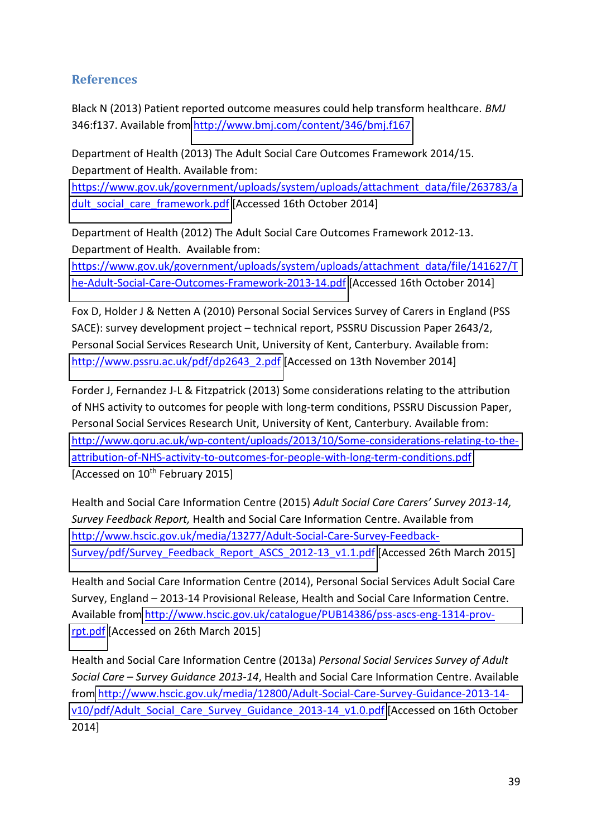### **References**

Black N (2013) Patient reported outcome measures could help transform healthcare. *BMJ* 346:f137. Available fro[m http://www.bmj.com/content/346/bmj.f167](http://www.bmj.com/content/346/bmj.f167)

Department of Health (2013) The Adult Social Care Outcomes Framework 2014/15. Department of Health. Available from:

[https://www.gov.uk/government/uploads/system/uploads/attachment\\_data/file/263783/a](https://www.gov.uk/government/uploads/system/uploads/attachment_data/file/263783/adult_social_care_framework.pdf) [dult\\_social\\_care\\_framework.pdf](https://www.gov.uk/government/uploads/system/uploads/attachment_data/file/263783/adult_social_care_framework.pdf) [Accessed 16th October 2014]

Department of Health (2012) The Adult Social Care Outcomes Framework 2012-13. Department of Health. Available from:

[https://www.gov.uk/government/uploads/system/uploads/attachment\\_data/file/141627/T](https://www.gov.uk/government/uploads/system/uploads/attachment_data/file/141627/The-Adult-Social-Care-Outcomes-Framework-2013-14.pdf) [he-Adult-Social-Care-Outcomes-Framework-2013-14.pdf](https://www.gov.uk/government/uploads/system/uploads/attachment_data/file/141627/The-Adult-Social-Care-Outcomes-Framework-2013-14.pdf) [Accessed 16th October 2014]

Fox D, Holder J & Netten A (2010) Personal Social Services Survey of Carers in England (PSS SACE): survey development project – technical report, PSSRU Discussion Paper 2643/2, Personal Social Services Research Unit, University of Kent, Canterbury. Available from: [http://www.pssru.ac.uk/pdf/dp2643\\_2.pdf](http://www.pssru.ac.uk/pdf/dp2643_2.pdf) [Accessed on 13th November 2014]

Forder J, Fernandez J-L & Fitzpatrick (2013) Some considerations relating to the attribution of NHS activity to outcomes for people with long-term conditions, PSSRU Discussion Paper, Personal Social Services Research Unit, University of Kent, Canterbury. Available from: [http://www.qoru.ac.uk/wp-content/uploads/2013/10/Some-considerations-relating-to-the](http://www.qoru.ac.uk/wp-content/uploads/2013/10/Some-considerations-relating-to-the-attribution-of-NHS-activity-to-outcomes-for-people-with-long-term-conditions.pdf)[attribution-of-NHS-activity-to-outcomes-for-people-with-long-term-conditions.pdf](http://www.qoru.ac.uk/wp-content/uploads/2013/10/Some-considerations-relating-to-the-attribution-of-NHS-activity-to-outcomes-for-people-with-long-term-conditions.pdf)  [Accessed on 10<sup>th</sup> February 2015]

Health and Social Care Information Centre (2015) *Adult Social Care Carers' Survey 2013-14, Survey Feedback Report,* Health and Social Care Information Centre. Available from [http://www.hscic.gov.uk/media/13277/Adult-Social-Care-Survey-Feedback-](http://www.hscic.gov.uk/media/13277/Adult-Social-Care-Survey-Feedback-Survey/pdf/Survey_Feedback_Report_ASCS_2012-13_v1.1.pdf)[Survey/pdf/Survey\\_Feedback\\_Report\\_ASCS\\_2012-13\\_v1.1.pdf](http://www.hscic.gov.uk/media/13277/Adult-Social-Care-Survey-Feedback-Survey/pdf/Survey_Feedback_Report_ASCS_2012-13_v1.1.pdf) [Accessed 26th March 2015]

Health and Social Care Information Centre (2014), Personal Social Services Adult Social Care Survey, England – 2013-14 Provisional Release, Health and Social Care Information Centre. Available fro[m http://www.hscic.gov.uk/catalogue/PUB14386/pss-ascs-eng-1314-prov](http://www.hscic.gov.uk/catalogue/PUB14386/pss-ascs-eng-1314-prov-rpt.pdf)[rpt.pdf](http://www.hscic.gov.uk/catalogue/PUB14386/pss-ascs-eng-1314-prov-rpt.pdf) [Accessed on 26th March 2015]

Health and Social Care Information Centre (2013a) *Personal Social Services Survey of Adult Social Care – Survey Guidance 2013-14*, Health and Social Care Information Centre. Available from [http://www.hscic.gov.uk/media/12800/Adult-Social-Care-Survey-Guidance-2013-14](http://www.hscic.gov.uk/media/12800/Adult-Social-Care-Survey-Guidance-2013-14-v10/pdf/Adult_Social_Care_Survey_Guidance_2013-14_v1.0.pdf) [v10/pdf/Adult\\_Social\\_Care\\_Survey\\_Guidance\\_2013-14\\_v1.0.pdf](http://www.hscic.gov.uk/media/12800/Adult-Social-Care-Survey-Guidance-2013-14-v10/pdf/Adult_Social_Care_Survey_Guidance_2013-14_v1.0.pdf) [Accessed on 16th October 2014]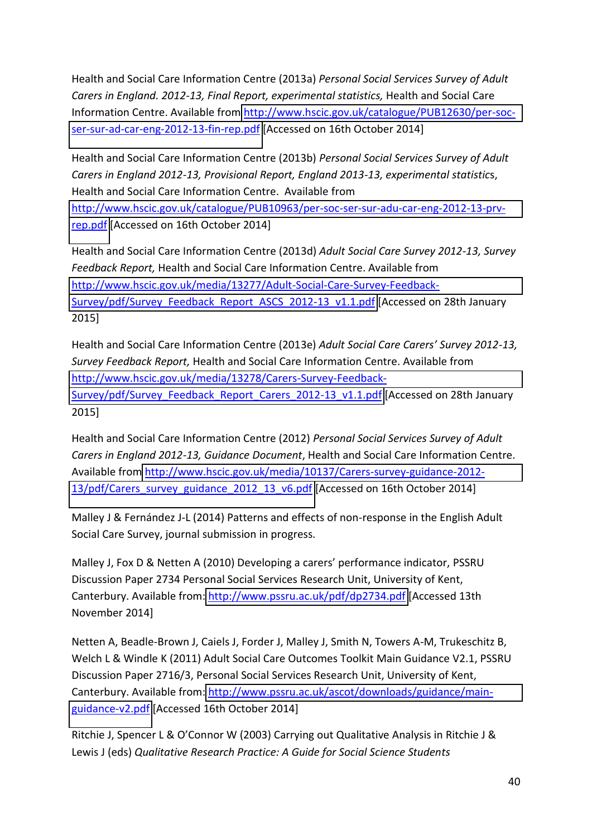<span id="page-46-0"></span>Health and Social Care Information Centre (2013a) *Personal Social Services Survey of Adult Carers in England. 2012-13, Final Report, experimental statistics,* Health and Social Care Information Centre. Available from [http://www.hscic.gov.uk/catalogue/PUB12630/per-soc](http://www.hscic.gov.uk/catalogue/PUB12630/per-soc-ser-sur-ad-car-eng-2012-13-fin-rep.pdf)[ser-sur-ad-car-eng-2012-13-fin-rep.pdf](http://www.hscic.gov.uk/catalogue/PUB12630/per-soc-ser-sur-ad-car-eng-2012-13-fin-rep.pdf) [Accessed on 16th October 2014]

Health and Social Care Information Centre (2013b) *Personal Social Services Survey of Adult Carers in England 2012-13, Provisional Report, England 2013-13, experimental statistic*s, Health and Social Care Information Centre. Available from [http://www.hscic.gov.uk/catalogue/PUB10963/per-soc-ser-sur-adu-car-eng-2012-13-prv](http://www.hscic.gov.uk/catalogue/PUB10963/per-soc-ser-sur-adu-car-eng-2012-13-prv-rep.pdf)[rep.pdf](http://www.hscic.gov.uk/catalogue/PUB10963/per-soc-ser-sur-adu-car-eng-2012-13-prv-rep.pdf) [Accessed on 16th October 2014]

Health and Social Care Information Centre (2013d) *Adult Social Care Survey 2012-13, Survey Feedback Report,* Health and Social Care Information Centre. Available from [http://www.hscic.gov.uk/media/13277/Adult-Social-Care-Survey-Feedback-](http://www.hscic.gov.uk/media/13277/Adult-Social-Care-Survey-Feedback-Survey/pdf/Survey_Feedback_Report_ASCS_2012-13_v1.1.pdf)[Survey/pdf/Survey\\_Feedback\\_Report\\_ASCS\\_2012-13\\_v1.1.pdf](http://www.hscic.gov.uk/media/13277/Adult-Social-Care-Survey-Feedback-Survey/pdf/Survey_Feedback_Report_ASCS_2012-13_v1.1.pdf) [Accessed on 28th January 2015]

Health and Social Care Information Centre (2013e) *Adult Social Care Carers' Survey 2012-13, Survey Feedback Report,* Health and Social Care Information Centre. Available from [http://www.hscic.gov.uk/media/13278/Carers-Survey-Feedback-](http://www.hscic.gov.uk/media/13278/Carers-Survey-Feedback-Survey/pdf/Survey_Feedback_Report_Carers_2012-13_v1.1.pdf)[Survey/pdf/Survey\\_Feedback\\_Report\\_Carers\\_2012-13\\_v1.1.pdf](http://www.hscic.gov.uk/media/13278/Carers-Survey-Feedback-Survey/pdf/Survey_Feedback_Report_Carers_2012-13_v1.1.pdf) [Accessed on 28th January 2015]

Health and Social Care Information Centre (2012) *Personal Social Services Survey of Adult Carers in England 2012-13, Guidance Document*, Health and Social Care Information Centre. Available fro[m http://www.hscic.gov.uk/media/10137/Carers-survey-guidance-2012-](http://www.hscic.gov.uk/media/10137/Carers-survey-guidance-2012-13/pdf/Carers_survey_guidance_2012_13_v6.pdf) [13/pdf/Carers\\_survey\\_guidance\\_2012\\_13\\_v6.pdf](http://www.hscic.gov.uk/media/10137/Carers-survey-guidance-2012-13/pdf/Carers_survey_guidance_2012_13_v6.pdf) [Accessed on 16th October 2014]

Malley J & Fernández J-L (2014) Patterns and effects of non-response in the English Adult Social Care Survey, journal submission in progress.

Malley J, Fox D & Netten A (2010) Developing a carers' performance indicator, PSSRU Discussion Paper 2734 Personal Social Services Research Unit, University of Kent, Canterbury. Available from:<http://www.pssru.ac.uk/pdf/dp2734.pdf>[Accessed 13th November 2014]

Netten A, Beadle-Brown J, Caiels J, Forder J, Malley J, Smith N, Towers A-M, Trukeschitz B, Welch L & Windle K (2011) Adult Social Care Outcomes Toolkit Main Guidance V2.1, PSSRU Discussion Paper 2716/3, Personal Social Services Research Unit, University of Kent, Canterbury. Available from: [http://www.pssru.ac.uk/ascot/downloads/guidance/main](http://www.pssru.ac.uk/ascot/downloads/guidance/main-guidance-v2.pdf)[guidance-v2.pdf](http://www.pssru.ac.uk/ascot/downloads/guidance/main-guidance-v2.pdf) [Accessed 16th October 2014]

Ritchie J, Spencer L & O'Connor W (2003) Carrying out Qualitative Analysis in Ritchie J & Lewis J (eds) *Qualitative Research Practice: A Guide for Social Science Students*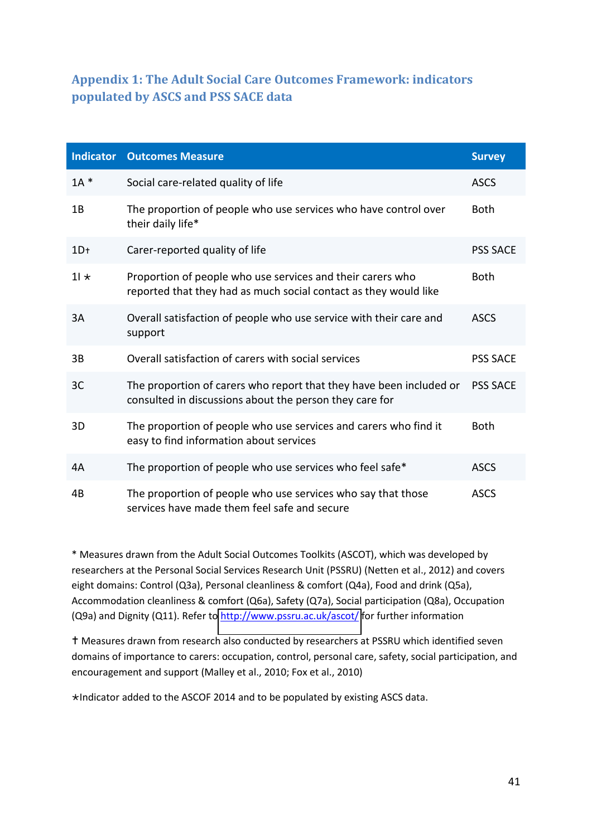# **Appendix 1: The Adult Social Care Outcomes Framework: indicators populated by ASCS and PSS SACE data**

<span id="page-47-0"></span>

| <b>Indicator</b> | <b>Outcomes Measure</b>                                                                                                        | <b>Survey</b>   |
|------------------|--------------------------------------------------------------------------------------------------------------------------------|-----------------|
| $1A^*$           | Social care-related quality of life                                                                                            | <b>ASCS</b>     |
| 1B               | The proportion of people who use services who have control over<br>their daily life*                                           | <b>Both</b>     |
| $1D+$            | Carer-reported quality of life                                                                                                 | <b>PSS SACE</b> |
| $11 \star$       | Proportion of people who use services and their carers who<br>reported that they had as much social contact as they would like | <b>Both</b>     |
| 3A               | Overall satisfaction of people who use service with their care and<br>support                                                  | <b>ASCS</b>     |
| 3B               | Overall satisfaction of carers with social services                                                                            | <b>PSS SACE</b> |
| 3C               | The proportion of carers who report that they have been included or<br>consulted in discussions about the person they care for | <b>PSS SACE</b> |
| 3D               | The proportion of people who use services and carers who find it<br>easy to find information about services                    | <b>Both</b>     |
| 4A               | The proportion of people who use services who feel safe*                                                                       | <b>ASCS</b>     |
| 4B               | The proportion of people who use services who say that those<br>services have made them feel safe and secure                   | <b>ASCS</b>     |

<span id="page-47-1"></span>\* Measures drawn from the Adult Social Outcomes Toolkits (ASCOT), which was developed by researchers at the Personal Social Services Research Unit (PSSRU) (Netten et al., 2012) and covers eight domains: Control (Q3a), Personal cleanliness & comfort (Q4a), Food and drink (Q5a), Accommodation cleanliness & comfort (Q6a), Safety (Q7a), Social participation (Q8a), Occupation (Q9a) and Dignity (Q11). Refer t[o http://www.pssru.ac.uk/ascot/](http://www.pssru.ac.uk/ascot/) for further information

 Measures drawn from research also conducted by researchers at PSSRU which identified seven domains of importance to carers: occupation, control, personal care, safety, social participation, and encouragement and support (Malley et al., 2010; Fox et al., 2010)

Indicator added to the ASCOF 2014 and to be populated by existing ASCS data.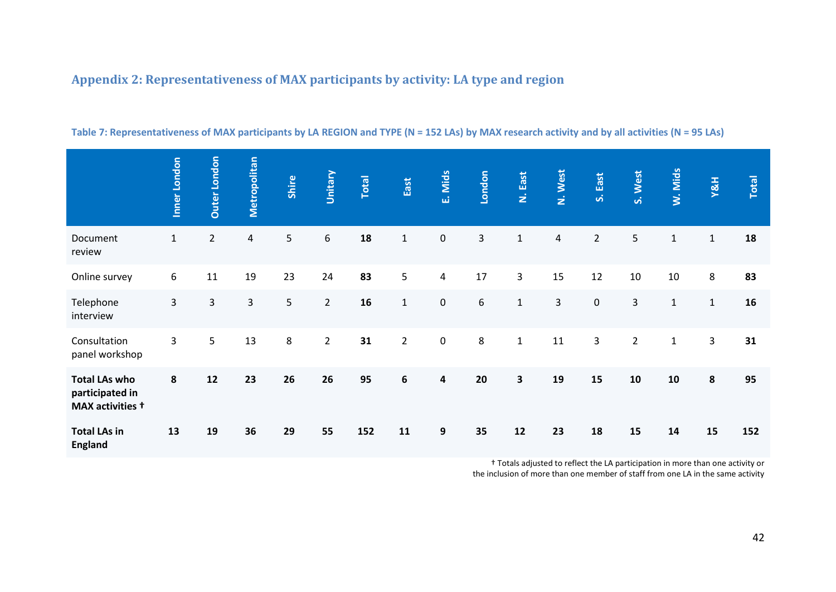# <span id="page-48-0"></span>**Appendix 2: Representativeness of MAX participants by activity: LA type and region**

<span id="page-48-1"></span>

|                                                             | Inner London   | <b>Duter London</b> | Metropolitan | Shire | Unitary     | Total | East           | E. Mids   | London  | N. East                 | N. West                 | S. East        | S. West        | W. Mids      | Y&H          | Total |
|-------------------------------------------------------------|----------------|---------------------|--------------|-------|-------------|-------|----------------|-----------|---------|-------------------------|-------------------------|----------------|----------------|--------------|--------------|-------|
| Document<br>review                                          | $\mathbf{1}$   | $\overline{2}$      | 4            | 5     | 6           | 18    | $\mathbf{1}$   | 0         | 3       | $\mathbf 1$             | $\overline{\mathbf{4}}$ | $\overline{2}$ | 5              | $\mathbf 1$  | $\mathbf{1}$ | 18    |
| Online survey                                               | 6              | 11                  | 19           | 23    | 24          | 83    | 5              | 4         | 17      | 3                       | 15                      | 12             | 10             | 10           | 8            | 83    |
| Telephone<br>interview                                      | $\overline{3}$ | 3                   | 3            | 5     | $2^{\circ}$ | 16    | $\mathbf{1}$   | 0         | 6       | $\mathbf{1}$            | 3                       | $\pmb{0}$      | 3              | $\mathbf{1}$ | $\mathbf{1}$ | 16    |
| Consultation<br>panel workshop                              | 3              | 5                   | 13           | 8     | $2^{\circ}$ | 31    | $\overline{2}$ | $\pmb{0}$ | $\bf 8$ | $\mathbf{1}$            | 11                      | $\overline{3}$ | $\overline{2}$ | $\mathbf{1}$ | 3            | 31    |
| <b>Total LAs who</b><br>participated in<br>MAX activities + | 8              | 12                  | 23           | 26    | 26          | 95    | 6              | 4         | 20      | $\overline{\mathbf{3}}$ | 19                      | 15             | 10             | 10           | 8            | 95    |
| <b>Total LAs in</b><br><b>England</b>                       | 13             | 19                  | 36           | 29    | 55          | 152   | 11             | 9         | 35      | 12                      | 23                      | 18             | 15             | 14           | 15           | 152   |

### **Table 7: Representativeness of MAX participants by LA REGION and TYPE (N = 152 LAs) by MAX research activity and by all activities (N = 95 LAs)**

t Totals adjusted to reflect the LA participation in more than one activity or the inclusion of more than one member of staff from one LA in the same activity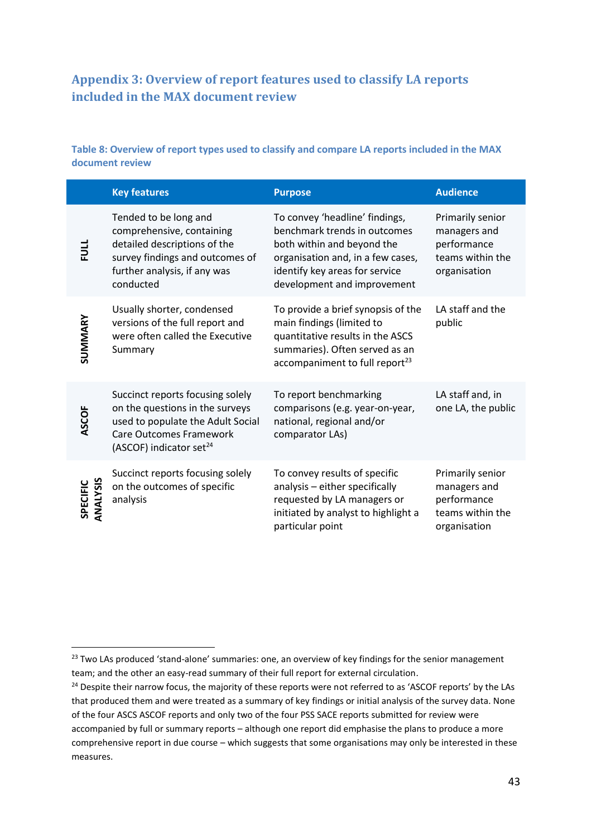# <span id="page-49-0"></span>**Appendix 3: Overview of report features used to classify LA reports included in the MAX document review**

### **Table 8: Overview of report types used to classify and compare LA reports included in the MAX document review**

|                             | <b>Key features</b>                                                                                                                                                        | <b>Purpose</b>                                                                                                                                                                                     | <b>Audience</b>                                                                     |
|-----------------------------|----------------------------------------------------------------------------------------------------------------------------------------------------------------------------|----------------------------------------------------------------------------------------------------------------------------------------------------------------------------------------------------|-------------------------------------------------------------------------------------|
| $\frac{1}{2}$               | Tended to be long and<br>comprehensive, containing<br>detailed descriptions of the<br>survey findings and outcomes of<br>further analysis, if any was<br>conducted         | To convey 'headline' findings,<br>benchmark trends in outcomes<br>both within and beyond the<br>organisation and, in a few cases,<br>identify key areas for service<br>development and improvement | Primarily senior<br>managers and<br>performance<br>teams within the<br>organisation |
| SUMMARY                     | Usually shorter, condensed<br>versions of the full report and<br>were often called the Executive<br>Summary                                                                | To provide a brief synopsis of the<br>main findings (limited to<br>quantitative results in the ASCS<br>summaries). Often served as an<br>accompaniment to full report <sup>23</sup>                | LA staff and the<br>public                                                          |
| ASCOF                       | Succinct reports focusing solely<br>on the questions in the surveys<br>used to populate the Adult Social<br>Care Outcomes Framework<br>(ASCOF) indicator set <sup>24</sup> | To report benchmarking<br>comparisons (e.g. year-on-year,<br>national, regional and/or<br>comparator LAs)                                                                                          | LA staff and, in<br>one LA, the public                                              |
| <b>ANALYSIS</b><br>SPECIFIC | Succinct reports focusing solely<br>on the outcomes of specific<br>analysis                                                                                                | To convey results of specific<br>analysis - either specifically<br>requested by LA managers or<br>initiated by analyst to highlight a<br>particular point                                          | Primarily senior<br>managers and<br>performance<br>teams within the<br>organisation |

1

<sup>&</sup>lt;sup>23</sup> Two LAs produced 'stand-alone' summaries: one, an overview of key findings for the senior management team; and the other an easy-read summary of their full report for external circulation.

<sup>&</sup>lt;sup>24</sup> Despite their narrow focus, the majority of these reports were not referred to as 'ASCOF reports' by the LAs that produced them and were treated as a summary of key findings or initial analysis of the survey data. None of the four ASCS ASCOF reports and only two of the four PSS SACE reports submitted for review were accompanied by full or summary reports - although one report did emphasise the plans to produce a more comprehensive report in due course - which suggests that some organisations may only be interested in these measures.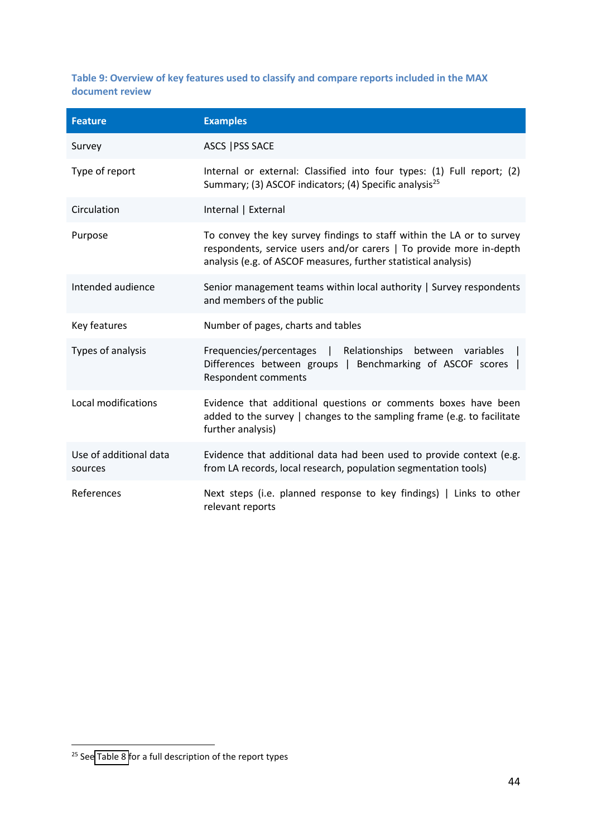<span id="page-50-0"></span>**Table 9: Overview of key features used to classify and compare reports included in the MAX document review** 

| <b>Feature</b>                    | <b>Examples</b>                                                                                                                                                                                                 |
|-----------------------------------|-----------------------------------------------------------------------------------------------------------------------------------------------------------------------------------------------------------------|
| Survey                            | ASCS   PSS SACE                                                                                                                                                                                                 |
| Type of report                    | Internal or external: Classified into four types: (1) Full report; (2)<br>Summary; (3) ASCOF indicators; (4) Specific analysis <sup>25</sup>                                                                    |
| Circulation                       | Internal   External                                                                                                                                                                                             |
| Purpose                           | To convey the key survey findings to staff within the LA or to survey<br>respondents, service users and/or carers   To provide more in-depth<br>analysis (e.g. of ASCOF measures, further statistical analysis) |
| Intended audience                 | Senior management teams within local authority   Survey respondents<br>and members of the public                                                                                                                |
| Key features                      | Number of pages, charts and tables                                                                                                                                                                              |
| Types of analysis                 | Frequencies/percentages  <br>Relationships between variables<br>Differences between groups  <br>Benchmarking of ASCOF scores  <br><b>Respondent comments</b>                                                    |
| Local modifications               | Evidence that additional questions or comments boxes have been<br>added to the survey   changes to the sampling frame (e.g. to facilitate<br>further analysis)                                                  |
| Use of additional data<br>sources | Evidence that additional data had been used to provide context (e.g.<br>from LA records, local research, population segmentation tools)                                                                         |
| References                        | Next steps (i.e. planned response to key findings)   Links to other<br>relevant reports                                                                                                                         |

.

<sup>&</sup>lt;sup>25</sup> Se[e Table 8](#page-48-1) for a full description of the report types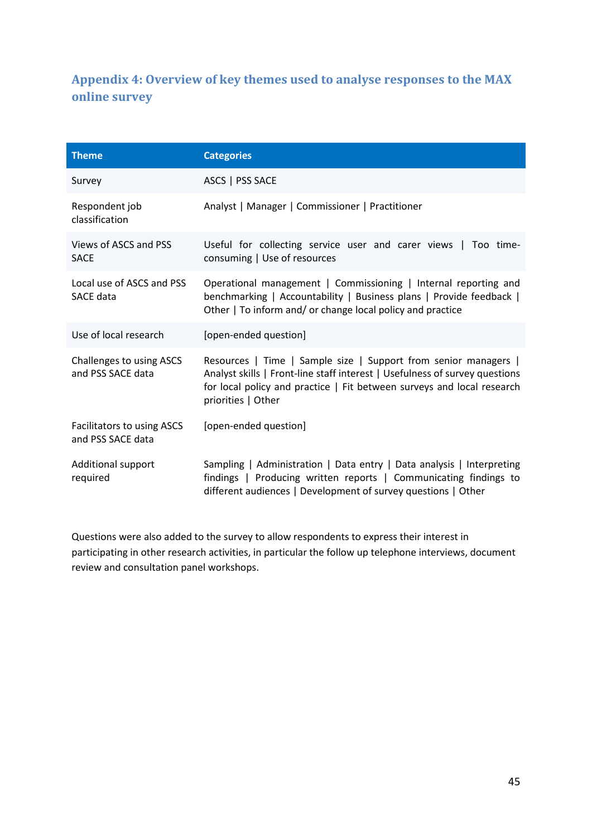# <span id="page-51-0"></span>**Appendix 4: Overview of key themes used to analyse responses to the MAX online survey**

| <b>Theme</b>                                    | <b>Categories</b>                                                                                                                                                                                                                              |
|-------------------------------------------------|------------------------------------------------------------------------------------------------------------------------------------------------------------------------------------------------------------------------------------------------|
| Survey                                          | ASCS   PSS SACE                                                                                                                                                                                                                                |
| Respondent job<br>classification                | Analyst   Manager   Commissioner   Practitioner                                                                                                                                                                                                |
| Views of ASCS and PSS<br><b>SACE</b>            | Useful for collecting service user and carer views   Too time-<br>consuming   Use of resources                                                                                                                                                 |
| Local use of ASCS and PSS<br><b>SACE data</b>   | Operational management   Commissioning   Internal reporting and<br>benchmarking   Accountability   Business plans   Provide feedback  <br>Other   To inform and/ or change local policy and practice                                           |
| Use of local research                           | [open-ended question]                                                                                                                                                                                                                          |
| Challenges to using ASCS<br>and PSS SACE data   | Resources   Time   Sample size   Support from senior managers  <br>Analyst skills   Front-line staff interest   Usefulness of survey questions<br>for local policy and practice   Fit between surveys and local research<br>priorities   Other |
| Facilitators to using ASCS<br>and PSS SACE data | [open-ended question]                                                                                                                                                                                                                          |
| Additional support<br>required                  | Sampling   Administration   Data entry   Data analysis   Interpreting<br>findings   Producing written reports   Communicating findings to<br>different audiences   Development of survey questions   Other                                     |

Questions were also added to the survey to allow respondents to express their interest in participating in other research activities, in particular the follow up telephone interviews, document review and consultation panel workshops.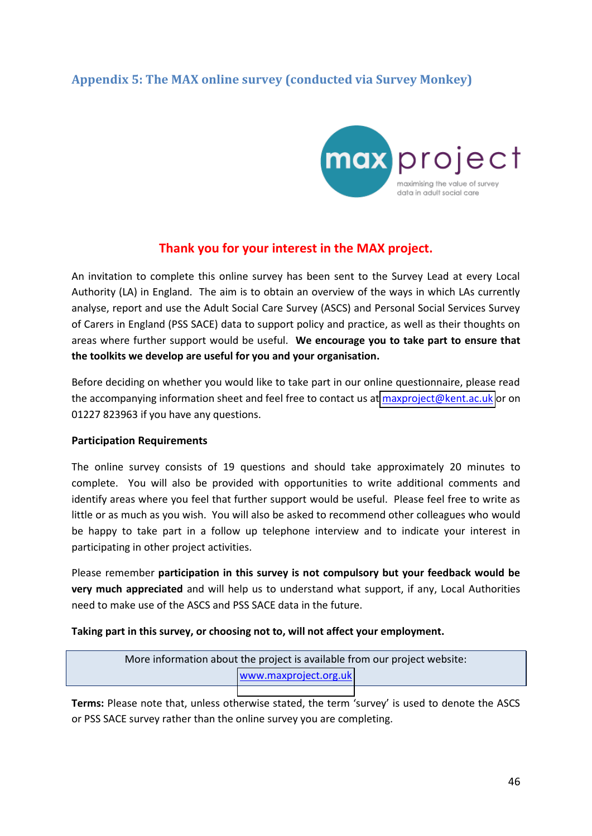# **Appendix 5: The MAX online survey (conducted via Survey Monkey)**



### **Thank you for your interest in the MAX project.**

An invitation to complete this online survey has been sent to the Survey Lead at every Local Authority (LA) in England. The aim is to obtain an overview of the ways in which LAs currently analyse, report and use the Adult Social Care Survey (ASCS) and Personal Social Services Survey of Carers in England (PSS SACE) data to support policy and practice, as well as their thoughts on areas where further support would be useful. **We encourage you to take part to ensure that the toolkits we develop are useful for you and your organisation.** 

Before deciding on whether you would like to take part in our online questionnaire, please read the accompanying information sheet and feel free to contact us at [maxproject@kent.ac.uk](mailto:maxproject@kent.ac.uk) or on 01227 823963 if you have any questions.

### **Participation Requirements**

The online survey consists of 19 questions and should take approximately 20 minutes to complete. You will also be provided with opportunities to write additional comments and identify areas where you feel that further support would be useful. Please feel free to write as little or as much as you wish. You will also be asked to recommend other colleagues who would be happy to take part in a follow up telephone interview and to indicate your interest in participating in other project activities.

Please remember **participation in this survey is not compulsory but your feedback would be very much appreciated** and will help us to understand what support, if any, Local Authorities need to make use of the ASCS and PSS SACE data in the future.

### **Taking part in this survey, or choosing not to, will not affect your employment.**

More information about the project is available from our project website: [www.maxproject.org.uk](http://www.maxproject.org.uk/)

**Terms:** Please note that, unless otherwise stated, the term 'survey' is used to denote the ASCS or PSS SACE survey rather than the online survey you are completing.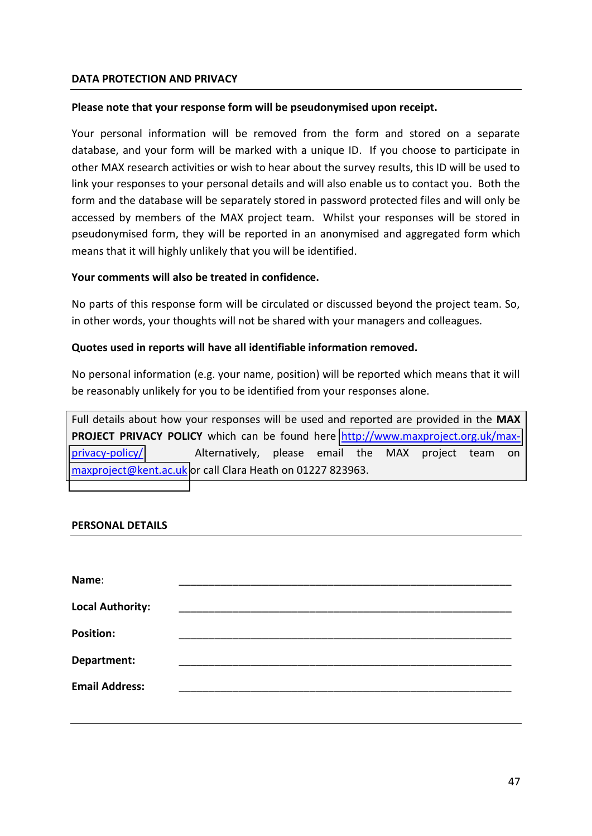### **DATA PROTECTION AND PRIVACY**

### **Please note that your response form will be pseudonymised upon receipt.**

Your personal information will be removed from the form and stored on a separate database, and your form will be marked with a unique ID. If you choose to participate in other MAX research activities or wish to hear about the survey results, this ID will be used to link your responses to your personal details and will also enable us to contact you. Both the form and the database will be separately stored in password protected files and will only be accessed by members of the MAX project team. Whilst your responses will be stored in pseudonymised form, they will be reported in an anonymised and aggregated form which means that it will highly unlikely that you will be identified.

### **Your comments will also be treated in confidence.**

No parts of this response form will be circulated or discussed beyond the project team. So, in other words, your thoughts will not be shared with your managers and colleagues.

### **Quotes used in reports will have all identifiable information removed.**

No personal information (e.g. your name, position) will be reported which means that it will be reasonably unlikely for you to be identified from your responses alone.

Full details about how your responses will be used and reported are provided in the **MAX PROJECT PRIVACY POLICY** which can be found here [http://www.maxproject.org.uk/max](http://www.maxproject.org.uk/max-privacy-policy/)[privacy-policy/](http://www.maxproject.org.uk/max-privacy-policy/) Alternatively, please email the MAX project team on [maxproject@kent.ac.uk](mailto:maxproject@kent.ac.uk) or call Clara Heath on 01227 823963.

### **PERSONAL DETAILS**

| Name:                   |  |  |  |
|-------------------------|--|--|--|
| <b>Local Authority:</b> |  |  |  |
| <b>Position:</b>        |  |  |  |
| Department:             |  |  |  |
| <b>Email Address:</b>   |  |  |  |
|                         |  |  |  |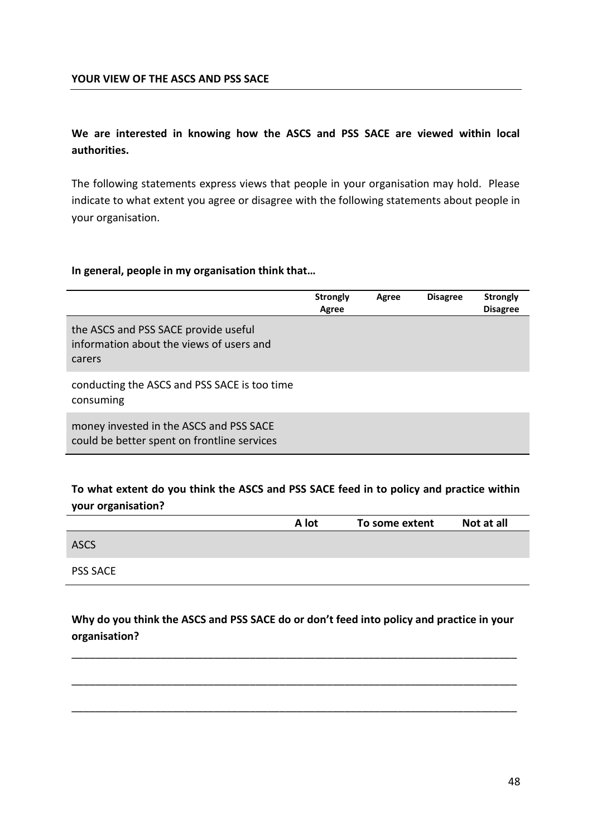### **YOUR VIEW OF THE ASCS AND PSS SACE**

### **We are interested in knowing how the ASCS and PSS SACE are viewed within local authorities.**

The following statements express views that people in your organisation may hold. Please indicate to what extent you agree or disagree with the following statements about people in your organisation.

### In general, people in my organisation think that...

|                                                                                            | <b>Strongly</b><br>Agree | Agree | <b>Disagree</b> | <b>Strongly</b><br><b>Disagree</b> |
|--------------------------------------------------------------------------------------------|--------------------------|-------|-----------------|------------------------------------|
| the ASCS and PSS SACE provide useful<br>information about the views of users and<br>carers |                          |       |                 |                                    |
| conducting the ASCS and PSS SACE is too time<br>consuming                                  |                          |       |                 |                                    |
| money invested in the ASCS and PSS SACE<br>could be better spent on frontline services     |                          |       |                 |                                    |

### **To what extent do you think the ASCS and PSS SACE feed in to policy and practice within your organisation?**

|                 | A lot | To some extent | Not at all |
|-----------------|-------|----------------|------------|
| <b>ASCS</b>     |       |                |            |
| <b>PSS SACE</b> |       |                |            |

Why do you think the ASCS and PSS SACE do or don't feed into policy and practice in your **organisation?** 

\_\_\_\_\_\_\_\_\_\_\_\_\_\_\_\_\_\_\_\_\_\_\_\_\_\_\_\_\_\_\_\_\_\_\_\_\_\_\_\_\_\_\_\_\_\_\_\_\_\_\_\_\_\_\_\_\_\_\_\_\_\_\_\_\_\_\_\_\_\_\_\_\_\_\_

\_\_\_\_\_\_\_\_\_\_\_\_\_\_\_\_\_\_\_\_\_\_\_\_\_\_\_\_\_\_\_\_\_\_\_\_\_\_\_\_\_\_\_\_\_\_\_\_\_\_\_\_\_\_\_\_\_\_\_\_\_\_\_\_\_\_\_\_\_\_\_\_\_\_\_

\_\_\_\_\_\_\_\_\_\_\_\_\_\_\_\_\_\_\_\_\_\_\_\_\_\_\_\_\_\_\_\_\_\_\_\_\_\_\_\_\_\_\_\_\_\_\_\_\_\_\_\_\_\_\_\_\_\_\_\_\_\_\_\_\_\_\_\_\_\_\_\_\_\_\_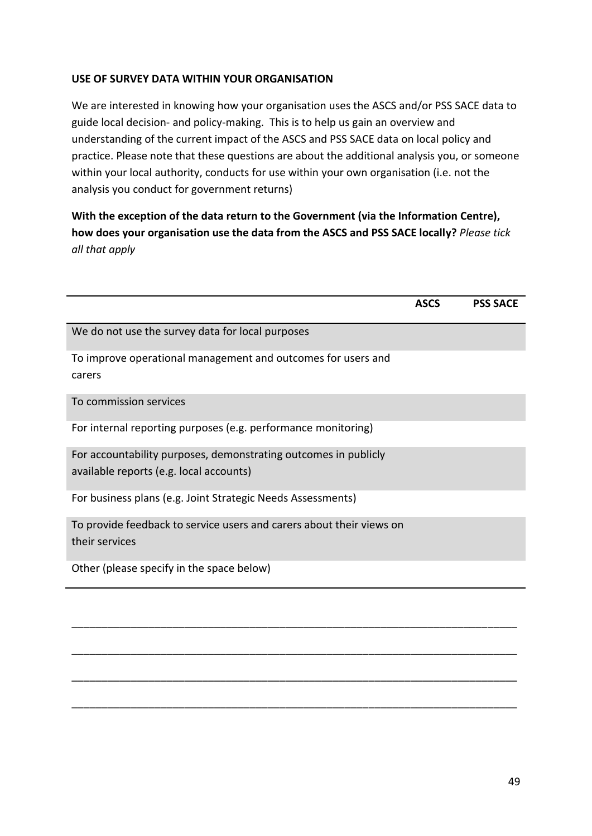### **USE OF SURVEY DATA WITHIN YOUR ORGANISATION**

We are interested in knowing how your organisation uses the ASCS and/or PSS SACE data to guide local decision- and policy-making. This is to help us gain an overview and understanding of the current impact of the ASCS and PSS SACE data on local policy and practice. Please note that these questions are about the additional analysis you, or someone within your local authority, conducts for use within your own organisation (i.e. not the analysis you conduct for government returns)

**With the exception of the data return to the Government (via the Information Centre), how does your organisation use the data from the ASCS and PSS SACE locally?** *Please tick all that apply*

|                                                                                                            | <b>ASCS</b> | <b>PSS SACE</b> |
|------------------------------------------------------------------------------------------------------------|-------------|-----------------|
| We do not use the survey data for local purposes                                                           |             |                 |
| To improve operational management and outcomes for users and<br>carers                                     |             |                 |
| To commission services                                                                                     |             |                 |
| For internal reporting purposes (e.g. performance monitoring)                                              |             |                 |
| For accountability purposes, demonstrating outcomes in publicly<br>available reports (e.g. local accounts) |             |                 |
| For business plans (e.g. Joint Strategic Needs Assessments)                                                |             |                 |
| To provide feedback to service users and carers about their views on<br>their services                     |             |                 |
| Other (please specify in the space below)                                                                  |             |                 |
|                                                                                                            |             |                 |
|                                                                                                            |             |                 |
|                                                                                                            |             |                 |
|                                                                                                            |             |                 |

\_\_\_\_\_\_\_\_\_\_\_\_\_\_\_\_\_\_\_\_\_\_\_\_\_\_\_\_\_\_\_\_\_\_\_\_\_\_\_\_\_\_\_\_\_\_\_\_\_\_\_\_\_\_\_\_\_\_\_\_\_\_\_\_\_\_\_\_\_\_\_\_\_\_\_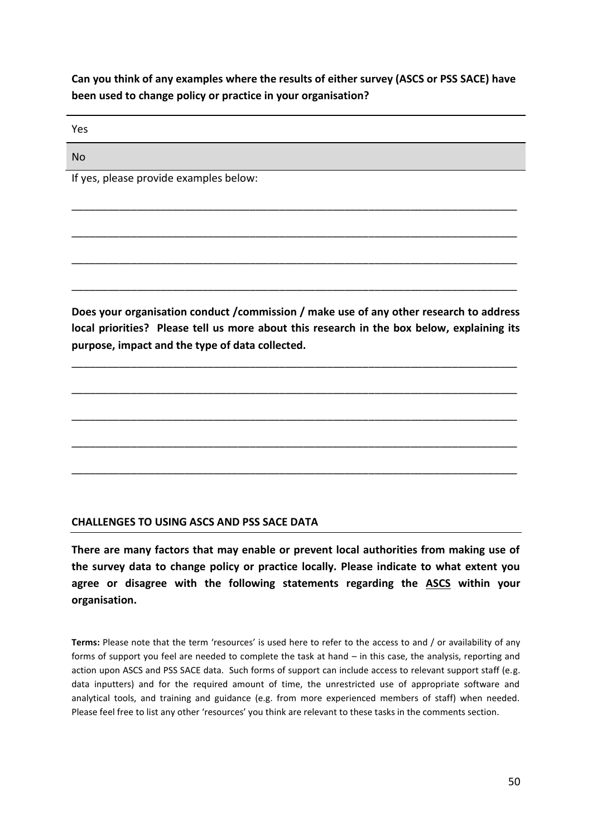### **Can you think of any examples where the results of either survey (ASCS or PSS SACE) have been used to change policy or practice in your organisation?**

\_\_\_\_\_\_\_\_\_\_\_\_\_\_\_\_\_\_\_\_\_\_\_\_\_\_\_\_\_\_\_\_\_\_\_\_\_\_\_\_\_\_\_\_\_\_\_\_\_\_\_\_\_\_\_\_\_\_\_\_\_\_\_\_\_\_\_\_\_\_\_\_\_\_\_

\_\_\_\_\_\_\_\_\_\_\_\_\_\_\_\_\_\_\_\_\_\_\_\_\_\_\_\_\_\_\_\_\_\_\_\_\_\_\_\_\_\_\_\_\_\_\_\_\_\_\_\_\_\_\_\_\_\_\_\_\_\_\_\_\_\_\_\_\_\_\_\_\_\_\_

\_\_\_\_\_\_\_\_\_\_\_\_\_\_\_\_\_\_\_\_\_\_\_\_\_\_\_\_\_\_\_\_\_\_\_\_\_\_\_\_\_\_\_\_\_\_\_\_\_\_\_\_\_\_\_\_\_\_\_\_\_\_\_\_\_\_\_\_\_\_\_\_\_\_\_

\_\_\_\_\_\_\_\_\_\_\_\_\_\_\_\_\_\_\_\_\_\_\_\_\_\_\_\_\_\_\_\_\_\_\_\_\_\_\_\_\_\_\_\_\_\_\_\_\_\_\_\_\_\_\_\_\_\_\_\_\_\_\_\_\_\_\_\_\_\_\_\_\_\_\_

Yes

No

If yes, please provide examples below:

**Does your organisation conduct /commission / make use of any other research to address local priorities? Please tell us more about this research in the box below, explaining its purpose, impact and the type of data collected.** 

\_\_\_\_\_\_\_\_\_\_\_\_\_\_\_\_\_\_\_\_\_\_\_\_\_\_\_\_\_\_\_\_\_\_\_\_\_\_\_\_\_\_\_\_\_\_\_\_\_\_\_\_\_\_\_\_\_\_\_\_\_\_\_\_\_\_\_\_\_\_\_\_\_\_\_

\_\_\_\_\_\_\_\_\_\_\_\_\_\_\_\_\_\_\_\_\_\_\_\_\_\_\_\_\_\_\_\_\_\_\_\_\_\_\_\_\_\_\_\_\_\_\_\_\_\_\_\_\_\_\_\_\_\_\_\_\_\_\_\_\_\_\_\_\_\_\_\_\_\_\_

\_\_\_\_\_\_\_\_\_\_\_\_\_\_\_\_\_\_\_\_\_\_\_\_\_\_\_\_\_\_\_\_\_\_\_\_\_\_\_\_\_\_\_\_\_\_\_\_\_\_\_\_\_\_\_\_\_\_\_\_\_\_\_\_\_\_\_\_\_\_\_\_\_\_\_

\_\_\_\_\_\_\_\_\_\_\_\_\_\_\_\_\_\_\_\_\_\_\_\_\_\_\_\_\_\_\_\_\_\_\_\_\_\_\_\_\_\_\_\_\_\_\_\_\_\_\_\_\_\_\_\_\_\_\_\_\_\_\_\_\_\_\_\_\_\_\_\_\_\_\_

\_\_\_\_\_\_\_\_\_\_\_\_\_\_\_\_\_\_\_\_\_\_\_\_\_\_\_\_\_\_\_\_\_\_\_\_\_\_\_\_\_\_\_\_\_\_\_\_\_\_\_\_\_\_\_\_\_\_\_\_\_\_\_\_\_\_\_\_\_\_\_\_\_\_\_

### **CHALLENGES TO USING ASCS AND PSS SACE DATA**

**There are many factors that may enable or prevent local authorities from making use of the survey data to change policy or practice locally. Please indicate to what extent you agree or disagree with the following statements regarding the ASCS within your organisation.** 

Terms: Please note that the term 'resources' is used here to refer to the access to and / or availability of any forms of support you feel are needed to complete the task at hand – in this case, the analysis, reporting and action upon ASCS and PSS SACE data. Such forms of support can include access to relevant support staff (e.g. data inputters) and for the required amount of time, the unrestricted use of appropriate software and analytical tools, and training and guidance (e.g. from more experienced members of staff) when needed. Please feel free to list any other 'resources' you think are relevant to these tasks in the comments section.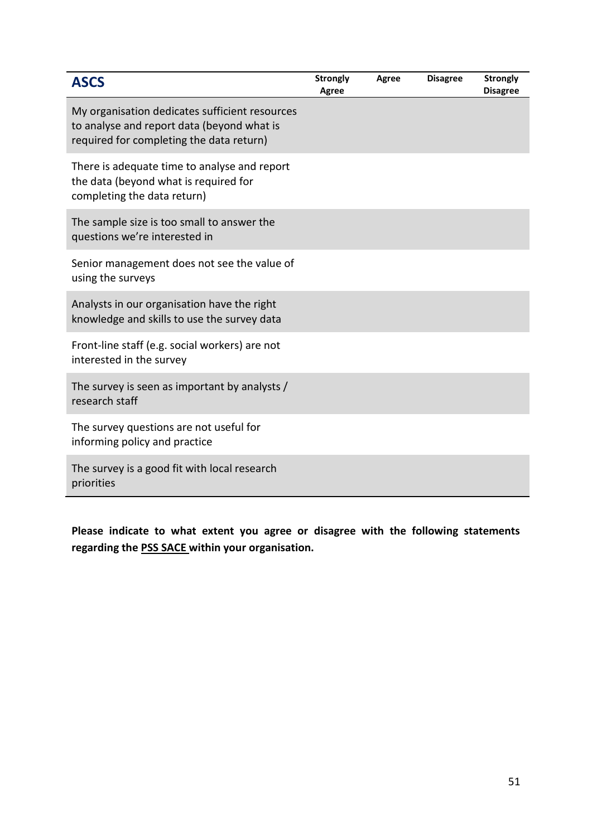| <b>ASCS</b>                                                                                                                              | <b>Strongly</b><br><b>Agree</b> | Agree | <b>Disagree</b> | <b>Strongly</b><br><b>Disagree</b> |
|------------------------------------------------------------------------------------------------------------------------------------------|---------------------------------|-------|-----------------|------------------------------------|
| My organisation dedicates sufficient resources<br>to analyse and report data (beyond what is<br>required for completing the data return) |                                 |       |                 |                                    |
| There is adequate time to analyse and report<br>the data (beyond what is required for<br>completing the data return)                     |                                 |       |                 |                                    |
| The sample size is too small to answer the<br>questions we're interested in                                                              |                                 |       |                 |                                    |
| Senior management does not see the value of<br>using the surveys                                                                         |                                 |       |                 |                                    |
| Analysts in our organisation have the right<br>knowledge and skills to use the survey data                                               |                                 |       |                 |                                    |
| Front-line staff (e.g. social workers) are not<br>interested in the survey                                                               |                                 |       |                 |                                    |
| The survey is seen as important by analysts /<br>research staff                                                                          |                                 |       |                 |                                    |
| The survey questions are not useful for<br>informing policy and practice                                                                 |                                 |       |                 |                                    |
| The survey is a good fit with local research<br>priorities                                                                               |                                 |       |                 |                                    |

**Please indicate to what extent you agree or disagree with the following statements regarding the PSS SACE within your organisation.**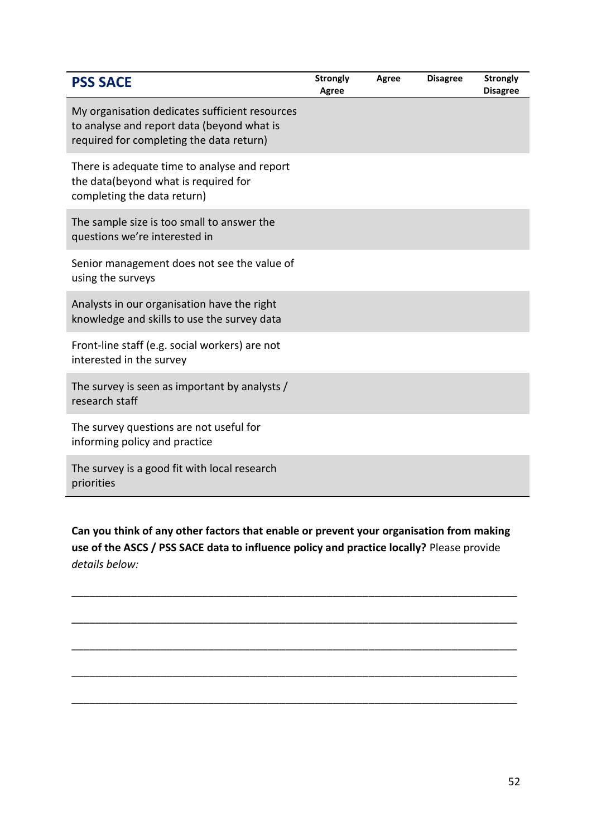| <b>PSS SACE</b>                                                                                                                          | <b>Strongly</b><br>Agree | Agree | <b>Disagree</b> | <b>Strongly</b><br><b>Disagree</b> |
|------------------------------------------------------------------------------------------------------------------------------------------|--------------------------|-------|-----------------|------------------------------------|
| My organisation dedicates sufficient resources<br>to analyse and report data (beyond what is<br>required for completing the data return) |                          |       |                 |                                    |
| There is adequate time to analyse and report<br>the data(beyond what is required for<br>completing the data return)                      |                          |       |                 |                                    |
| The sample size is too small to answer the<br>questions we're interested in                                                              |                          |       |                 |                                    |
| Senior management does not see the value of<br>using the surveys                                                                         |                          |       |                 |                                    |
| Analysts in our organisation have the right<br>knowledge and skills to use the survey data                                               |                          |       |                 |                                    |
| Front-line staff (e.g. social workers) are not<br>interested in the survey                                                               |                          |       |                 |                                    |
| The survey is seen as important by analysts /<br>research staff                                                                          |                          |       |                 |                                    |
| The survey questions are not useful for<br>informing policy and practice                                                                 |                          |       |                 |                                    |
| The survey is a good fit with local research<br>priorities                                                                               |                          |       |                 |                                    |

**Can you think of any other factors that enable or prevent your organisation from making use of the ASCS / PSS SACE data to influence policy and practice locally?** Please provide *details below:*

\_\_\_\_\_\_\_\_\_\_\_\_\_\_\_\_\_\_\_\_\_\_\_\_\_\_\_\_\_\_\_\_\_\_\_\_\_\_\_\_\_\_\_\_\_\_\_\_\_\_\_\_\_\_\_\_\_\_\_\_\_\_\_\_\_\_\_\_\_\_\_\_\_\_\_

\_\_\_\_\_\_\_\_\_\_\_\_\_\_\_\_\_\_\_\_\_\_\_\_\_\_\_\_\_\_\_\_\_\_\_\_\_\_\_\_\_\_\_\_\_\_\_\_\_\_\_\_\_\_\_\_\_\_\_\_\_\_\_\_\_\_\_\_\_\_\_\_\_\_\_

\_\_\_\_\_\_\_\_\_\_\_\_\_\_\_\_\_\_\_\_\_\_\_\_\_\_\_\_\_\_\_\_\_\_\_\_\_\_\_\_\_\_\_\_\_\_\_\_\_\_\_\_\_\_\_\_\_\_\_\_\_\_\_\_\_\_\_\_\_\_\_\_\_\_\_

\_\_\_\_\_\_\_\_\_\_\_\_\_\_\_\_\_\_\_\_\_\_\_\_\_\_\_\_\_\_\_\_\_\_\_\_\_\_\_\_\_\_\_\_\_\_\_\_\_\_\_\_\_\_\_\_\_\_\_\_\_\_\_\_\_\_\_\_\_\_\_\_\_\_\_

\_\_\_\_\_\_\_\_\_\_\_\_\_\_\_\_\_\_\_\_\_\_\_\_\_\_\_\_\_\_\_\_\_\_\_\_\_\_\_\_\_\_\_\_\_\_\_\_\_\_\_\_\_\_\_\_\_\_\_\_\_\_\_\_\_\_\_\_\_\_\_\_\_\_\_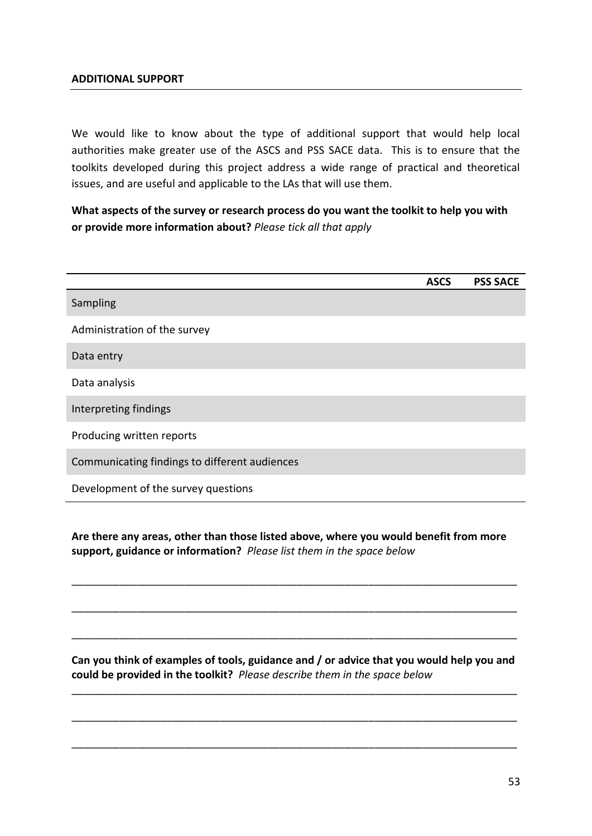### **ADDITIONAL SUPPORT**

We would like to know about the type of additional support that would help local authorities make greater use of the ASCS and PSS SACE data. This is to ensure that the toolkits developed during this project address a wide range of practical and theoretical issues, and are useful and applicable to the LAs that will use them.

**What aspects of the survey or research process do you want the toolkit to help you with or provide more information about?** *Please tick all that apply*

|                                               | <b>ASCS</b> | <b>PSS SACE</b> |
|-----------------------------------------------|-------------|-----------------|
| Sampling                                      |             |                 |
| Administration of the survey                  |             |                 |
| Data entry                                    |             |                 |
| Data analysis                                 |             |                 |
| Interpreting findings                         |             |                 |
| Producing written reports                     |             |                 |
| Communicating findings to different audiences |             |                 |
| Development of the survey questions           |             |                 |

**Are there any areas, other than those listed above, where you would benefit from more support, guidance or information?** *Please list them in the space below*

\_\_\_\_\_\_\_\_\_\_\_\_\_\_\_\_\_\_\_\_\_\_\_\_\_\_\_\_\_\_\_\_\_\_\_\_\_\_\_\_\_\_\_\_\_\_\_\_\_\_\_\_\_\_\_\_\_\_\_\_\_\_\_\_\_\_\_\_\_\_\_\_\_\_\_

\_\_\_\_\_\_\_\_\_\_\_\_\_\_\_\_\_\_\_\_\_\_\_\_\_\_\_\_\_\_\_\_\_\_\_\_\_\_\_\_\_\_\_\_\_\_\_\_\_\_\_\_\_\_\_\_\_\_\_\_\_\_\_\_\_\_\_\_\_\_\_\_\_\_\_

\_\_\_\_\_\_\_\_\_\_\_\_\_\_\_\_\_\_\_\_\_\_\_\_\_\_\_\_\_\_\_\_\_\_\_\_\_\_\_\_\_\_\_\_\_\_\_\_\_\_\_\_\_\_\_\_\_\_\_\_\_\_\_\_\_\_\_\_\_\_\_\_\_\_\_

**Can you think of examples of tools, guidance and / or advice that you would help you and could be provided in the toolkit?** *Please describe them in the space below*

\_\_\_\_\_\_\_\_\_\_\_\_\_\_\_\_\_\_\_\_\_\_\_\_\_\_\_\_\_\_\_\_\_\_\_\_\_\_\_\_\_\_\_\_\_\_\_\_\_\_\_\_\_\_\_\_\_\_\_\_\_\_\_\_\_\_\_\_\_\_\_\_\_\_\_

\_\_\_\_\_\_\_\_\_\_\_\_\_\_\_\_\_\_\_\_\_\_\_\_\_\_\_\_\_\_\_\_\_\_\_\_\_\_\_\_\_\_\_\_\_\_\_\_\_\_\_\_\_\_\_\_\_\_\_\_\_\_\_\_\_\_\_\_\_\_\_\_\_\_\_

\_\_\_\_\_\_\_\_\_\_\_\_\_\_\_\_\_\_\_\_\_\_\_\_\_\_\_\_\_\_\_\_\_\_\_\_\_\_\_\_\_\_\_\_\_\_\_\_\_\_\_\_\_\_\_\_\_\_\_\_\_\_\_\_\_\_\_\_\_\_\_\_\_\_\_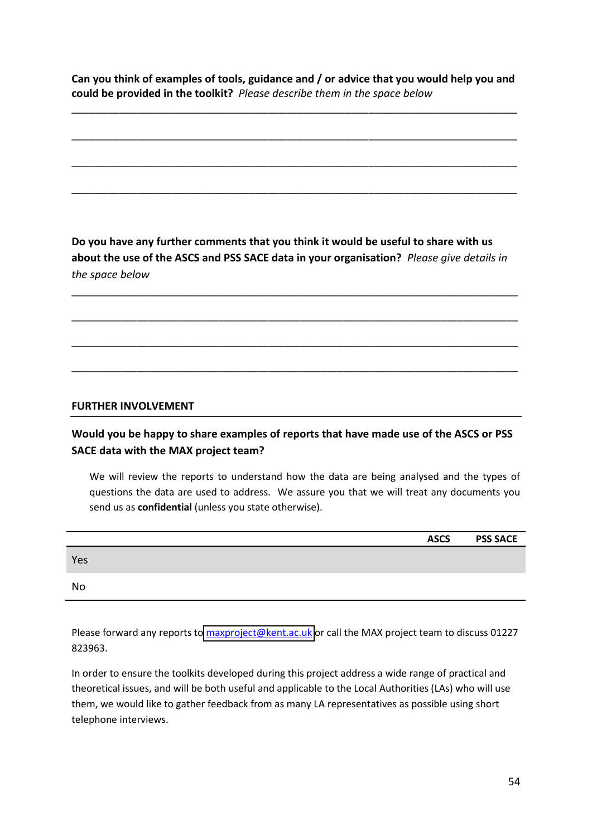**Can you think of examples of tools, guidance and / or advice that you would help you and could be provided in the toolkit?** *Please describe them in the space below*

\_\_\_\_\_\_\_\_\_\_\_\_\_\_\_\_\_\_\_\_\_\_\_\_\_\_\_\_\_\_\_\_\_\_\_\_\_\_\_\_\_\_\_\_\_\_\_\_\_\_\_\_\_\_\_\_\_\_\_\_\_\_\_\_\_\_\_\_\_\_\_\_\_\_\_

\_\_\_\_\_\_\_\_\_\_\_\_\_\_\_\_\_\_\_\_\_\_\_\_\_\_\_\_\_\_\_\_\_\_\_\_\_\_\_\_\_\_\_\_\_\_\_\_\_\_\_\_\_\_\_\_\_\_\_\_\_\_\_\_\_\_\_\_\_\_\_\_\_\_\_

\_\_\_\_\_\_\_\_\_\_\_\_\_\_\_\_\_\_\_\_\_\_\_\_\_\_\_\_\_\_\_\_\_\_\_\_\_\_\_\_\_\_\_\_\_\_\_\_\_\_\_\_\_\_\_\_\_\_\_\_\_\_\_\_\_\_\_\_\_\_\_\_\_\_\_

\_\_\_\_\_\_\_\_\_\_\_\_\_\_\_\_\_\_\_\_\_\_\_\_\_\_\_\_\_\_\_\_\_\_\_\_\_\_\_\_\_\_\_\_\_\_\_\_\_\_\_\_\_\_\_\_\_\_\_\_\_\_\_\_\_\_\_\_\_\_\_\_\_\_\_

**Do you have any further comments that you think it would be useful to share with us about the use of the ASCS and PSS SACE data in your organisation?** *Please give details in the space below*

\_\_\_\_\_\_\_\_\_\_\_\_\_\_\_\_\_\_\_\_\_\_\_\_\_\_\_\_\_\_\_\_\_\_\_\_\_\_\_\_\_\_\_\_\_\_\_\_\_\_\_\_\_\_\_\_\_\_\_\_\_\_\_\_\_\_\_\_\_\_\_\_\_\_\_\_\_\_\_\_\_\_

\_\_\_\_\_\_\_\_\_\_\_\_\_\_\_\_\_\_\_\_\_\_\_\_\_\_\_\_\_\_\_\_\_\_\_\_\_\_\_\_\_\_\_\_\_\_\_\_\_\_\_\_\_\_\_\_\_\_\_\_\_\_\_\_\_\_\_\_\_\_\_\_\_\_\_\_\_\_\_\_\_\_

\_\_\_\_\_\_\_\_\_\_\_\_\_\_\_\_\_\_\_\_\_\_\_\_\_\_\_\_\_\_\_\_\_\_\_\_\_\_\_\_\_\_\_\_\_\_\_\_\_\_\_\_\_\_\_\_\_\_\_\_\_\_\_\_\_\_\_\_\_\_\_\_\_\_\_\_\_\_\_\_\_\_

\_\_\_\_\_\_\_\_\_\_\_\_\_\_\_\_\_\_\_\_\_\_\_\_\_\_\_\_\_\_\_\_\_\_\_\_\_\_\_\_\_\_\_\_\_\_\_\_\_\_\_\_\_\_\_\_\_\_\_\_\_\_\_\_\_\_\_\_\_\_\_\_\_\_\_\_\_\_\_\_\_\_

### **FURTHER INVOLVEMENT**

### **Would you be happy to share examples of reports that have made use of the ASCS or PSS SACE data with the MAX project team?**

We will review the reports to understand how the data are being analysed and the types of questions the data are used to address. We assure you that we will treat any documents you send us as **confidential** (unless you state otherwise).

|     | <b>ASCS</b> | <b>PSS SACE</b> |
|-----|-------------|-----------------|
| Yes |             |                 |
| No  |             |                 |

Please forward any reports to [maxproject@kent.ac.uk](mailto:maxproject@kent.ac.uk) or call the MAX project team to discuss 01227 823963.

In order to ensure the toolkits developed during this project address a wide range of practical and theoretical issues, and will be both useful and applicable to the Local Authorities (LAs) who will use them, we would like to gather feedback from as many LA representatives as possible using short telephone interviews.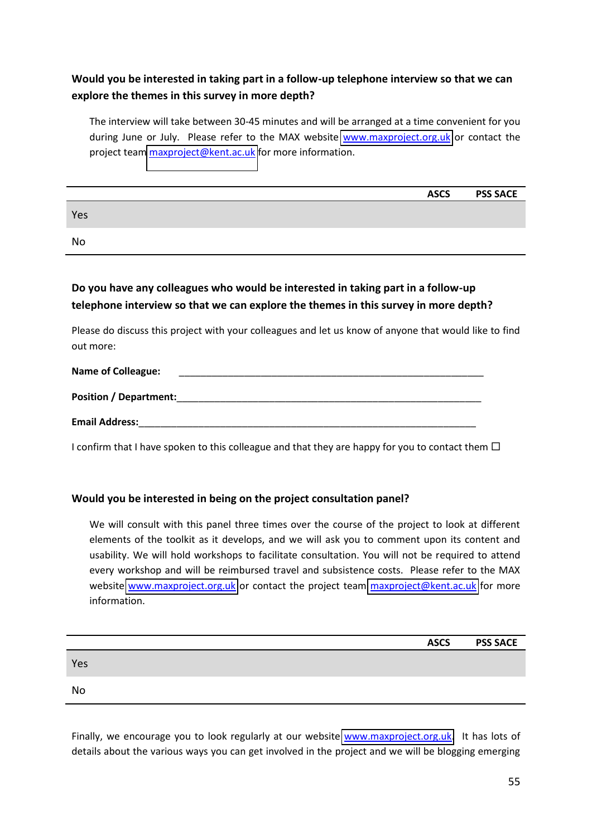### **Would you be interested in taking part in a follow-up telephone interview so that we can explore the themes in this survey in more depth?**

The interview will take between 30-45 minutes and will be arranged at a time convenient for you during June or July. Please refer to the MAX website [www.maxproject.org.uk](http://www.maxproject.org.uk/) or contact the project team [maxproject@kent.ac.uk](mailto:maxproject@kent.ac.uk) for more information.

|     | <b>ASCS</b> | <b>PSS SACE</b> |
|-----|-------------|-----------------|
| Yes |             |                 |
| No  |             |                 |
|     |             |                 |

### **Do you have any colleagues who would be interested in taking part in a follow-up telephone interview so that we can explore the themes in this survey in more depth?**

Please do discuss this project with your colleagues and let us know of anyone that would like to find out more:

| <b>Name of Colleague:</b>     |  |  |  |
|-------------------------------|--|--|--|
| <b>Position / Department:</b> |  |  |  |
| <b>Email Address:</b>         |  |  |  |

I confirm that I have spoken to this colleague and that they are happy for you to contact them  $\Box$ 

### **Would you be interested in being on the project consultation panel?**

We will consult with this panel three times over the course of the project to look at different elements of the toolkit as it develops, and we will ask you to comment upon its content and usability. We will hold workshops to facilitate consultation. You will not be required to attend every workshop and will be reimbursed travel and subsistence costs. Please refer to the MAX website [www.maxproject.org.uk](http://www.maxproject.org.uk/) or contact the project team [maxproject@kent.ac.uk](mailto:maxproject@kent.ac.uk) for more information.

|     | <b>ASCS</b> | <b>PSS SACE</b> |
|-----|-------------|-----------------|
| Yes |             |                 |
| No  |             |                 |

Finally, we encourage you to look regularly at our website [www.maxproject.org.uk.](http://www.maxproject.org.uk/) It has lots of details about the various ways you can get involved in the project and we will be blogging emerging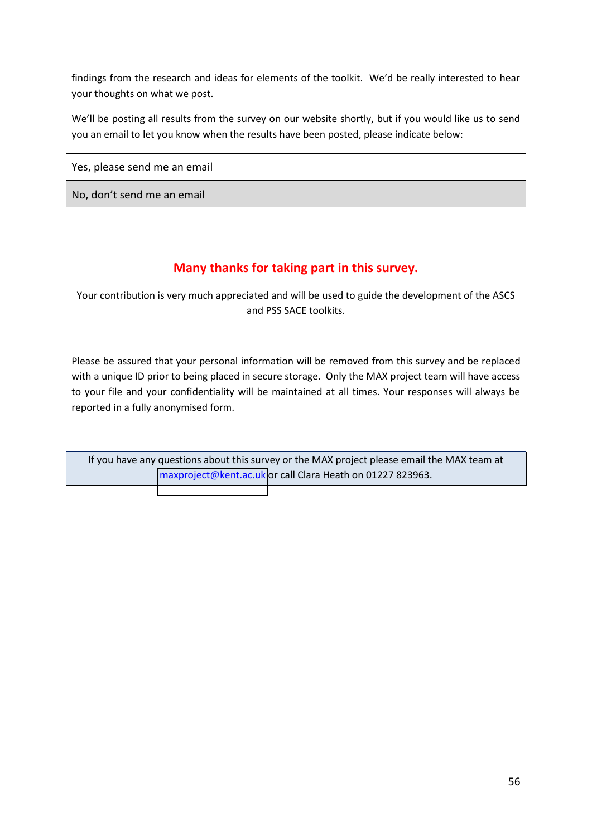<span id="page-62-0"></span>findings from the research and ideas for elements of the toolkit. We'd be really interested to hear your thoughts on what we post.

We'll be posting all results from the survey on our website shortly, but if you would like us to send you an email to let you know when the results have been posted, please indicate below:

Yes, please send me an email

No, don't send me an email

# **Many thanks for taking part in this survey.**

Your contribution is very much appreciated and will be used to guide the development of the ASCS and PSS SACE toolkits.

Please be assured that your personal information will be removed from this survey and be replaced with a unique ID prior to being placed in secure storage. Only the MAX project team will have access to your file and your confidentiality will be maintained at all times. Your responses will always be reported in a fully anonymised form.

If you have any questions about this survey or the MAX project please email the MAX team at [maxproject@kent.ac.uk](mailto:maxproject@kent.ac.uk) or call Clara Heath on 01227 823963.